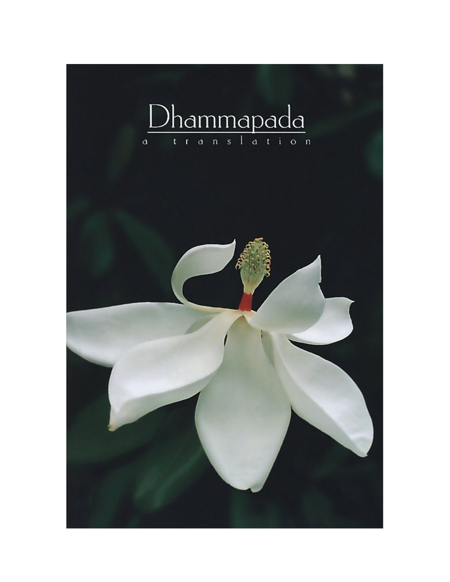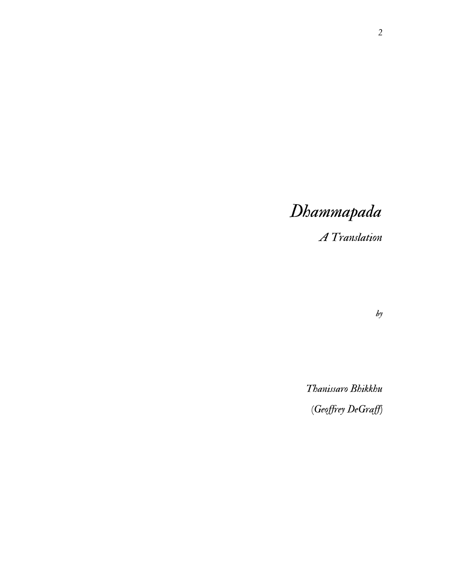# *Dhammapada*

*A Translation*

*by*

*Thanissaro Bhikkhu (Geoffrey DeGraff)*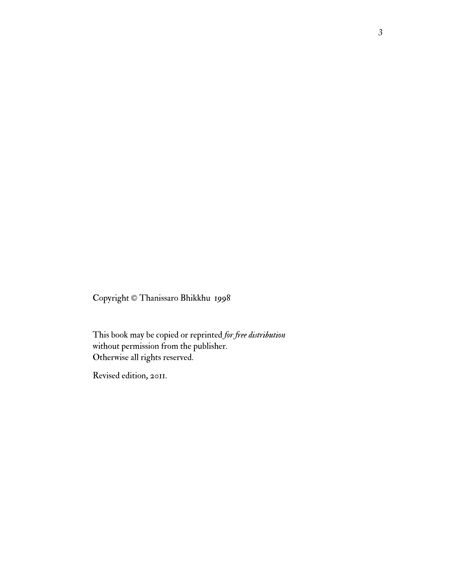Copyright © Thanissaro Bhikkhu 1998

This book may be copied or reprinted *for free distribution* without permission from the publisher. Otherwise all rights reserved.

Revised edition, 2011.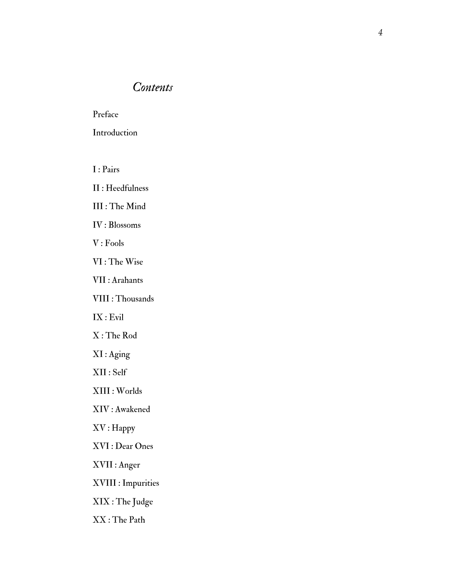#### *Contents*

Preface

Introduction

I : Pairs

II : Heedfulness

III : The Mind

IV : Blossoms

V : Fools

VI : The Wise

VII : Arahants

VIII : Thousands

IX : Evil

X : The Rod

XI : Aging

XII : Self

XIII : Worlds

XIV : Awakened

XV : Happy

XVI : Dear Ones

XVII : Anger

XVIII : Impurities

XIX : The Judge

XX : The Path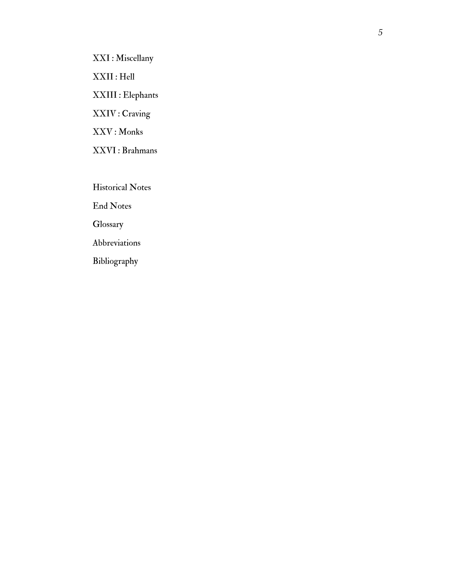XXI : Miscellany XXII : Hell XXIII : Elephants XXIV : Craving XXV : Monks XXVI : Brahmans

Historical Notes

End Notes

**Glossary** 

Abbreviations

Bibliography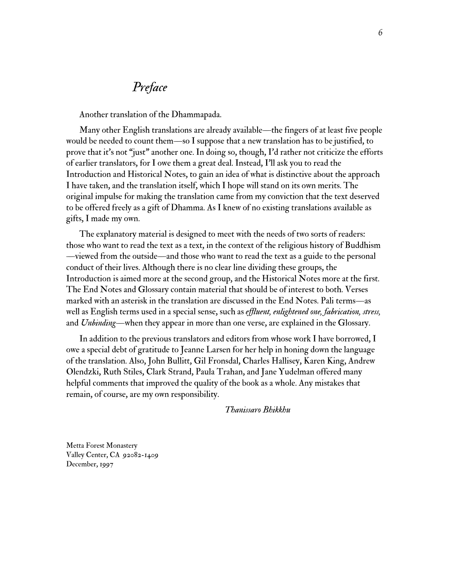## *Preface*

Another translation of the Dhammapada.

Many other English translations are already available—the fingers of at least five people would be needed to count them—so I suppose that a new translation has to be justified, to prove that it's not "just" another one. In doing so, though, I'd rather not criticize the efforts of earlier translators, for I owe them a great deal. Instead, I'll ask you to read the Introduction and Historical Notes, to gain an idea of what is distinctive about the approach I have taken, and the translation itself, which I hope will stand on its own merits. The original impulse for making the translation came from my conviction that the text deserved to be offered freely as a gift of Dhamma. As I knew of no existing translations available as gifts, I made my own.

The explanatory material is designed to meet with the needs of two sorts of readers: those who want to read the text as a text, in the context of the religious history of Buddhism —viewed from the outside—and those who want to read the text as a guide to the personal conduct of their lives. Although there is no clear line dividing these groups, the Introduction is aimed more at the second group, and the Historical Notes more at the first. The End Notes and Glossary contain material that should be of interest to both. Verses marked with an asterisk in the translation are discussed in the End Notes. Pali terms—as well as English terms used in a special sense, such as *effluent, enlightened one, fabrication, stress,* and *Unbinding*—when they appear in more than one verse, are explained in the Glossary.

In addition to the previous translators and editors from whose work I have borrowed, I owe a special debt of gratitude to Jeanne Larsen for her help in honing down the language of the translation. Also, John Bullitt, Gil Fronsdal, Charles Hallisey, Karen King, Andrew Olendzki, Ruth Stiles, Clark Strand, Paula Trahan, and Jane Yudelman offered many helpful comments that improved the quality of the book as a whole. Any mistakes that remain, of course, are my own responsibility.

*Thanissaro Bhikkhu*

Metta Forest Monastery Valley Center, CA 92082-1409 December, 1997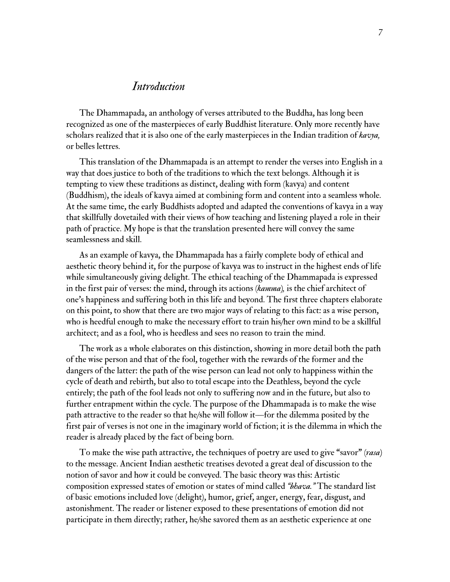#### *Introduction*

The Dhammapada, an anthology of verses attributed to the Buddha, has long been recognized as one of the masterpieces of early Buddhist literature. Only more recently have scholars realized that it is also one of the early masterpieces in the Indian tradition of *kavya,* or belles lettres.

This translation of the Dhammapada is an attempt to render the verses into English in a way that does justice to both of the traditions to which the text belongs. Although it is tempting to view these traditions as distinct, dealing with form (kavya) and content (Buddhism), the ideals of kavya aimed at combining form and content into a seamless whole. At the same time, the early Buddhists adopted and adapted the conventions of kavya in a way that skillfully dovetailed with their views of how teaching and listening played a role in their path of practice. My hope is that the translation presented here will convey the same seamlessness and skill.

As an example of kavya, the Dhammapada has a fairly complete body of ethical and aesthetic theory behind it, for the purpose of kavya was to instruct in the highest ends of life while simultaneously giving delight. The ethical teaching of the Dhammapada is expressed in the first pair of verses: the mind, through its actions *(kamma),* is the chief architect of one's happiness and suffering both in this life and beyond. The first three chapters elaborate on this point, to show that there are two major ways of relating to this fact: as a wise person, who is heedful enough to make the necessary effort to train his/her own mind to be a skillful architect; and as a fool, who is heedless and sees no reason to train the mind.

The work as a whole elaborates on this distinction, showing in more detail both the path of the wise person and that of the fool, together with the rewards of the former and the dangers of the latter: the path of the wise person can lead not only to happiness within the cycle of death and rebirth, but also to total escape into the Deathless, beyond the cycle entirely; the path of the fool leads not only to suffering now and in the future, but also to further entrapment within the cycle. The purpose of the Dhammapada is to make the wise path attractive to the reader so that he/she will follow it—for the dilemma posited by the first pair of verses is not one in the imaginary world of fiction; it is the dilemma in which the reader is already placed by the fact of being born.

To make the wise path attractive, the techniques of poetry are used to give "savor" *(rasa)* to the message. Ancient Indian aesthetic treatises devoted a great deal of discussion to the notion of savor and how it could be conveyed. The basic theory was this: Artistic composition expressed states of emotion or states of mind called *"bhava."* The standard list of basic emotions included love (delight), humor, grief, anger, energy, fear, disgust, and astonishment. The reader or listener exposed to these presentations of emotion did not participate in them directly; rather, he/she savored them as an aesthetic experience at one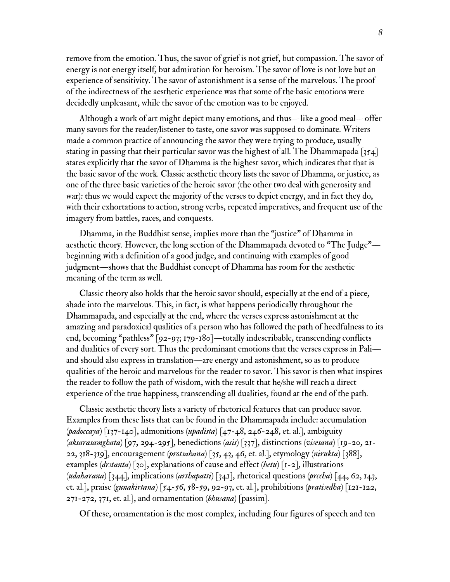remove from the emotion. Thus, the savor of grief is not grief, but compassion. The savor of energy is not energy itself, but admiration for heroism. The savor of love is not love but an experience of sensitivity. The savor of astonishment is a sense of the marvelous. The proof of the indirectness of the aesthetic experience was that some of the basic emotions were decidedly unpleasant, while the savor of the emotion was to be enjoyed.

Although a work of art might depict many emotions, and thus—like a good meal—offer many savors for the reader/listener to taste, one savor was supposed to dominate. Writers made a common practice of announcing the savor they were trying to produce, usually stating in passing that their particular savor was the highest of all. The Dhammapada [354] states explicitly that the savor of Dhamma is the highest savor, which indicates that that is the basic savor of the work. Classic aesthetic theory lists the savor of Dhamma, or justice, as one of the three basic varieties of the heroic savor (the other two deal with generosity and war): thus we would expect the majority of the verses to depict energy, and in fact they do, with their exhortations to action, strong verbs, repeated imperatives, and frequent use of the imagery from battles, races, and conquests.

Dhamma, in the Buddhist sense, implies more than the "justice" of Dhamma in aesthetic theory. However, the long section of the Dhammapada devoted to "The Judge" beginning with a definition of a good judge, and continuing with examples of good judgment—shows that the Buddhist concept of Dhamma has room for the aesthetic meaning of the term as well.

Classic theory also holds that the heroic savor should, especially at the end of a piece, shade into the marvelous. This, in fact, is what happens periodically throughout the Dhammapada, and especially at the end, where the verses express astonishment at the amazing and paradoxical qualities of a person who has followed the path of heedfulness to its end, becoming "pathless" [92-93; 179-180]—totally indescribable, transcending conflicts and dualities of every sort. Thus the predominant emotions that the verses express in Pali and should also express in translation—are energy and astonishment, so as to produce qualities of the heroic and marvelous for the reader to savor. This savor is then what inspires the reader to follow the path of wisdom, with the result that he/she will reach a direct experience of the true happiness, transcending all dualities, found at the end of the path.

Classic aesthetic theory lists a variety of rhetorical features that can produce savor. Examples from these lists that can be found in the Dhammapada include: accumulation *(padoccaya)* [137-140], admonitions *(upadista)* [47-48, 246-248, et. al.], ambiguity *(aksarasamghata)* [97, 294-295], benedictions *(asis)* [337], distinctions *(visesana)* [19-20, 21- 22, 318-319], encouragement *(protsahana)* [35, 43, 46, et. al.], etymology *(nirukta)* [388], examples *(drstanta)* [30], explanations of cause and effect *(hetu)* [1-2], illustrations *(udaharana)* [344], implications *(arthapatti)* [341], rhetorical questions *(prccha)* [44, 62, 143, et. al.], praise *(gunakirtana)* [54-56, 58-59, 92-93, et. al.], prohibitions *(pratisedha)* [121-122, 271-272, 371, et. al.], and ornamentation *(bhusana)* [passim].

Of these, ornamentation is the most complex, including four figures of speech and ten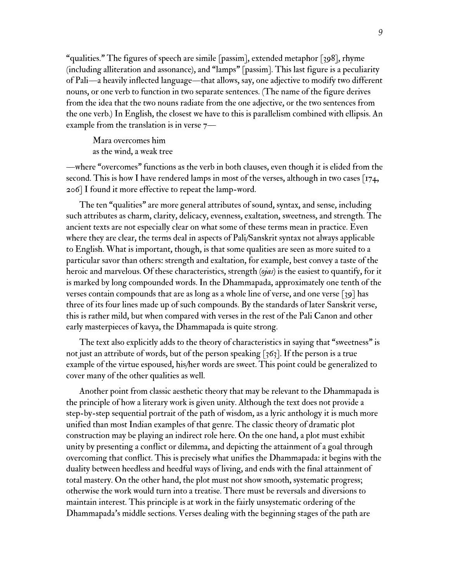"qualities." The figures of speech are simile [passim], extended metaphor [398], rhyme (including alliteration and assonance), and "lamps" [passim]. This last figure is a peculiarity of Pali—a heavily inflected language—that allows, say, one adjective to modify two different nouns, or one verb to function in two separate sentences. (The name of the figure derives from the idea that the two nouns radiate from the one adjective, or the two sentences from the one verb.) In English, the closest we have to this is parallelism combined with ellipsis. An example from the translation is in verse  $7-$ 

Mara overcomes him as the wind, a weak tree

—where "overcomes" functions as the verb in both clauses, even though it is elided from the second. This is how I have rendered lamps in most of the verses, although in two cases  $\lceil 174, \rceil$ 206] I found it more effective to repeat the lamp-word.

The ten "qualities" are more general attributes of sound, syntax, and sense, including such attributes as charm, clarity, delicacy, evenness, exaltation, sweetness, and strength. The ancient texts are not especially clear on what some of these terms mean in practice. Even where they are clear, the terms deal in aspects of Pali/Sanskrit syntax not always applicable to English. What is important, though, is that some qualities are seen as more suited to a particular savor than others: strength and exaltation, for example, best convey a taste of the heroic and marvelous. Of these characteristics, strength *(ojas)* is the easiest to quantify, for it is marked by long compounded words. In the Dhammapada, approximately one tenth of the verses contain compounds that are as long as a whole line of verse, and one verse [39] has three of its four lines made up of such compounds. By the standards of later Sanskrit verse, this is rather mild, but when compared with verses in the rest of the Pali Canon and other early masterpieces of kavya, the Dhammapada is quite strong.

The text also explicitly adds to the theory of characteristics in saying that "sweetness" is not just an attribute of words, but of the person speaking  $\lceil 363 \rceil$ . If the person is a true example of the virtue espoused, his/her words are sweet. This point could be generalized to cover many of the other qualities as well.

Another point from classic aesthetic theory that may be relevant to the Dhammapada is the principle of how a literary work is given unity. Although the text does not provide a step-by-step sequential portrait of the path of wisdom, as a lyric anthology it is much more unified than most Indian examples of that genre. The classic theory of dramatic plot construction may be playing an indirect role here. On the one hand, a plot must exhibit unity by presenting a conflict or dilemma, and depicting the attainment of a goal through overcoming that conflict. This is precisely what unifies the Dhammapada: it begins with the duality between heedless and heedful ways of living, and ends with the final attainment of total mastery. On the other hand, the plot must not show smooth, systematic progress; otherwise the work would turn into a treatise. There must be reversals and diversions to maintain interest. This principle is at work in the fairly unsystematic ordering of the Dhammapada's middle sections. Verses dealing with the beginning stages of the path are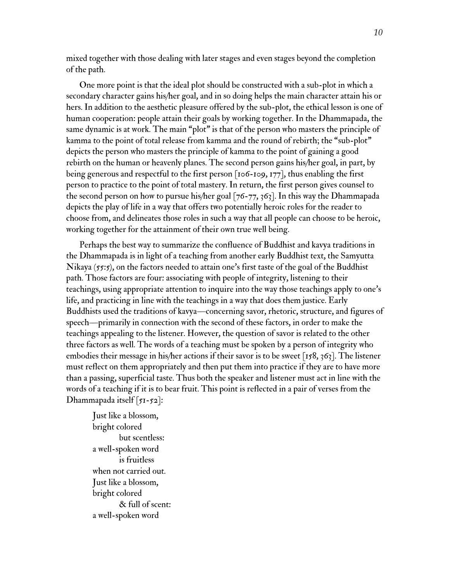mixed together with those dealing with later stages and even stages beyond the completion of the path.

One more point is that the ideal plot should be constructed with a sub-plot in which a secondary character gains his/her goal, and in so doing helps the main character attain his or hers. In addition to the aesthetic pleasure offered by the sub-plot, the ethical lesson is one of human cooperation: people attain their goals by working together. In the Dhammapada, the same dynamic is at work. The main "plot" is that of the person who masters the principle of kamma to the point of total release from kamma and the round of rebirth; the "sub-plot" depicts the person who masters the principle of kamma to the point of gaining a good rebirth on the human or heavenly planes. The second person gains his/her goal, in part, by being generous and respectful to the first person [106-109, 177], thus enabling the first person to practice to the point of total mastery. In return, the first person gives counsel to the second person on how to pursue his/her goal  $[76-77, 363]$ . In this way the Dhammapada depicts the play of life in a way that offers two potentially heroic roles for the reader to choose from, and delineates those roles in such a way that all people can choose to be heroic, working together for the attainment of their own true well being.

Perhaps the best way to summarize the confluence of Buddhist and kavya traditions in the Dhammapada is in light of a teaching from another early Buddhist text, the Samyutta Nikaya (55:5), on the factors needed to attain one's first taste of the goal of the Buddhist path. Those factors are four: associating with people of integrity, listening to their teachings, using appropriate attention to inquire into the way those teachings apply to one's life, and practicing in line with the teachings in a way that does them justice. Early Buddhists used the traditions of kavya—concerning savor, rhetoric, structure, and figures of speech—primarily in connection with the second of these factors, in order to make the teachings appealing to the listener. However, the question of savor is related to the other three factors as well. The words of a teaching must be spoken by a person of integrity who embodies their message in his/her actions if their savor is to be sweet  $[158, 363]$ . The listener must reflect on them appropriately and then put them into practice if they are to have more than a passing, superficial taste. Thus both the speaker and listener must act in line with the words of a teaching if it is to bear fruit. This point is reflected in a pair of verses from the Dhammapada itself  $\lceil 51-52 \rceil$ :

Just like a blossom, bright colored but scentless: a well-spoken word is fruitless when not carried out. Just like a blossom, bright colored & full of scent: a well-spoken word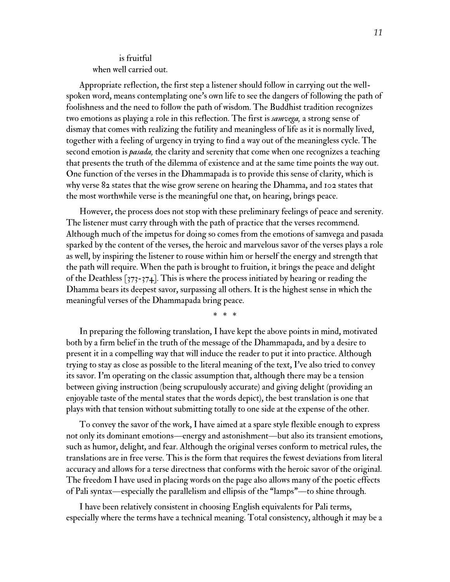#### is fruitful when well carried out.

Appropriate reflection, the first step a listener should follow in carrying out the wellspoken word, means contemplating one's own life to see the dangers of following the path of foolishness and the need to follow the path of wisdom. The Buddhist tradition recognizes two emotions as playing a role in this reflection. The first is *samvega,* a strong sense of dismay that comes with realizing the futility and meaningless of life as it is normally lived, together with a feeling of urgency in trying to find a way out of the meaningless cycle. The second emotion is *pasada,* the clarity and serenity that come when one recognizes a teaching that presents the truth of the dilemma of existence and at the same time points the way out. One function of the verses in the Dhammapada is to provide this sense of clarity, which is why verse 82 states that the wise grow serene on hearing the Dhamma, and 102 states that the most worthwhile verse is the meaningful one that, on hearing, brings peace.

However, the process does not stop with these preliminary feelings of peace and serenity. The listener must carry through with the path of practice that the verses recommend. Although much of the impetus for doing so comes from the emotions of samvega and pasada sparked by the content of the verses, the heroic and marvelous savor of the verses plays a role as well, by inspiring the listener to rouse within him or herself the energy and strength that the path will require. When the path is brought to fruition, it brings the peace and delight of the Deathless  $[373-374]$ . This is where the process initiated by hearing or reading the Dhamma bears its deepest savor, surpassing all others. It is the highest sense in which the meaningful verses of the Dhammapada bring peace.

\* \* \*

In preparing the following translation, I have kept the above points in mind, motivated both by a firm belief in the truth of the message of the Dhammapada, and by a desire to present it in a compelling way that will induce the reader to put it into practice. Although trying to stay as close as possible to the literal meaning of the text, I've also tried to convey its savor. I'm operating on the classic assumption that, although there may be a tension between giving instruction (being scrupulously accurate) and giving delight (providing an enjoyable taste of the mental states that the words depict), the best translation is one that plays with that tension without submitting totally to one side at the expense of the other.

To convey the savor of the work, I have aimed at a spare style flexible enough to express not only its dominant emotions—energy and astonishment—but also its transient emotions, such as humor, delight, and fear. Although the original verses conform to metrical rules, the translations are in free verse. This is the form that requires the fewest deviations from literal accuracy and allows for a terse directness that conforms with the heroic savor of the original. The freedom I have used in placing words on the page also allows many of the poetic effects of Pali syntax—especially the parallelism and ellipsis of the "lamps"—to shine through.

I have been relatively consistent in choosing English equivalents for Pali terms, especially where the terms have a technical meaning. Total consistency, although it may be a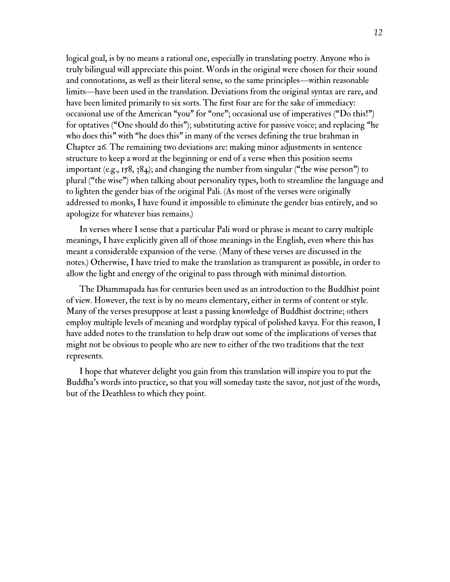logical goal, is by no means a rational one, especially in translating poetry. Anyone who is truly bilingual will appreciate this point. Words in the original were chosen for their sound and connotations, as well as their literal sense, so the same principles—within reasonable limits—have been used in the translation. Deviations from the original syntax are rare, and have been limited primarily to six sorts. The first four are for the sake of immediacy: occasional use of the American "you" for "one"; occasional use of imperatives ("Do this!") for optatives ("One should do this"); substituting active for passive voice; and replacing "he who does this" with "he does this" in many of the verses defining the true brahman in Chapter 26. The remaining two deviations are: making minor adjustments in sentence structure to keep a word at the beginning or end of a verse when this position seems important (e.g., 158, 384); and changing the number from singular ("the wise person") to plural ("the wise") when talking about personality types, both to streamline the language and to lighten the gender bias of the original Pali. (As most of the verses were originally addressed to monks, I have found it impossible to eliminate the gender bias entirely, and so apologize for whatever bias remains.)

In verses where I sense that a particular Pali word or phrase is meant to carry multiple meanings, I have explicitly given all of those meanings in the English, even where this has meant a considerable expansion of the verse. (Many of these verses are discussed in the notes.) Otherwise, I have tried to make the translation as transparent as possible, in order to allow the light and energy of the original to pass through with minimal distortion.

The Dhammapada has for centuries been used as an introduction to the Buddhist point of view. However, the text is by no means elementary, either in terms of content or style. Many of the verses presuppose at least a passing knowledge of Buddhist doctrine; others employ multiple levels of meaning and wordplay typical of polished kavya. For this reason, I have added notes to the translation to help draw out some of the implications of verses that might not be obvious to people who are new to either of the two traditions that the text represents.

I hope that whatever delight you gain from this translation will inspire you to put the Buddha's words into practice, so that you will someday taste the savor, not just of the words, but of the Deathless to which they point.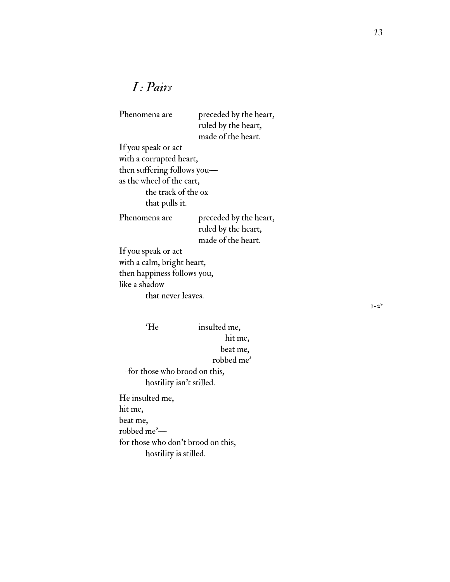## *I : Pairs*

| Phenomena are               | preceded by the heart,                                              |
|-----------------------------|---------------------------------------------------------------------|
|                             | ruled by the heart,                                                 |
|                             | made of the heart.                                                  |
| If you speak or act         |                                                                     |
| with a corrupted heart,     |                                                                     |
| then suffering follows you- |                                                                     |
| as the wheel of the cart,   |                                                                     |
| the track of the ox         |                                                                     |
| that pulls it.              |                                                                     |
|                             |                                                                     |
| Phenomena are               | preceded by the heart,<br>ruled by the heart,<br>made of the heart. |
| If you speak or act         |                                                                     |
| with a calm, bright heart,  |                                                                     |
| then happiness follows you, |                                                                     |
| like a shadow               |                                                                     |
| that never leaves.          |                                                                     |

'He insulted me, hit me, beat me, robbed me' —for those who brood on this, hostility isn't stilled. He insulted me, hit me, beat me, robbed me' for those who don't brood on this, hostility is stilled.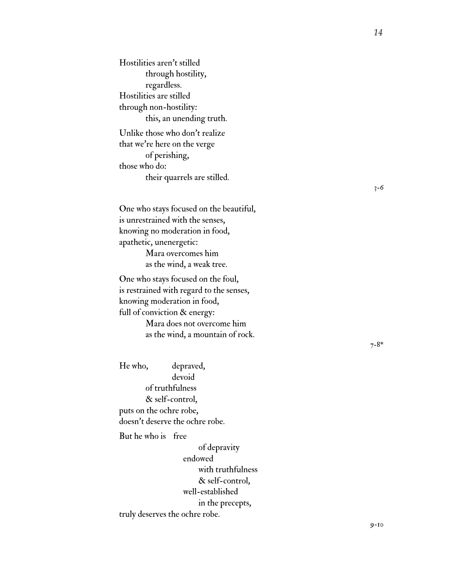Hostilities aren ' t stilled through hostility, regardless. Hostilities are stilled through non-hostility: this, an unending truth. Unlike those who don ' t realize that we 're here on the verge of perishing, those who do: their quarrels are stilled.

3-6

One who stays focused on the beautiful, is unrestrained with the senses, knowing no moderation in food, apathetic, unenergetic: Mara overcomes him as the wind, a weak tree.

One who stays focused on the foul, is restrained with regard to the senses, knowing moderation in food, full of conviction & energy: Mara does not overcome him as the wind, a mountain of rock.

He who, depraved, devoid of truthfulness & self-control, puts on the ochre robe, doesn ' t deserve the ochre robe.

But he who is free

of depravity endowed with truthfulness & self-control, well-established in the precepts, truly deserves the ochre robe.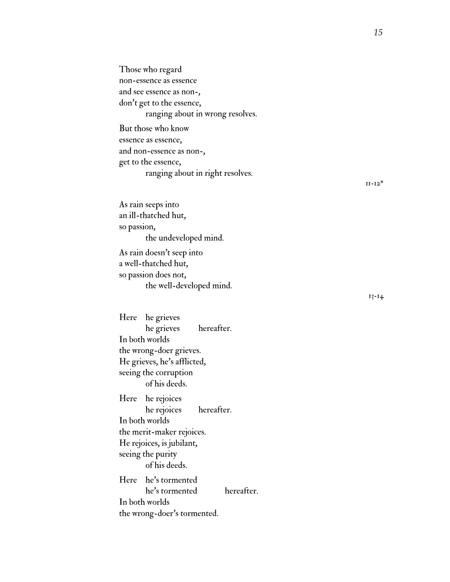Those who regard non-essence as essence and see essence as non-, don ' t get to the essence, ranging about in wrong resolves. But those who know essence as essence, and non-essence as non-, get to the essence, ranging about in right resolves.

As rain seeps into an ill-thatched hut, so passion, the undeveloped mind. As rain doesn ' t seep into a well-thatched hut, so passion does not, the well-developed mind.

Here he grieves he grieves hereafter. In both worlds the wrong-doer grieves. He grieves, he ' s afflicted, seeing the corruption of his deeds. Here he rejoices he rejoices hereafter. In both worlds the merit-maker rejoices. He rejoices, is jubilant, seeing the purity of his deeds. Here he ' s tormented he ' s tormented hereafter. In both worlds the wrong-doer ' s tormented.

 $II - I2^*$ 

13-14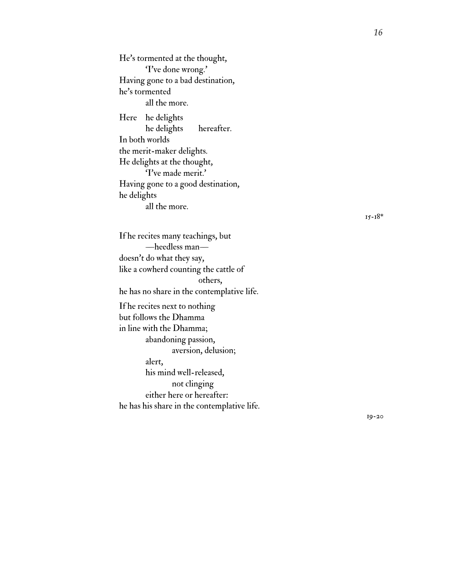He ' s tormented at the thought, 'I've done wrong.' Having gone to a bad destination, he ' s tormented all the more. Here he delights he delights hereafter. In both worlds the merit-maker delights. He delights at the thought, 'I've made merit.' Having gone to a good destination, he delights all the more.

 $15 - 18*$ 

If he recites many teachings, but —heedless man doesn ' t do what they say, like a cowherd counting the cattle of others, he has no share in the contemplative life. If he recites next to nothing but follows the Dhamma in line with the Dhamma; abandoning passion, aversion, delusion; alert, his mind well-released, not clinging either here or hereafter:

he has his share in the contemplative life.

19-20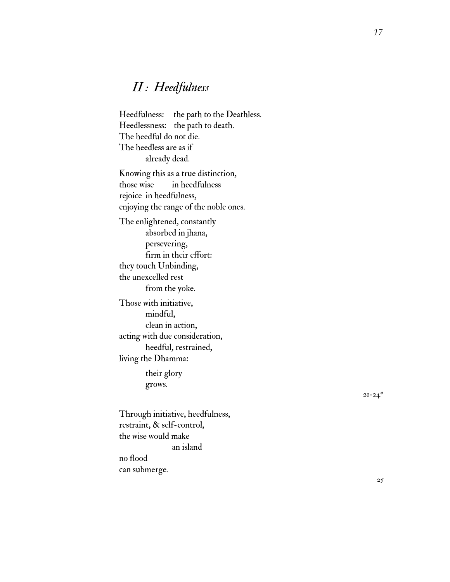### *II : Heedfulness*

Heedfulness: the path to the Deathless. Heedlessness: the path to death. The heedful do not die. The heedless are as if already dead. Knowing this as a true distinction, those wise in heedfulness rejoice in heedfulness, enjoying the range of the noble ones. The enlightened, constantly absorbed in jhana, persevering, firm in their effort: they touch Unbinding, the unexcelled rest from the yoke. Those with initiative, mindful, clean in action, acting with due consideration, heedful, restrained, living the Dhamma: their glory grows. Through initiative, heedfulness,

restraint, & self-control, the wise would make an island no flood can submerge.

 $2I - 24$ <sup>\*</sup>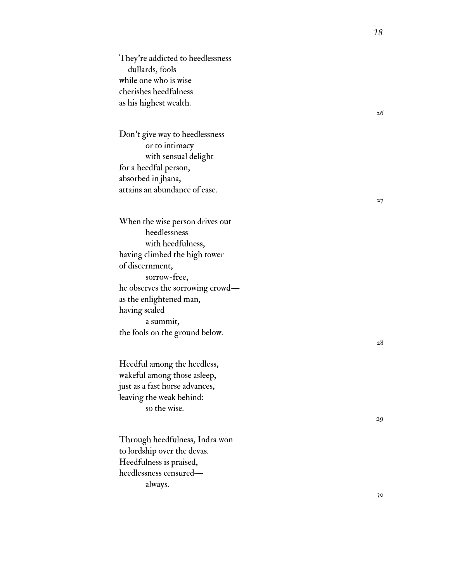They 're addicted to heedlessness —dullards, fools while one who is wise cherishes heedfulness as his highest wealth.

Don ' t give way to heedlessness or to intimacy with sensual delight for a heedful person, absorbed in jhana, attains an abundance of ease.

When the wise person drives out heedlessness with heedfulness, having climbed the high tower of discernment, sorrow-free, he observes the sorrowing crowd as the enlightened man, having scaled a summit, the fools on the ground below.

Heedful among the heedless, wakeful among those asleep, just as a fast horse advances, leaving the weak behind: so the wise.

Through heedfulness, Indra won to lordship over the devas. Heedfulness is praised, heedlessness censured always.

26

27

28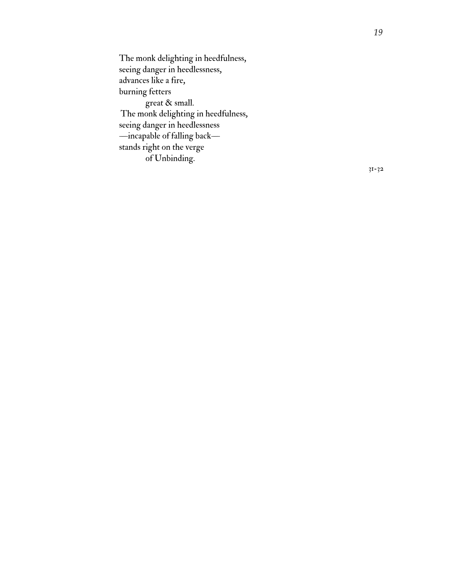The monk delighting in heedfulness, seeing danger in heedlessness, advances like a fire, burning fetters great & small. The monk delighting in heedfulness, seeing danger in heedlessness —incapable of falling back stands right on the verge of Unbinding.

31-32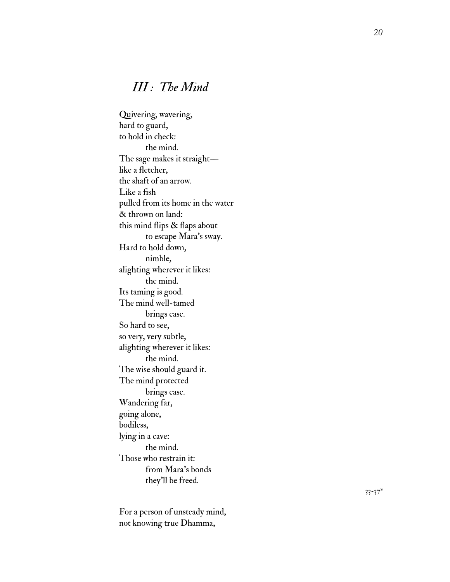#### *III : The Mind*

Quivering, wavering, hard to guard, to hold in check: the mind. The sage makes it straight like a fletcher, the shaft of an arrow. Like a fish pulled from its home in the water & thrown on land: this mind flips & flaps about to escape Mara ' s sway. Hard to hold down, nimble, alighting wherever it likes: the mind. Its taming is good. The mind well-tamed brings ease. So hard to see, so very, very subtle, alighting wherever it likes: the mind. The wise should guard it. The mind protected brings ease. Wandering far, going alone, bodiless, lying in a cave: the mind. Those who restrain it: from Mara ' s bonds they 'll be freed.

For a person of unsteady mind, not knowing true Dhamma,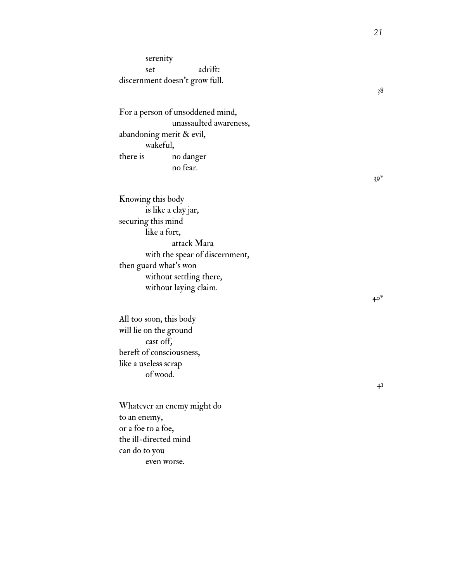serenity set adrift: discernment doesn ' t grow full.

For a person of unsoddened mind, unassaulted awareness, abandoning merit & evil, wakeful, there is no danger no fear.

Knowing this body is like a clay jar, securing this mind like a fort, attack Mara with the spear of discernment, then guard what ' s won without settling there, without laying claim.

All too soon, this body will lie on the ground cast off, bereft of consciousness, like a useless scrap of wood.

Whatever an enemy might do to an enemy, or a foe to a foe, the ill-directed mind can do to you even worse.

38

*21*

39\*

 $40*$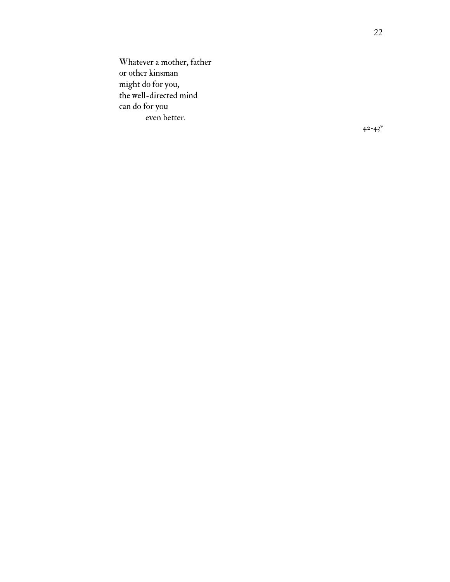Whatever a mother, father or other kinsman might do for you, the well-directed mind can do for you even better.

42-43\*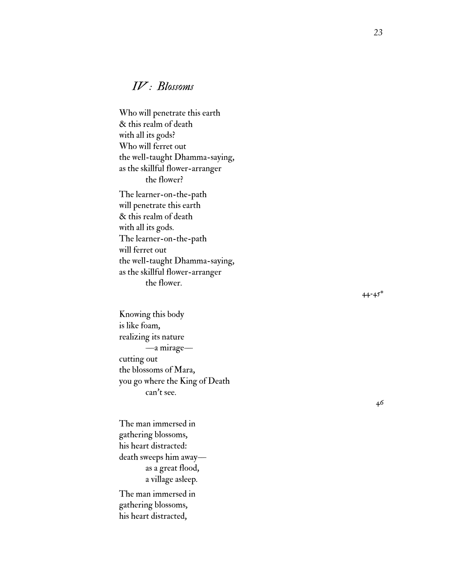#### *IV : Blossoms*

Who will penetrate this earth & this realm of death with all its gods? Who will ferret out the well-taught Dhamma-saying, as the skillful flower-arranger the flower? The learner-on-the-path will penetrate this earth & this realm of death with all its gods. The learner-on-the-path will ferret out the well-taught Dhamma-saying, as the skillful flower-arranger the flower.

Knowing this body is like foam, realizing its nature —a mirage cutting out the blossoms of Mara, you go where the King of Death can ' t see.

The man immersed in gathering blossoms, his heart distracted: death sweeps him away as a great flood, a village asleep. The man immersed in gathering blossoms, his heart distracted,

 $44 - 45$ \*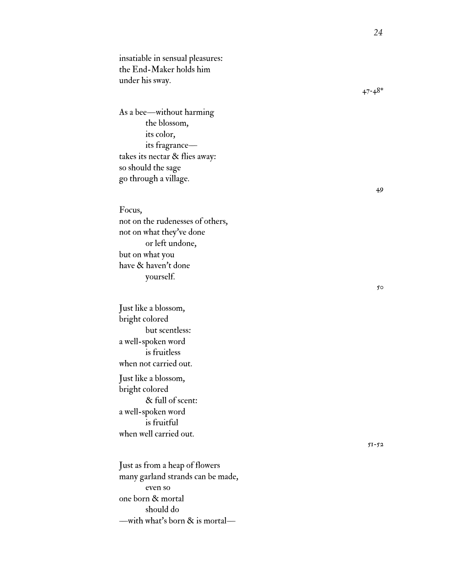insatiable in sensual pleasures: the End-Maker holds him under his sway.

As a bee —without harming the blossom, its color, its fragrance takes its nectar & flies away: so should the sage go through a village.

Focus, not on the rudenesses of others, not on what they 've done or left undone, but on what you have & haven ' t done yourself.

Just like a blossom, bright colored but scentless: a well-spoken word is fruitless when not carried out. Just like a blossom, bright colored & full of scent: a well-spoken word is fruitful when well carried out.

Just as from a heap of flowers many garland strands can be made, even so one born & mortal should do —with what ' s born & is mortal —

47-48\*

*24*

49

 $\mathfrak{H} \circ$ 

51-52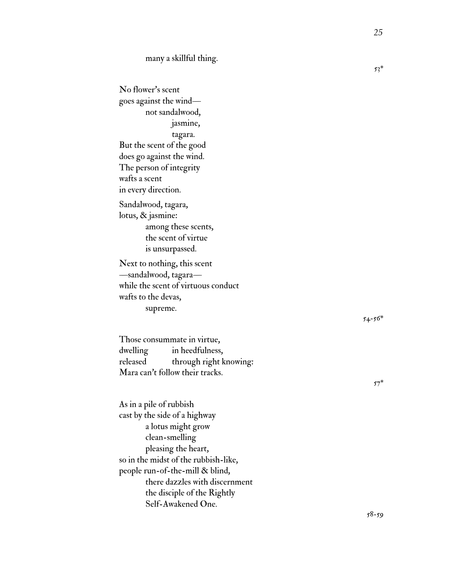No flower ' s scent goes against the wind not sandalwood, jasmine, tagara. But the scent of the good does go against the wind. The person of integrity wafts a scent in every direction. Sandalwood, tagara, lotus, & jasmine: among these scents, the scent of virtue is unsurpassed. Next to nothing, this scent —sandalwood, tagara while the scent of virtuous conduct wafts to the devas, supreme.

Those consummate in virtue, dwelling in heedfulness, released through right knowing: Mara can ' t follow their tracks.

As in a pile of rubbish cast by the side of a highway a lotus might grow clean-smelling pleasing the heart, so in the midst of the rubbish-like, people run-of-the-mill & blind, there dazzles with discernment the disciple of the Rightly Self-Awakened One.

 $53^*$ 

54-56\*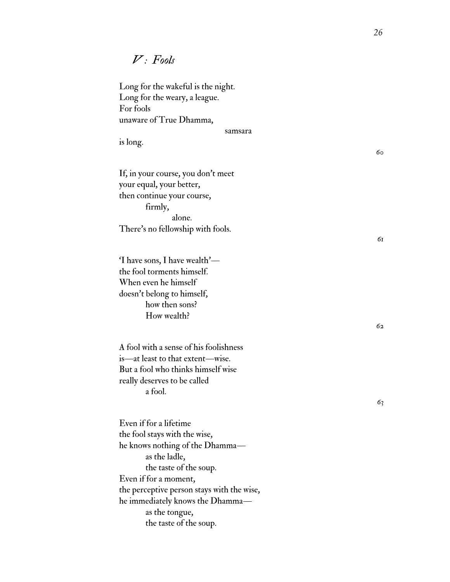#### *V : Fools*

Long for the wakeful is the night. Long for the weary, a league. For fools unaware of True Dhamma,

samsara

is long.

If, in your course, you don ' t meet your equal, your better, then continue your course, firmly, alone. There ' s no fellowship with fools.

' I have sons, I have wealth' the fool torments himself. When even he himself doesn ' t belong to himself, how then sons? How wealth?

A fool with a sense of his foolishness is —at least to that extent —wise. But a fool who thinks himself wise really deserves to be called a fool.

Even if for a lifetime the fool stays with the wise, he knows nothing of the Dhamma as the ladle, the taste of the soup. Even if for a moment, the perceptive person stays with the wise, he immediately knows the Dhamma as the tongue, the taste of the soup.

61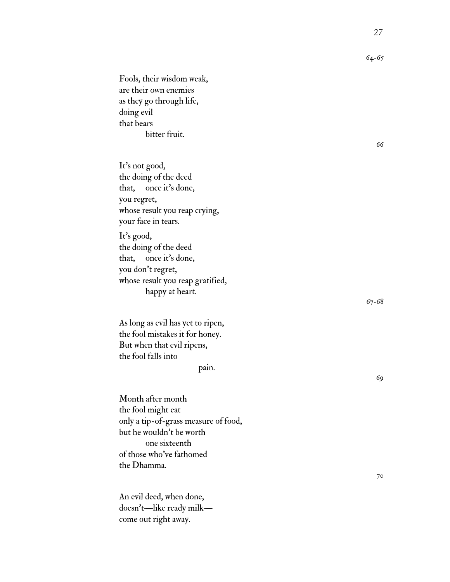Fools, their wisdom weak, are their own enemies as they go through life, doing evil that bears bitter fruit.

It ' s not good, the doing of the deed that, once it ' s done, you regret, whose result you reap crying, your face in tears.

It ' s good, the doing of the deed that, once it ' s done, you don ' t regret, whose result you reap gratified, happy at heart.

As long as evil has yet to ripen, the fool mistakes it for honey. But when that evil ripens, the fool falls into

pain.

Month after month the fool might eat only a tip-of-grass measure of food, but he wouldn ' t be worth one sixteenth of those who 've fathomed the Dhamma.

An evil deed, when done, doesn ' t —like ready milk come out right away.

64-65

*27*

66

67-68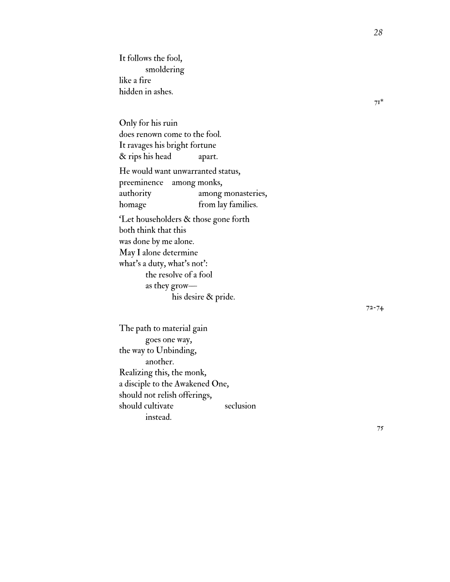It follows the fool, smoldering like a fire hidden in ashes.

Only for his ruin does renown come to the fool. It ravages his bright fortune & rips his head apart.

He would want unwarranted status, preeminence among monks, authority among monasteries, homage from lay families.

'Let householders & those gone forth both think that this was done by me alone. May I alone determine what's a duty, what's not': the resolve of a fool as they grow his desire & pride.

The path to material gain goes one way, the way to Unbinding, another. Realizing this, the monk, a disciple to the Awakened One, should not relish offerings, should cultivate seclusion instead.

72-74

*28*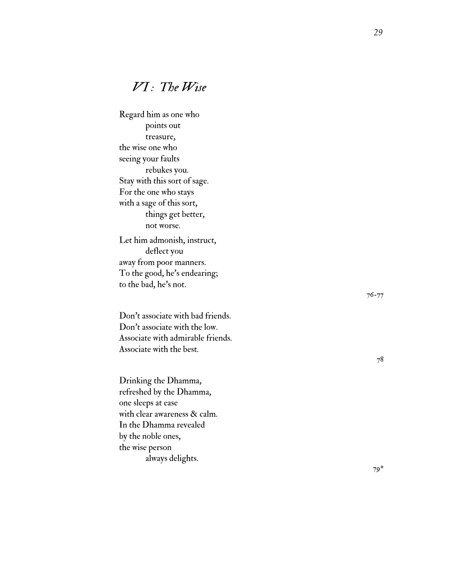#### *VI : The Wise*

Regard him as one who points out treasure, the wise one who seeing your faults rebukes you. Stay with this sort of sage. For the one who stays with a sage of this sort, things get better, not worse. Let him admonish, instruct, deflect you away from poor manners. To the good, he ' s endearing; to the bad, he ' s not. Don ' t associate with bad friends. Don ' t associate with the low. Associate with admirable friends. Associate with the best. Drinking the Dhamma, refreshed by the Dhamma, one sleeps at ease with clear awareness & calm.

In the Dhamma revealed by the noble ones, the wise person always delights.

76-77

78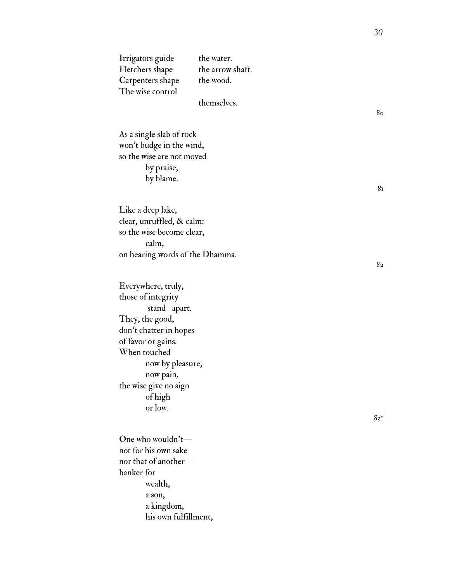| Irrigators guide | the water.       |
|------------------|------------------|
| Fletchers shape  | the arrow shaft. |
| Carpenters shape | the wood.        |
| The wise control |                  |
|                  | themselves.      |

As a single slab of rock won ' t budge in the wind, so the wise are not moved by praise, by blame.

Like a deep lake, clear, unruffled, & calm: so the wise become clear, calm, on hearing words of the Dhamma.

Everywhere, truly, those of integrity stand apart. They, the good, don ' t chatter in hopes of favor or gains. When touched now by pleasure, now pain, the wise give no sign of high or low.

One who wouldn't not for his own sake nor that of another hanker for wealth, a son, a kingdom, his own fulfillment, *30*

81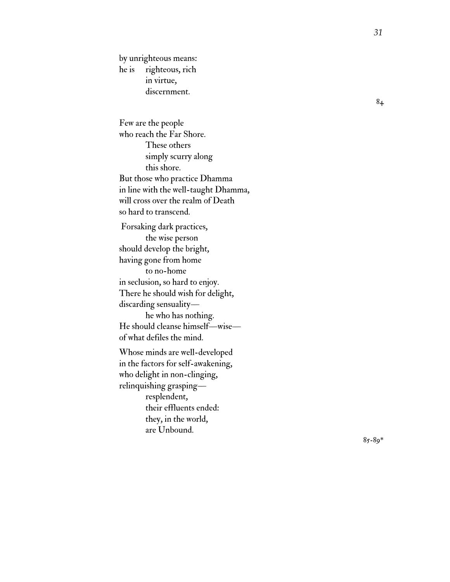by unrighteous means: he is righteous, rich in virtue, discernment.

Few are the people who reach the Far Shore. These others simply scurry along this shore. But those who practice Dhamma in line with the well-taught Dhamma, will cross over the realm of Death so hard to transcend. Forsaking dark practices, the wise person should develop the bright, having gone from home to no-home in seclusion, so hard to enjoy. There he should wish for delight, discarding sensuality he who has nothing. He should cleanse himself—wise of what defiles the mind. Whose minds are well-developed in the factors for self-awakening, who delight in non-clinging, relinquishing grasping resplendent, their effluents ended: they, in the world,

are Unbound.

85-89\*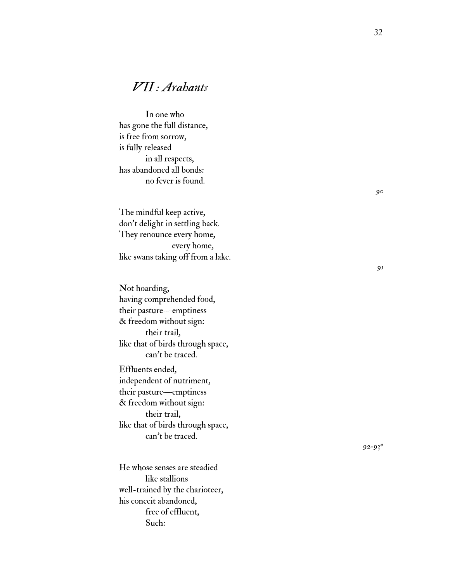#### *VII : Arahants*

 In one who has gone the full distance, is free from sorrow, is fully released in all respects, has abandoned all bonds: no fever is found.

The mindful keep active, don ' t delight in settling back. They renounce every home, every home, like swans taking off from a lake.

Not hoarding, having comprehended food, their pasture —emptiness & freedom without sign: their trail, like that of birds through space, can ' t be traced. Effluents ended,

independent of nutriment, their pasture —emptiness & freedom without sign: their trail, like that of birds through space, can ' t be traced.

He whose senses are steadied like stallions well-trained by the charioteer, his conceit abandoned, free of effluent, Such:

90

91

92-93\*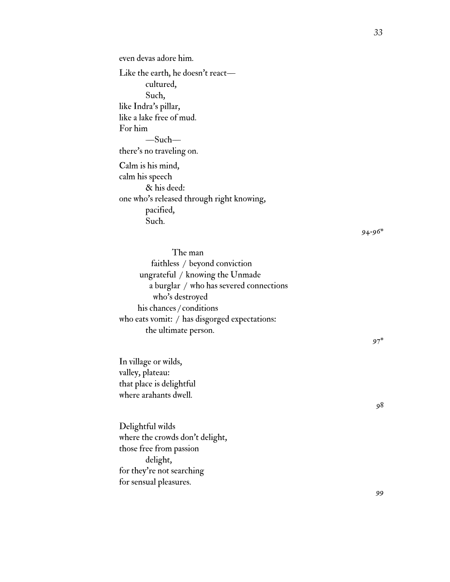even devas adore him. Like the earth, he doesn't react cultured, Such, like Indra's pillar, like a lake free of mud. For him —Such there's no traveling on. Calm is his mind, calm his speech & his deed: one who's released through right knowing, pacified, Such.

94-96\*

The man faithless / beyond conviction ungrateful / knowing the Unmade a burglar / who has severed connections who's destroyed his chances / conditions who eats vomit: / has disgorged expectations: the ultimate person.

In village or wilds, valley, plateau: that place is delightful where arahants dwell.

Delightful wilds where the crowds don't delight, those free from passion delight, for they're not searching for sensual pleasures.

97\*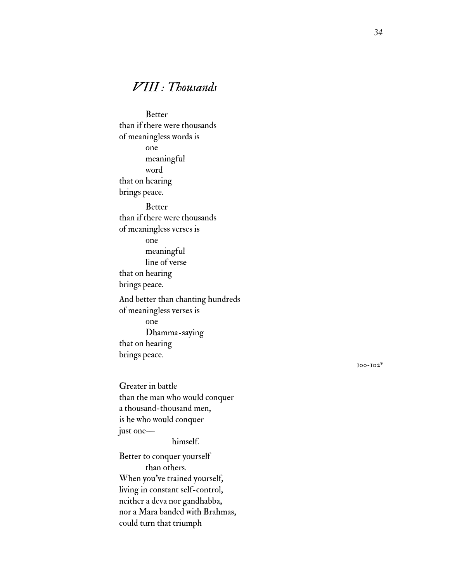#### *VIII : Thousands*

Better than if there were thousands of meaningless words is one meaningful word that on hearing brings peace. Better than if there were thousands of meaningless verses is one meaningful line of verse that on hearing brings peace. And better than chanting hundreds of meaningless verses is one Dhamma-saying that on hearing brings peace.

100-102\*

Greater in battle than the man who would conquer a thousand-thousand men, is he who would conquer just one —

#### himself.

Better to conquer yourself than others. When you 've trained yourself, living in constant self-control, neither a deva nor gandhabba, nor a Mara banded with Brahmas, could turn that triumph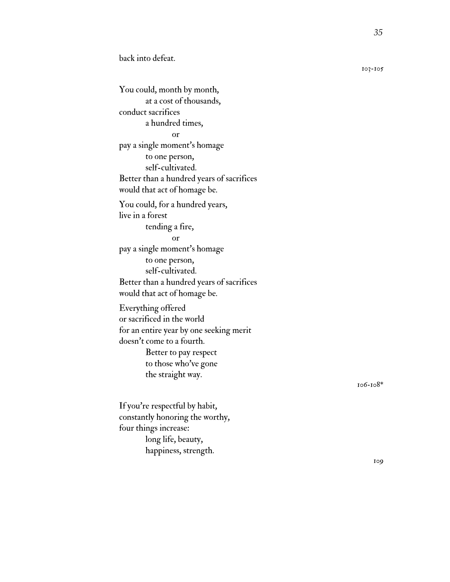back into defeat.

You could, month by month, at a cost of thousands, conduct sacrifices a hundred times, or pay a single moment ' s homage to one person, self-cultivated. Better than a hundred years of sacrifices would that act of homage be. You could, for a hundred years, live in a forest tending a fire, or pay a single moment ' s homage to one person, self-cultivated. Better than a hundred years of sacrifices would that act of homage be. Everything offered or sacrificed in the world for an entire year by one seeking merit doesn ' t come to a fourth. Better to pay respect to those who 've gone

the straight way.

If you 're respectful by habit, constantly honoring the worthy, four things increase: long life, beauty, happiness, strength.

106-108\*

103-105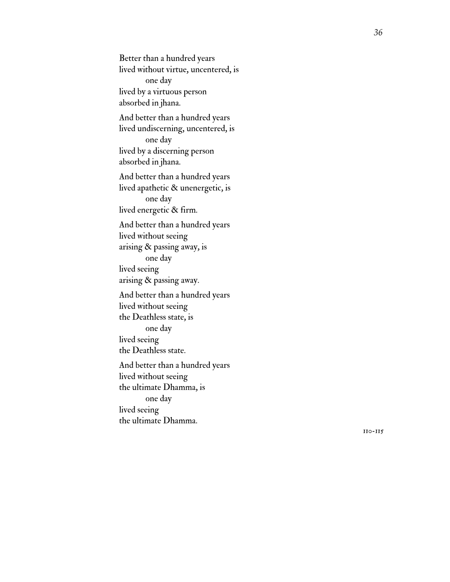Better than a hundred years lived without virtue, uncentered, is one day lived by a virtuous person absorbed in jhana. And better than a hundred years lived undiscerning, uncentered, is one day lived by a discerning person absorbed in jhana. And better than a hundred years lived apathetic & unenergetic, is one day lived energetic & firm. And better than a hundred years lived without seeing arising & passing away, is one day lived seeing arising & passing away. And better than a hundred years lived without seeing the Deathless state, is one day lived seeing the Deathless state. And better than a hundred years lived without seeing the ultimate Dhamma, is one day lived seeing the ultimate Dhamma.

110-115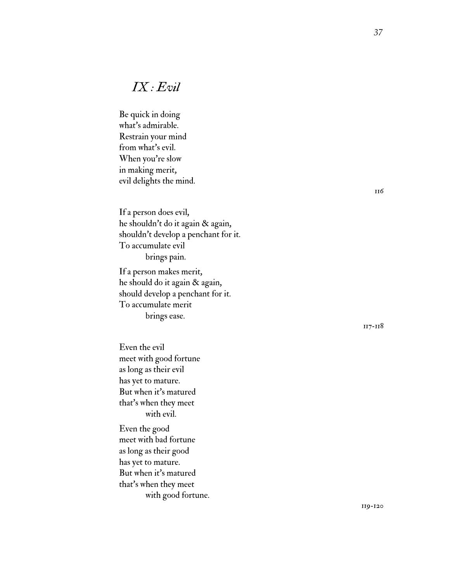### *IX : Evil*

Be quick in doing what ' s admirable. Restrain your mind from what ' s evil. When you 're slow in making merit, evil delights the mind.

If a person does evil, he shouldn ' t do it again & again, shouldn ' t develop a penchant for it. To accumulate evil brings pain.

If a person makes merit, he should do it again & again, should develop a penchant for it. To accumulate merit brings ease.

Even the evil meet with good fortune as long as their evil has yet to mature. But when it ' s matured that ' s when they meet with evil.

Even the good meet with bad fortune as long as their good has yet to mature. But when it ' s matured that ' s when they meet with good fortune.

116

117-118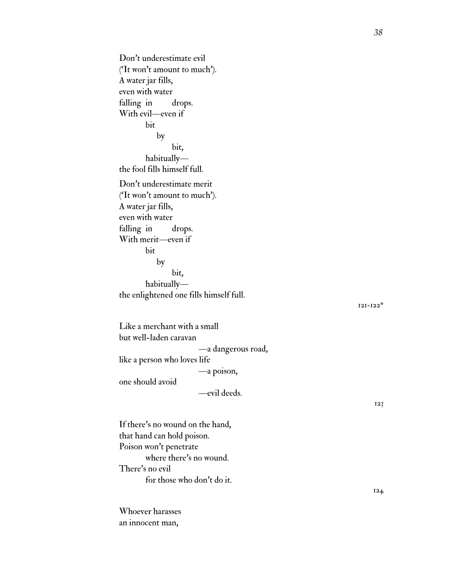Don't underestimate evil ('It won't amount to much'). A water jar fills, even with water falling in drops. With evil—even if bit by bit, habitually the fool fills himself full. Don't underestimate merit ('It won't amount to much'). A water jar fills, even with water falling in drops. With merit—even if bit by bit, habitually the enlightened one fills himself full. Like a merchant with a small but well-laden caravan —a dangerous road, like a person who loves life

—a poison,

one should avoid

—evil deeds.

If there's no wound on the hand, that hand can hold poison. Poison won't penetrate where there's no wound. There's no evil for those who don't do it.

Whoever harasses an innocent man,

121-122\*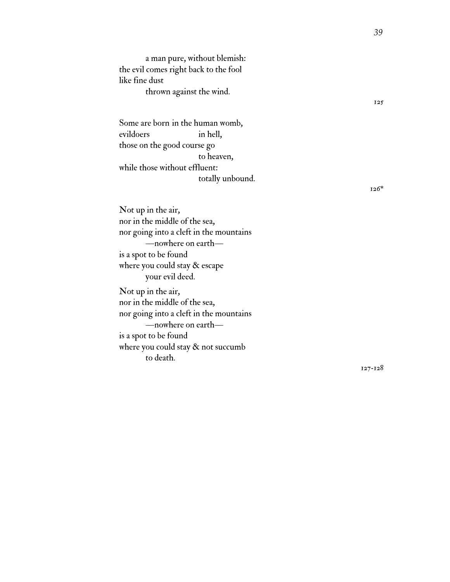a man pure, without blemish: the evil comes right back to the fool like fine dust thrown against the wind.

Some are born in the human womb, evildoers in hell, those on the good course go to heaven, while those without effluent: totally unbound.

126\*

Not up in the air, nor in the middle of the sea, nor going into a cleft in the mountains —nowhere on earth is a spot to be found where you could stay & escape your evil deed. Not up in the air, nor in the middle of the sea, nor going into a cleft in the mountains —nowhere on earth is a spot to be found where you could stay & not succumb to death.

127-128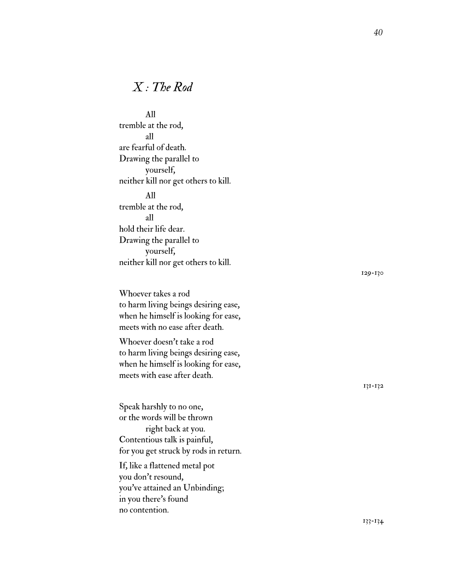### *X : The Rod*

All tremble at the rod, all are fearful of death. Drawing the parallel to yourself, neither kill nor get others to kill. All tremble at the rod, all hold their life dear. Drawing the parallel to yourself, neither kill nor get others to kill.

Whoever takes a rod to harm living beings desiring ease, when he himself is looking for ease, meets with no ease after death.

Whoever doesn ' t take a rod to harm living beings desiring ease, when he himself is looking for ease, meets with ease after death.

Speak harshly to no one, or the words will be thrown right back at you. Contentious talk is painful, for you get struck by rods in return.

If, like a flattened metal pot you don ' t resound, you 've attained an Unbinding; in you there ' s found no contention.

129-130

131-132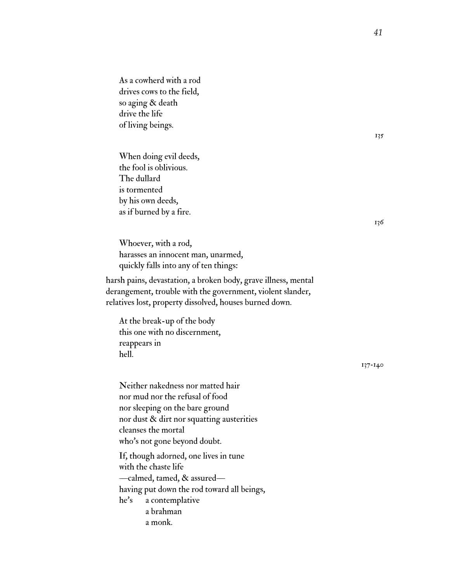As a cowherd with a rod drives cows to the field, so aging & death drive the life of living beings.

When doing evil deeds, the fool is oblivious. The dullard is tormented by his own deeds, as if burned by a fire.

Whoever, with a rod, harasses an innocent man, unarmed, quickly falls into any of ten things:

harsh pains, devastation, a broken body, grave illness, mental derangement, trouble with the government, violent slander, relatives lost, property dissolved, houses burned down.

At the break-up of the body this one with no discernment, reappears in hell.

Neither nakedness nor matted hair nor mud nor the refusal of food nor sleeping on the bare ground nor dust & dirt nor squatting austerities cleanses the mortal who's not gone beyond doubt.

If, though adorned, one lives in tune with the chaste life —calmed, tamed, & assured having put down the rod toward all beings, he's a contemplative a brahman a monk.

136

*41*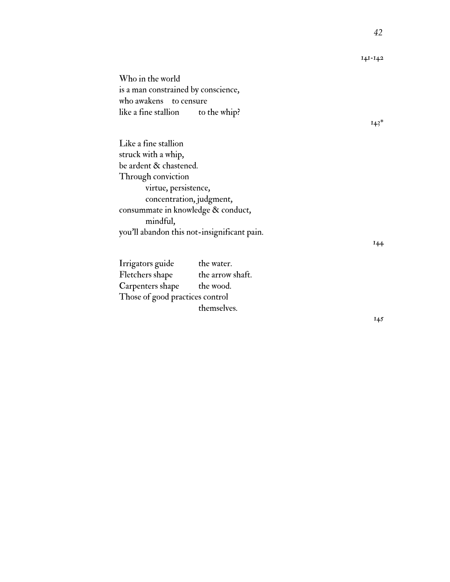Who in the world is a man constrained by conscience, who awakens to censure like a fine stallion to the whip?

Like a fine stallion struck with a whip, be ardent & chastened. Through conviction virtue, persistence, concentration, judgment, consummate in knowledge & conduct, mindful, you'll abandon this not-insignificant pain.

Irrigators guide the water. Fletchers shape the arrow shaft. Carpenters shape the wood. Those of good practices control themselves.

145

141-142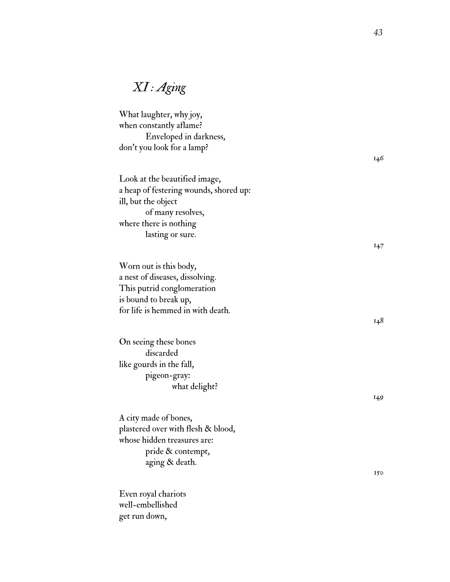# *XI : Aging*

| What laughter, why joy,<br>when constantly aflame?<br>Enveloped in darkness,<br>don't you look for a lamp?                                                        | 146 |
|-------------------------------------------------------------------------------------------------------------------------------------------------------------------|-----|
| Look at the beautified image,<br>a heap of festering wounds, shored up:<br>ill, but the object<br>of many resolves,<br>where there is nothing<br>lasting or sure. |     |
|                                                                                                                                                                   | 147 |
| Worn out is this body,<br>a nest of diseases, dissolving.<br>This putrid conglomeration<br>is bound to break up,<br>for life is hemmed in with death.             |     |
|                                                                                                                                                                   | 148 |
| On seeing these bones<br>discarded                                                                                                                                |     |
| like gourds in the fall,<br>pigeon-gray:                                                                                                                          |     |
| what delight?                                                                                                                                                     |     |
|                                                                                                                                                                   | 149 |
| A city made of bones,<br>plastered over with flesh & blood,<br>whose hidden treasures are:                                                                        |     |
| pride & contempt,                                                                                                                                                 |     |
| aging & death.                                                                                                                                                    | 150 |
| Even royal chariots<br>well-embellished                                                                                                                           |     |

get run down,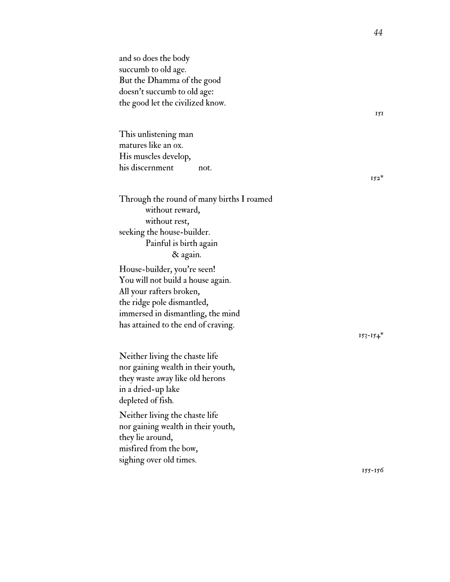and so does the body succumb to old age. But the Dhamma of the good doesn ' t succumb to old age: the good let the civilized know. This unlistening man matures like an ox. His muscles develop, his discernment not. Through the round of many births I roamed without reward, without rest, seeking the house-builder. Painful is birth again & again. House-builder, you 're seen! You will not build a house again. All your rafters broken, the ridge pole dismantled, immersed in dismantling, the mind has attained to the end of craving. Neither living the chaste life nor gaining wealth in their youth, they waste away like old herons in a dried-up lake depleted of fish. Neither living the chaste life nor gaining wealth in their youth, they lie around, misfired from the bow, sighing over old times.

152\*

151

 $153 - 154$ \*

155-156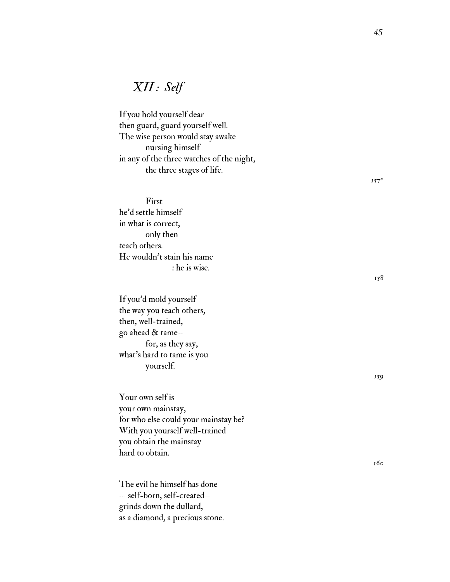# *XII : Self*

If you hold yourself dear then guard, guard yourself well. The wise person would stay awake nursing himself in any of the three watches of the night, the three stages of life.

First he ' d settle himself in what is correct, only then teach others. He wouldn ' t stain his name : he is wise.

If you ' d mold yourself the way you teach others, then, well-trained, go ahead & tame for, as they say, what ' s hard to tame is you yourself.

Your own self is your own mainstay, for who else could your mainstay be? With you yourself well-trained you obtain the mainstay hard to obtain.

The evil he himself has done —self-born, self-created grinds down the dullard, as a diamond, a precious stone.  $157*$ 

158

159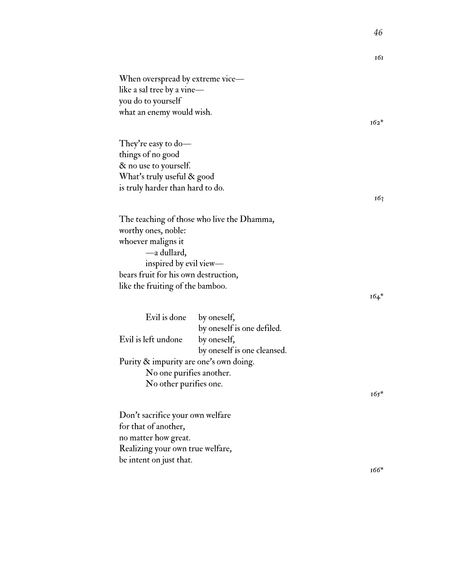When overspread by extreme vice like a sal tree by a vine you do to yourself what an enemy would wish.

They're easy to do things of no good & no use to yourself. What's truly useful & good is truly harder than hard to do.

The teaching of those who live the Dhamma, worthy ones, noble: whoever maligns it —a dullard, inspired by evil view bears fruit for his own destruction, like the fruiting of the bamboo.

164\*

| Evil is done                           | by oneself,                 |  |
|----------------------------------------|-----------------------------|--|
|                                        | by oneself is one defiled.  |  |
| Evil is left undone                    | by oneself,                 |  |
|                                        | by oneself is one cleansed. |  |
| Purity & impurity are one's own doing. |                             |  |
| No one purifies another.               |                             |  |
| No other purifies one.                 |                             |  |
|                                        |                             |  |
|                                        |                             |  |

Don't sacrifice your own welfare for that of another, no matter how great. Realizing your own true welfare, be intent on just that.

166\*

161

162\*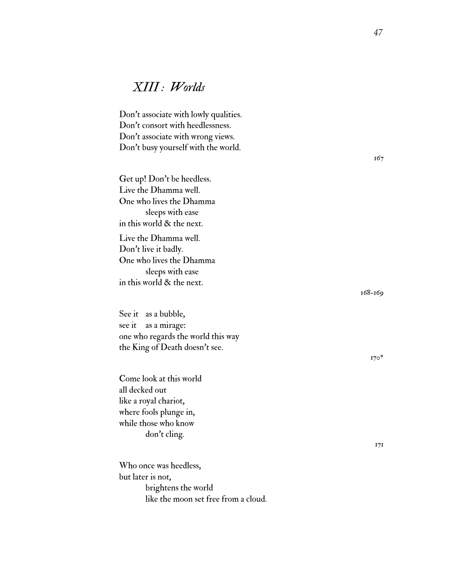# *XIII : Worlds*

Don't associate with lowly qualities. Don't consort with heedlessness. Don't associate with wrong views. Don't busy yourself with the world.

Get up! Don't be heedless. Live the Dhamma well. One who lives the Dhamma sleeps with ease in this world & the next. Live the Dhamma well. Don't live it badly. One who lives the Dhamma sleeps with ease in this world & the next.

See it as a bubble, see it as a mirage: one who regards the world this way the King of Death doesn't see.

Come look at this world all decked out like a royal chariot, where fools plunge in, while those who know don't cling.

Who once was heedless, but later is not, brightens the world like the moon set free from a cloud. 168-169

170\*

171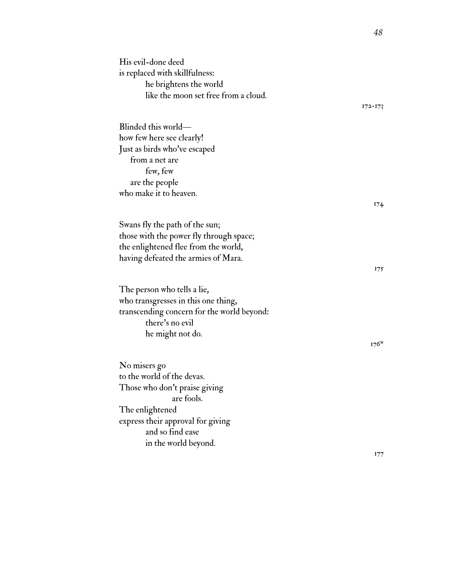| His evil-done deed                         |             |
|--------------------------------------------|-------------|
| is replaced with skillfulness:             |             |
| he brightens the world                     |             |
| like the moon set free from a cloud.       |             |
|                                            | $172 - 173$ |
|                                            |             |
| Blinded this world—                        |             |
| how few here see clearly!                  |             |
| Just as birds who've escaped               |             |
| from a net are                             |             |
| few, few                                   |             |
| are the people                             |             |
| who make it to heaven.                     |             |
|                                            | 174         |
|                                            |             |
| Swans fly the path of the sun;             |             |
| those with the power fly through space;    |             |
| the enlightened flee from the world,       |             |
| having defeated the armies of Mara.        |             |
|                                            | 175         |
| The person who tells a lie,                |             |
| who transgresses in this one thing,        |             |
| transcending concern for the world beyond: |             |
| there's no evil                            |             |
| he might not do.                           |             |
|                                            | $176*$      |
|                                            |             |
| No misers go                               |             |
| to the world of the devas.                 |             |
| Those who don't praise giving              |             |
| are fools.                                 |             |
| The enlightened                            |             |
| express their approval for giving          |             |
| and so find ease                           |             |
| in the world beyond.                       |             |
|                                            |             |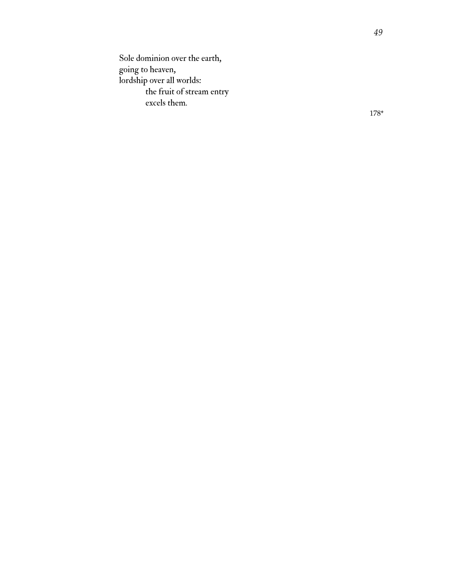Sole dominion over the earth, going to heaven, lordship over all worlds: the fruit of stream entry excels them.

178\*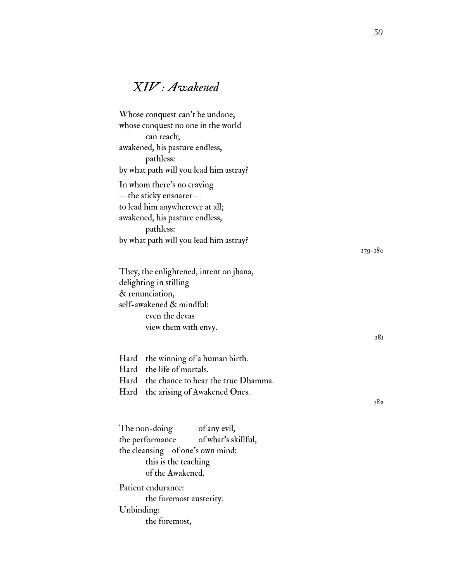# *XIV : Awakened*

| Whose conquest can't be undone,                                                                                                                            |  |
|------------------------------------------------------------------------------------------------------------------------------------------------------------|--|
| whose conquest no one in the world                                                                                                                         |  |
| can reach;                                                                                                                                                 |  |
| awakened, his pasture endless,                                                                                                                             |  |
| pathless:                                                                                                                                                  |  |
| by what path will you lead him astray?                                                                                                                     |  |
| In whom there's no craving                                                                                                                                 |  |
| -the sticky ensnarer-                                                                                                                                      |  |
| to lead him anywherever at all;                                                                                                                            |  |
| awakened, his pasture endless,                                                                                                                             |  |
| pathless:                                                                                                                                                  |  |
| by what path will you lead him astray?                                                                                                                     |  |
| $179 - 180$                                                                                                                                                |  |
| They, the enlightened, intent on jhana,<br>delighting in stilling<br>& renunciation,<br>self-awakened & mindful:<br>even the devas<br>view them with envy. |  |
| 181                                                                                                                                                        |  |
| Hard the winning of a human birth.<br>Hard the life of mortals.<br>Hard the chance to hear the true Dhamma.                                                |  |
| Hard<br>the arising of Awakened Ones.                                                                                                                      |  |
| 182                                                                                                                                                        |  |
| The non-doing<br>of any evil,<br>the performance<br>of what's skillful,                                                                                    |  |

the cleansing of one's own mind: this is the teaching of the Awakened. Patient endurance: the foremost austerity. Unbinding: the foremost,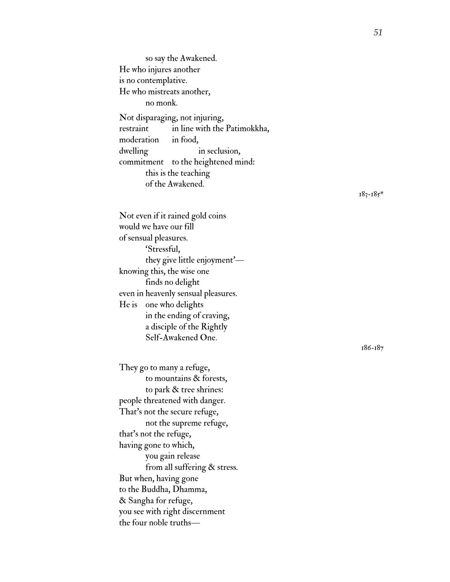so say the Awakened. He who injures another is no contemplative. He who mistreats another, no monk. Not disparaging, not injuring, restraint in line with the Patimokkha, moderation in food, dwelling in seclusion, commitment to the heightened mind: this is the teaching of the Awakened.

they give little enjoyment'—

in the ending of craving, a disciple of the Rightly Self-Awakened One.

Not even if it rained gold coins

would we have our fill of sensual pleasures.

'Stressful,

knowing this, the wise one finds no delight even in heavenly sensual pleasures.

He is one who delights

183-185\*

186-187

They go to many a refuge, to mountains & forests, to park & tree shrines: people threatened with danger. That ' s not the secure refuge, not the supreme refuge, that ' s not the refuge, having gone to which, you gain release from all suffering & stress. But when, having gone to the Buddha, Dhamma, & Sangha for refuge, you see with right discernment the four noble truths —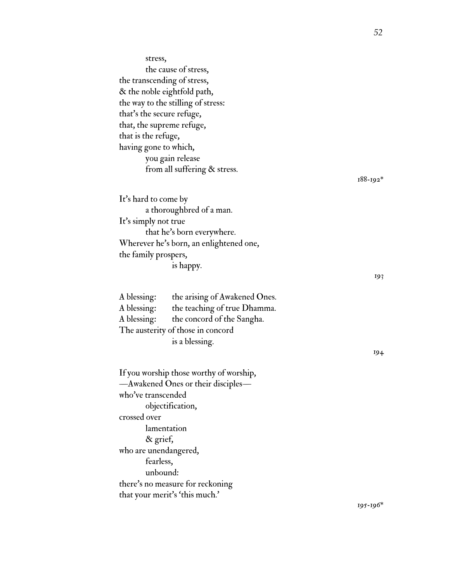| stress,                                      |              |
|----------------------------------------------|--------------|
| the cause of stress,                         |              |
| the transcending of stress,                  |              |
| & the noble eightfold path,                  |              |
| the way to the stilling of stress:           |              |
| that's the secure refuge,                    |              |
| that, the supreme refuge,                    |              |
| that is the refuge,                          |              |
| having gone to which,                        |              |
| you gain release                             |              |
| from all suffering & stress.                 |              |
|                                              | $188 - 192*$ |
|                                              |              |
| It's hard to come by                         |              |
| a thoroughbred of a man.                     |              |
| It's simply not true                         |              |
| that he's born everywhere.                   |              |
| Wherever he's born, an enlightened one,      |              |
| the family prospers,                         |              |
| is happy.                                    |              |
|                                              | 193          |
|                                              |              |
| A blessing:<br>the arising of Awakened Ones. |              |
| A blessing: the teaching of true Dhamma.     |              |
| A blessing:<br>the concord of the Sangha.    |              |
| The austerity of those in concord            |              |
| is a blessing.                               |              |
|                                              | 194          |
|                                              |              |
| If you worship those worthy of worship,      |              |
| -Awakened Ones or their disciples-           |              |
| who've transcended                           |              |
| objectification,                             |              |
| crossed over                                 |              |
| lamentation                                  |              |
| & grief,                                     |              |
| who are unendangered,                        |              |
| fearless,                                    |              |
| unbound:                                     |              |
| there's no measure for reckoning             |              |
| that your merit's 'this much.'               |              |
|                                              | 195-196*     |
|                                              |              |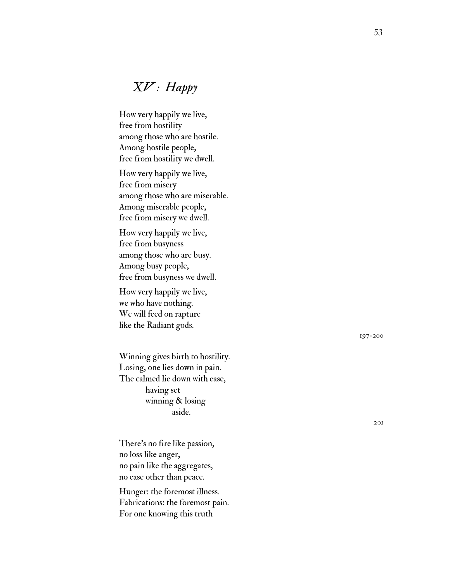# *XV : Happy*

How very happily we live, free from hostility among those who are hostile. Among hostile people, free from hostility we dwell.

How very happily we live, free from misery among those who are miserable. Among miserable people, free from misery we dwell.

How very happily we live, free from busyness among those who are busy. Among busy people, free from busyness we dwell.

How very happily we live, we who have nothing. We will feed on rapture like the Radiant gods.

Winning gives birth to hostility. Losing, one lies down in pain. The calmed lie down with ease, having set winning & losing aside.

There ' s no fire like passion, no loss like anger, no pain like the aggregates, no ease other than peace.

Hunger: the foremost illness. Fabrications: the foremost pain. For one knowing this truth

197-200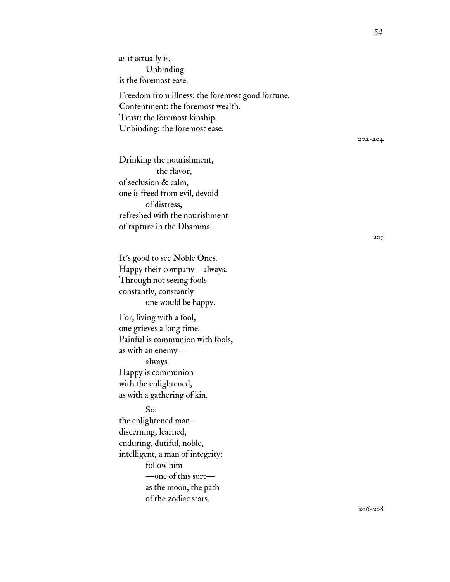as it actually is, Unbinding is the foremost ease. Freedom from illness: the foremost good fortune. Contentment: the foremost wealth. Trust: the foremost kinship. Unbinding: the foremost ease.

Drinking the nourishment, the flavor, of seclusion & calm, one is freed from evil, devoid of distress, refreshed with the nourishment of rapture in the Dhamma.

It's good to see Noble Ones. Happy their company—always. Through not seeing fools constantly, constantly one would be happy.

For, living with a fool, one grieves a long time. Painful is communion with fools, as with an enemy always. Happy is communion with the enlightened, as with a gathering of kin.

So:

the enlightened man discerning, learned, enduring, dutiful, noble, intelligent, a man of integrity: follow him —one of this sort as the moon, the path of the zodiac stars.

205

202-204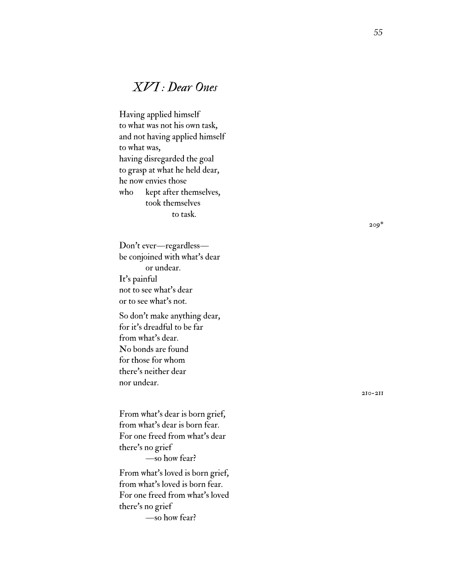### *XVI : Dear Ones*

Having applied himself to what was not his own task, and not having applied himself to what was, having disregarded the goal to grasp at what he held dear, he now envies those who kept after themselves, took themselves to task.

Don ' t ever —regardless be conjoined with what ' s dear or undear. It ' s painful not to see what ' s dear or to see what ' s not. So don ' t make anything dear, for it ' s dreadful to be far from what ' s dear. No bonds are found for those for whom there ' s neither dear nor undear.

From what ' s dear is born grief, from what ' s dear is born fear. For one freed from what ' s dear there ' s no grief —so how fear? From what ' s loved is born grief, from what ' s loved is born fear. For one freed from what ' s loved there ' s no grief —so how fear?

209\*

210-211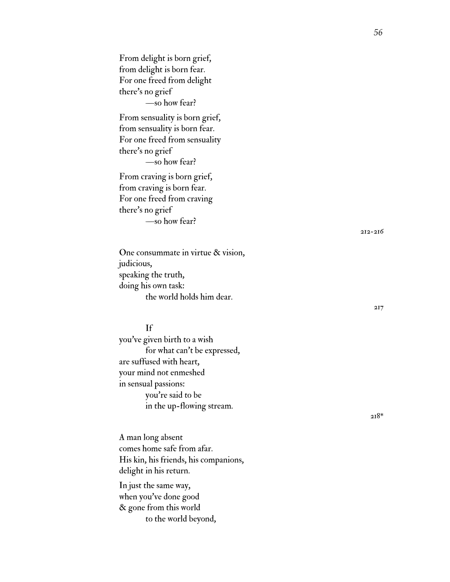From delight is born grief, from delight is born fear. For one freed from delight there ' s no grief —so how fear? From sensuality is born grief, from sensuality is born fear. For one freed from sensuality there ' s no grief —so how fear? From craving is born grief, from craving is born fear. For one freed from craving there ' s no grief —so how fear? 212-216 One consummate in virtue & vision, judicious,

speaking the truth, doing his own task: the world holds him dear.

#### If

you 've given birth to a wish for what can ' t be expressed, are suffused with heart, your mind not enmeshed in sensual passions: you 're said to be in the up-flowing stream.

A man long absent comes home safe from afar. His kin, his friends, his companions, delight in his return.

In just the same way, when you 've done good & gone from this world to the world beyond,

217

218\*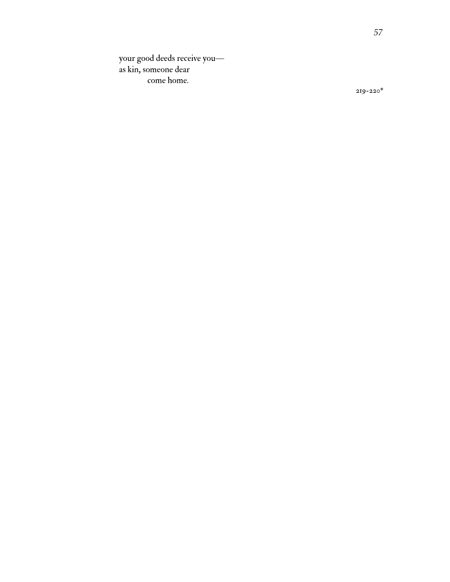your good deeds receive you as kin, someone dear come home.

219-220\*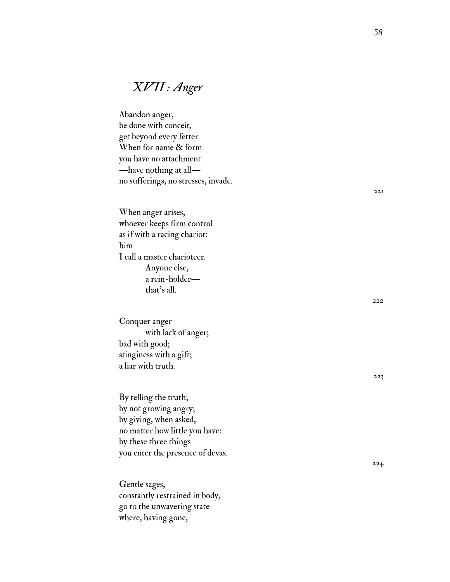### *XVII : Anger*

Abandon anger, be done with conceit, get beyond every fetter. When for name & form you have no attachment —have nothing at all no sufferings, no stresses, invade.

When anger arises, whoever keeps firm control as if with a racing chariot: him<br>I call a master charioteer. Anyone else, a rein-holder that ' s all.

Conquer anger with lack of anger; bad with good; stinginess with a gift; a liar with truth.

By telling the truth; by not growing angry; by giving, when asked, no matter how little you have: by these three things you enter the presence of devas.

Gentle sages, constantly restrained in body, go to the unwavering state where, having gone,

221

222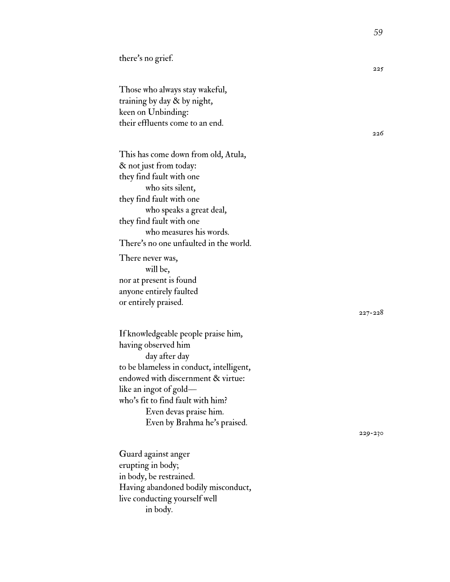Those who always stay wakeful, training by day & by night, keen on Unbinding: their effluents come to an end.

This has come down from old, Atula, & not just from today: they find fault with one who sits silent, they find fault with one who speaks a great deal, they find fault with one who measures his words. There ' s no one unfaulted in the world. There never was, will be, nor at present is found anyone entirely faulted

or entirely praised.

If knowledgeable people praise him, having observed him day after day to be blameless in conduct, intelligent, endowed with discernment & virtue: like an ingot of gold who ' s fit to find fault with him? Even devas praise him. Even by Brahma he ' s praised.

Guard against anger erupting in body; in body, be restrained.

Having abandoned bodily misconduct, live conducting yourself well in body.

225

226

227-228

229-230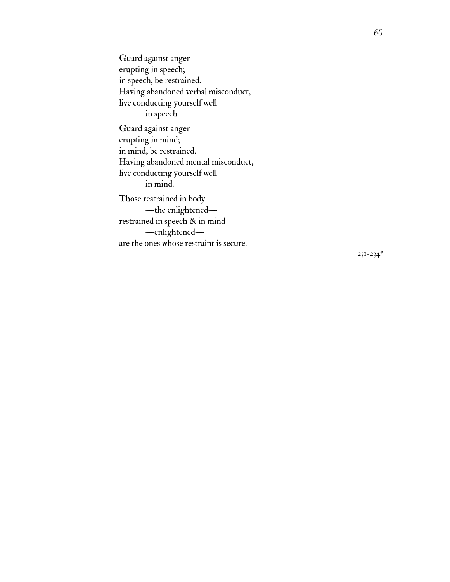Guard against anger erupting in speech; in speech, be restrained. Having abandoned verbal misconduct, live conducting yourself well in speech.

Guard against anger erupting in mind; in mind, be restrained. Having abandoned mental misconduct, live conducting yourself well in mind. Those restrained in body —the enlightened restrained in speech & in mind —enlightened are the ones whose restraint is secure.

231-234\*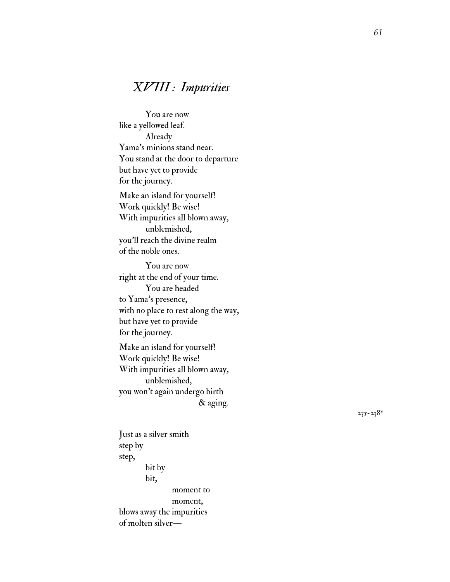# *XVIII : Impurities*

You are now like a yellowed leaf. Already Yama ' s minions stand near. You stand at the door to departure but have yet to provide for the journey. Make an island for yourself! Work quickly! Be wise! With impurities all blown away, unblemished, you 'll reach the divine realm of the noble ones. You are now right at the end of your time. You are headed to Yama ' s presence, with no place to rest along the way, but have yet to provide for the journey. Make an island for yourself! Work quickly! Be wise! With impurities all blown away, unblemished, you won ' t again undergo birth

Just as a silver smith

bit by bit,

blows away the impurities

of molten silver —

step by step,

& aging.

moment to moment,

 $235 - 238*$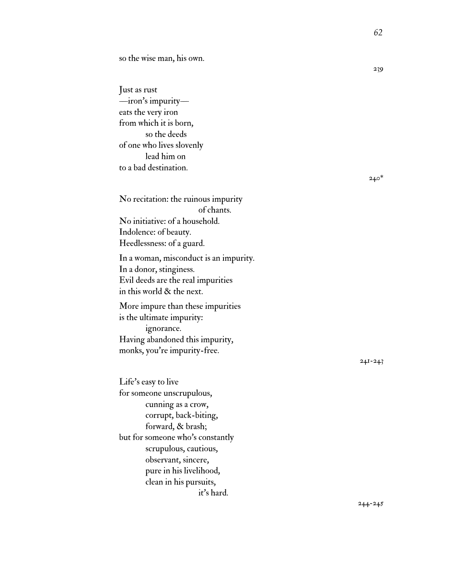Just as rust —iron's impurity eats the very iron from which it is born, so the deeds of one who lives slovenly lead him on to a bad destination.

No recitation: the ruinous impurity of chants. No initiative: of a household. Indolence: of beauty. Heedlessness: of a guard. In a woman, misconduct is an impurity.

In a donor, stinginess. Evil deeds are the real impurities in this world & the next.

More impure than these impurities is the ultimate impurity: ignorance. Having abandoned this impurity, monks, you 're impurity-free.

Life ' s easy to live for someone unscrupulous, cunning as a crow, corrupt, back-biting, forward, & brash; but for someone who ' s constantly scrupulous, cautious, observant, sincere, pure in his livelihood, clean in his pursuits, it ' s hard.

240\*

241-243

244-245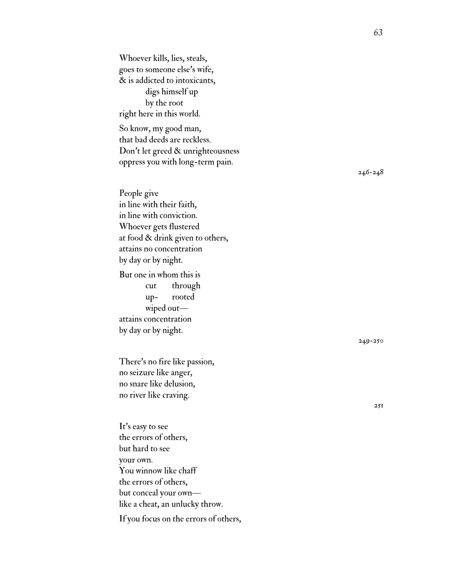Whoever kills, lies, steals, goes to someone else ' s wife, & is addicted to intoxicants, digs himself up by the root right here in this world.

So know, my good man, that bad deeds are reckless. Don ' t let greed & unrighteousness oppress you with long-term pain.

People give in line with their faith, in line with conviction. Whoever gets flustered at food & drink given to others, attains no concentration by day or by night. But one in whom this is cut through

up- rooted wiped out attains concentration by day or by night.

There ' s no fire like passion, no seizure like anger, no snare like delusion, no river like craving.

It ' s easy to see the errors of others, but hard to see your own. You winnow like chaff the errors of others, but conceal your own like a cheat, an unlucky throw. If you focus on the errors of others, 246-248

249-250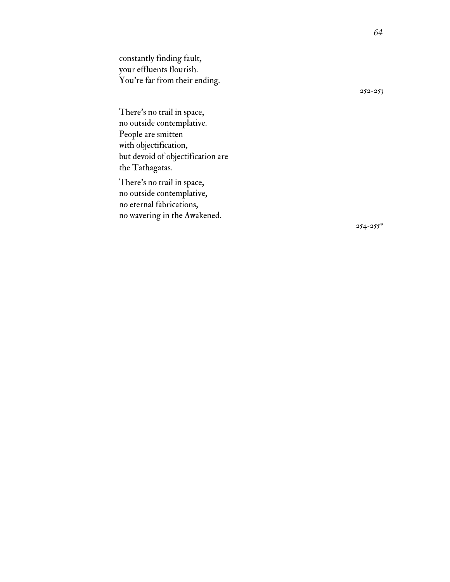constantly finding fault, your effluents flourish. You 're far from their ending.

There ' s no trail in space, no outside contemplative. People are smitten with objectification, but devoid of objectification are the Tathagatas.

There ' s no trail in space, no outside contemplative, no eternal fabrications, no wavering in the Awakened. 252-253

 $254 - 255$ \*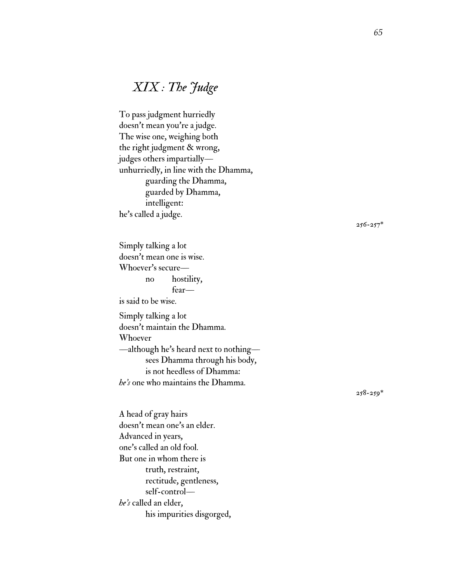# *XIX : The Judge*

To pass judgment hurriedly doesn't mean you're a judge. The wise one, weighing both the right judgment & wrong, judges others impartially unhurriedly, in line with the Dhamma, guarding the Dhamma, guarded by Dhamma, intelligent: he's called a judge.

Simply talking a lot doesn't mean one is wise. Whoever's secure no hostility, fear is said to be wise. Simply talking a lot doesn't maintain the Dhamma. Whoever —although he's heard next to nothing sees Dhamma through his body, is not heedless of Dhamma: *he's* one who maintains the Dhamma.

A head of gray hairs doesn't mean one's an elder. Advanced in years, one's called an old fool. But one in whom there is truth, restraint, rectitude, gentleness, self-control *he's* called an elder, his impurities disgorged,  $256 - 257$ <sup>\*</sup>

258-259\*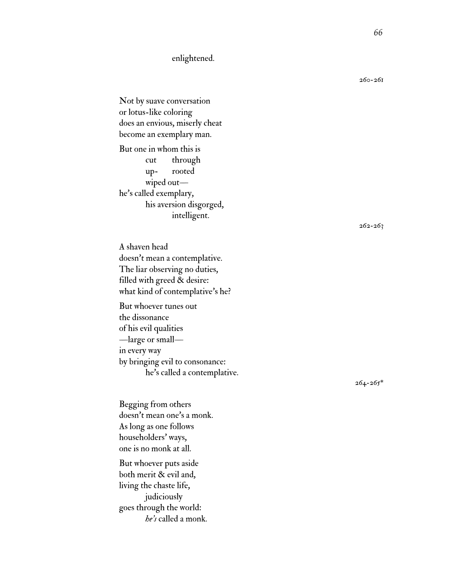#### enlightened.

Not by suave conversation or lotus-like coloring does an envious, miserly cheat become an exemplary man. But one in whom this is cut through up- rooted wiped out he ' s called exemplary, his aversion disgorged, intelligent.

A shaven head doesn ' t mean a contemplative. The liar observing no duties, filled with greed & desire: what kind of contemplative ' s he?

But whoever tunes out the dissonance of his evil qualities —large or small in every way by bringing evil to consonance: he ' s called a contemplative.

Begging from others doesn ' t mean one ' s a monk. As long as one follows householders' ways, one is no monk at all.

But whoever puts aside both merit & evil and, living the chaste life, judiciously goes through the world: *he 's* called a monk. 260-261

262-263

264-265\*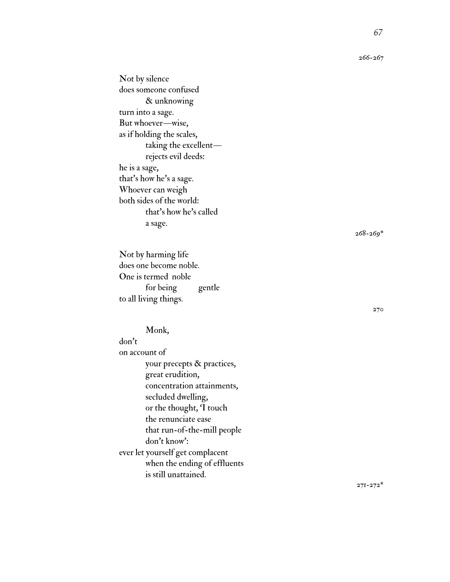Not by silence does someone confused & unknowing turn into a sage. But whoever —wise, as if holding the scales, taking the excellent rejects evil deeds: he is a sage, that ' s how he ' s a sage. Whoever can weigh both sides of the world: that ' s how he ' s called a sage.

Not by harming life does one become noble. One is termed noble for being gentle to all living things.

#### Monk,

don ' t on account of your precepts & practices, great erudition, concentration attainments, secluded dwelling, or the thought, ' I touch the renunciate ease that run-of-the-mill people don ' t know ' : ever let yourself get complacent when the ending of effluents is still unattained.

268-269\*

270

266-267

271-272\*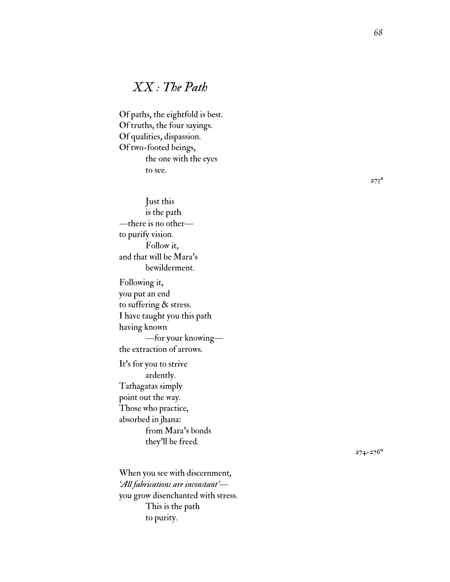### *XX : The Path*

Of paths, the eightfold is best. Of truths, the four sayings. Of qualities, dispassion. Of two-footed beings, the one with the eyes to see.

Just this is the path —there is no other to purify vision. Follow it, and that will be Mara ' s bewilderment. Following it, you put an end to suffering & stress. I have taught you this path having known —for your knowing the extraction of arrows. It ' s for you to strive ardently. Tathagatas simply point out the way. Those who practice, absorbed in jhana: from Mara ' s bonds they 'll be freed.

When you see with discernment, *'All fabrications are inconstant'* you grow disenchanted with stress. This is the path to purity.

274-276\*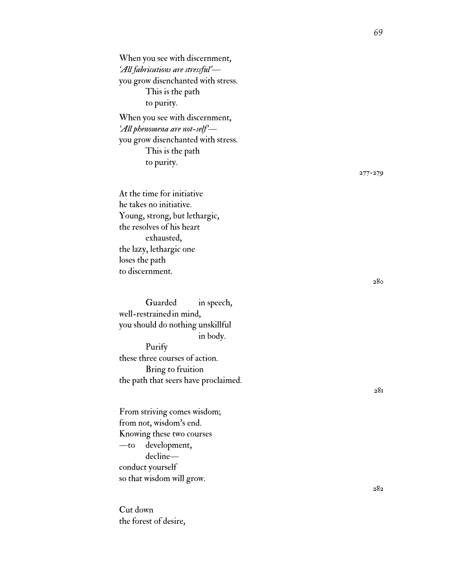When you see with discernment, *'All fabrications are stressful'* you grow disenchanted with stress. This is the path to purity. When you see with discernment, *'All phenomena are not-self'* you grow disenchanted with stress.

> This is the path to purity.

At the time for initiative he takes no initiative. Young, strong, but lethargic, the resolves of his heart exhausted, the lazy, lethargic one loses the path to discernment.

Guarded in speech, well-restrainedin mind, you should do nothing unskillful in body. Purify these three courses of action. Bring to fruition the path that seers have proclaimed.

From striving comes wisdom; from not, wisdom ' s end. Knowing these two courses —to development, decline conduct yourself so that wisdom will grow.

Cut down the forest of desire, 277-279

280

281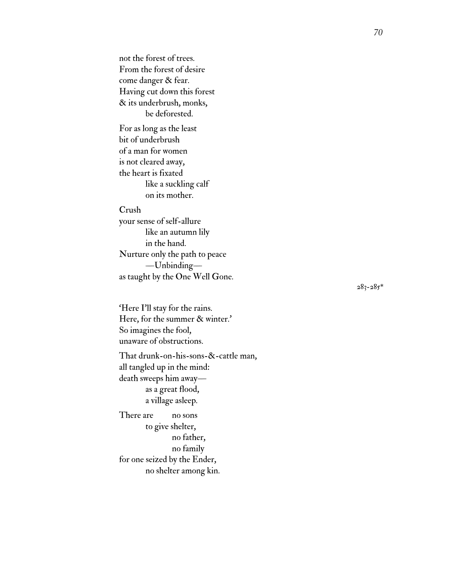not the forest of trees. From the forest of desire come danger & fear. Having cut down this forest & its underbrush, monks, be deforested.

For as long as the least bit of underbrush of a man for women is not cleared away, the heart is fixated like a suckling calf on its mother.

Crush your sense of self-allure like an autumn lily in the hand. Nurture only the path to peace —Unbinding as taught by the One Well Gone.

'Here I 'll stay for the rains. Here, for the summer & winter. ' So imagines the fool, unaware of obstructions.

That drunk-on-his-sons-&-cattle man, all tangled up in the mind: death sweeps him away as a great flood, a village asleep.

There are no sons to give shelter, no father, no family for one seized by the Ender, no shelter among kin. 283-285\*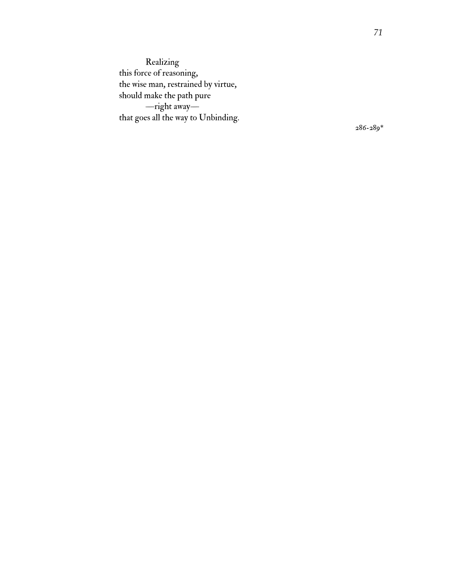Realizing this force of reasoning, the wise man, restrained by virtue, should make the path pure —right away that goes all the way to Unbinding.

286-289\*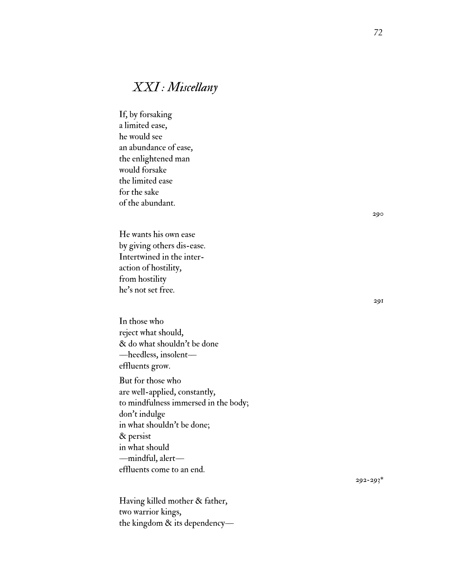# *XXI : Miscellany*

If, by forsaking a limited ease, he would see an abundance of ease, the enlightened man would forsake the limited ease for the sake of the abundant.

He wants his own ease by giving others dis-ease. Intertwined in the interaction of hostility, from hostility he's not set free.

In those who reject what should, & do what shouldn't be done —heedless, insolent effluents grow.

But for those who are well-applied, constantly, to mindfulness immersed in the body; don't indulge in what shouldn't be done; & persist in what should —mindful, alert effluents come to an end.

Having killed mother & father, two warrior kings, the kingdom & its dependency290

291

292-293\*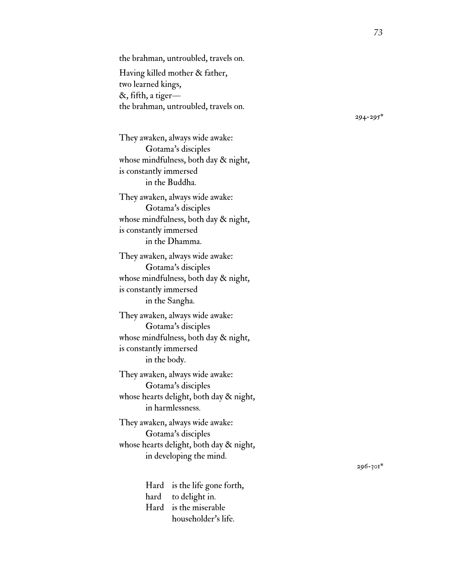Having killed mother & father, two learned kings, &, fifth, a tiger the brahman, untroubled, travels on.

294-295\*

They awaken, always wide awake: Gotama ' s disciples whose mindfulness, both day & night, is constantly immersed in the Buddha. They awaken, always wide awake: Gotama ' s disciples whose mindfulness, both day & night, is constantly immersed in the Dhamma. They awaken, always wide awake: Gotama ' s disciples whose mindfulness, both day & night, is constantly immersed in the Sangha. They awaken, always wide awake: Gotama ' s disciples whose mindfulness, both day & night, is constantly immersed in the body. They awaken, always wide awake: Gotama ' s disciples whose hearts delight, both day & night, in harmlessness. They awaken, always wide awake: Gotama ' s disciples whose hearts delight, both day & night, in developing the mind.

296-301\*

Hard is the life gone forth, hard to delight in. Hard is the miserable householder ' s life.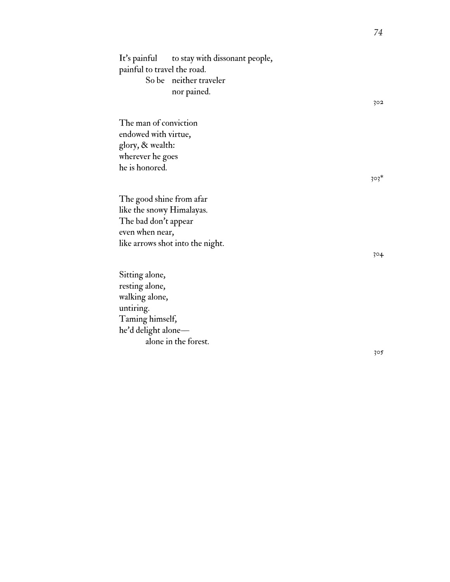|                             | It's painful to stay with dissonant people, |        |
|-----------------------------|---------------------------------------------|--------|
| painful to travel the road. |                                             |        |
|                             | So be neither traveler                      |        |
|                             | nor pained.                                 |        |
|                             |                                             | 302    |
| The man of conviction       |                                             |        |
| endowed with virtue,        |                                             |        |
| glory, & wealth:            |                                             |        |
| wherever he goes            |                                             |        |
| he is honored.              |                                             |        |
|                             |                                             | $303*$ |
|                             |                                             |        |
| The good shine from afar    |                                             |        |
| like the snowy Himalayas.   |                                             |        |
| The bad don't appear        |                                             |        |
| even when near,             |                                             |        |
|                             | like arrows shot into the night.            |        |
|                             |                                             | 304    |
|                             |                                             |        |
| Sitting alone,              |                                             |        |
| resting alone,              |                                             |        |
| walking alone,              |                                             |        |
| untiring.                   |                                             |        |
| Taming himself,             |                                             |        |
| he'd delight alone-         |                                             |        |
|                             | alone in the forest.                        |        |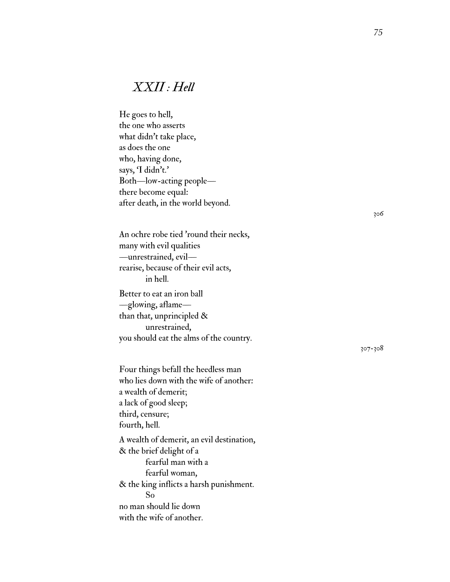# *XXII : Hell*

He goes to hell, the one who asserts what didn't take place, as does the one who, having done, says, 'I didn't.' Both—low-acting people there become equal: after death, in the world beyond.

An ochre robe tied 'round their necks, many with evil qualities —unrestrained, evil rearise, because of their evil acts, in hell. Better to eat an iron ball

—glowing, aflame than that, unprincipled & unrestrained, you should eat the alms of the country.

Four things befall the heedless man who lies down with the wife of another: a wealth of demerit; a lack of good sleep; third, censure; fourth, hell. A wealth of demerit, an evil destination, & the brief delight of a fearful man with a fearful woman, & the king inflicts a harsh punishment. So

no man should lie down with the wife of another. 307-308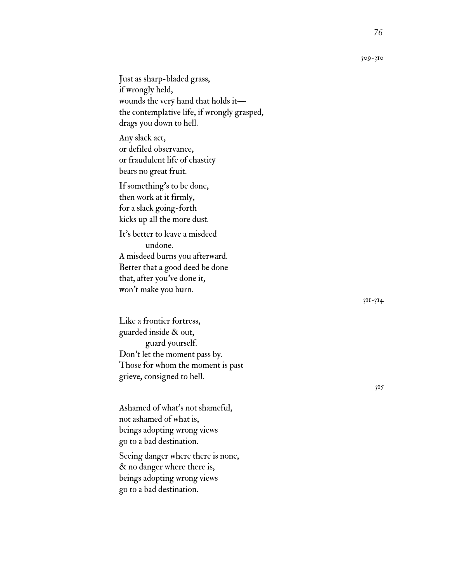wounds the very hand that holds it the contemplative life, if wrongly grasped, drags you down to hell. Any slack act, or defiled observance, or fraudulent life of chastity bears no great fruit. If something ' s to be done, then work at it firmly, for a slack going-forth kicks up all the more dust. It ' s better to leave a misdeed undone. A misdeed burns you afterward. Better that a good deed be done that, after you 've done it, won ' t make you burn. Like a frontier fortress, guarded inside & out, guard yourself. Don ' t let the moment pass by. Those for whom the moment is past grieve, consigned to hell.

Just as sharp-bladed grass,

if wrongly held,

Ashamed of what ' s not shameful, not ashamed of what is, beings adopting wrong views go to a bad destination.

Seeing danger where there is none, & no danger where there is, beings adopting wrong views go to a bad destination.

311-314

315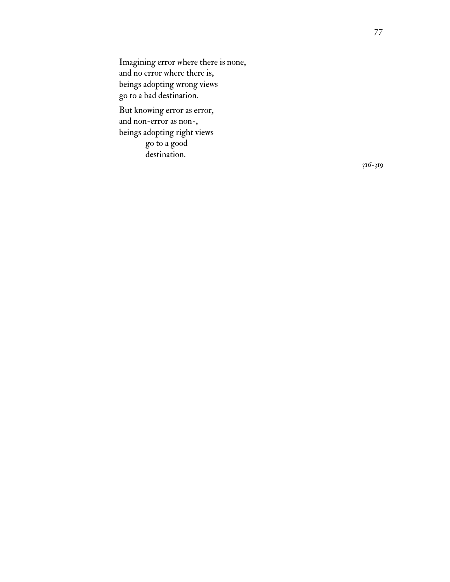Imagining error where there is none, and no error where there is, beings adopting wrong views go to a bad destination.

But knowing error as error, and non-error as non-, beings adopting right views go to a good destination.

316-319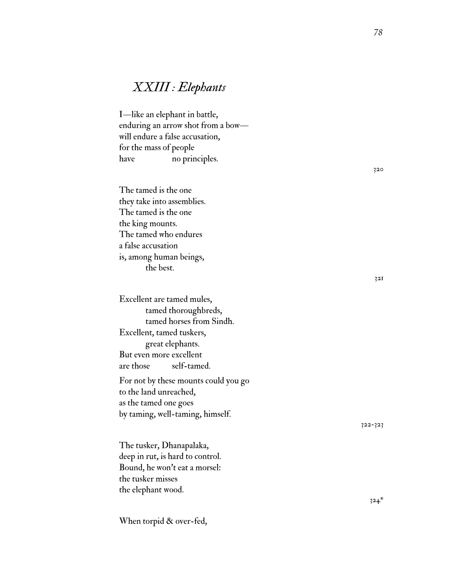## *XXIII : Elephants*

I—like an elephant in battle, enduring an arrow shot from a bow will endure a false accusation, for the mass of people have no principles.

The tamed is the one they take into assemblies. The tamed is the one the king mounts. The tamed who endures a false accusation is, among human beings, the best.

Excellent are tamed mules, tamed thoroughbreds, tamed horses from Sindh. Excellent, tamed tuskers, great elephants. But even more excellent are those self-tamed. For not by these mounts could you go to the land unreached,

as the tamed one goes by taming, well-taming, himself.

The tusker, Dhanapalaka, deep in rut, is hard to control. Bound, he won't eat a morsel: the tusker misses the elephant wood.

When torpid & over-fed,

320

321

322-323

324\*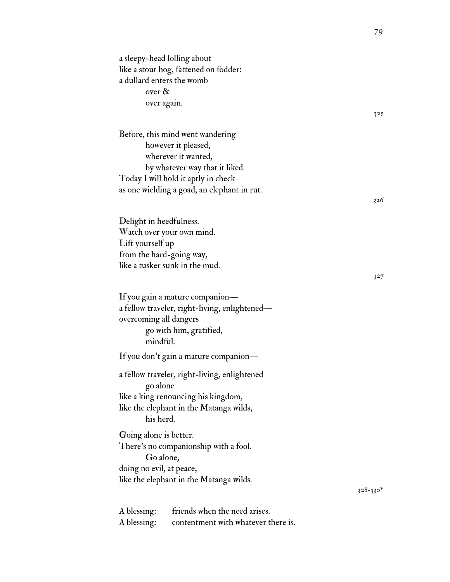| a sleepy-head lolling about<br>like a stout hog, fattened on fodder:<br>a dullard enters the womb<br>over $\&$<br>over again. | 325          |
|-------------------------------------------------------------------------------------------------------------------------------|--------------|
|                                                                                                                               |              |
| Before, this mind went wandering                                                                                              |              |
| however it pleased,                                                                                                           |              |
| wherever it wanted,                                                                                                           |              |
| by whatever way that it liked.<br>Today I will hold it aptly in check—                                                        |              |
| as one wielding a goad, an elephant in rut.                                                                                   |              |
|                                                                                                                               | 326          |
|                                                                                                                               |              |
| Delight in heedfulness.                                                                                                       |              |
| Watch over your own mind.                                                                                                     |              |
| Lift yourself up                                                                                                              |              |
| from the hard-going way,<br>like a tusker sunk in the mud.                                                                    |              |
|                                                                                                                               | 327          |
|                                                                                                                               |              |
| If you gain a mature companion—                                                                                               |              |
| a fellow traveler, right-living, enlightened-                                                                                 |              |
| overcoming all dangers<br>go with him, gratified,                                                                             |              |
| mindful.                                                                                                                      |              |
| If you don't gain a mature companion-                                                                                         |              |
| a fellow traveler, right-living, enlightened-                                                                                 |              |
| go alone                                                                                                                      |              |
| like a king renouncing his kingdom,                                                                                           |              |
| like the elephant in the Matanga wilds,                                                                                       |              |
| his herd.                                                                                                                     |              |
| Going alone is better.                                                                                                        |              |
| There's no companionship with a fool.                                                                                         |              |
| Go alone,                                                                                                                     |              |
| doing no evil, at peace,                                                                                                      |              |
| like the elephant in the Matanga wilds.                                                                                       | $328 - 330*$ |
|                                                                                                                               |              |
| friends when the need arises.<br>A blessing:                                                                                  |              |
| A blessing:<br>contentment with whatever there is.                                                                            |              |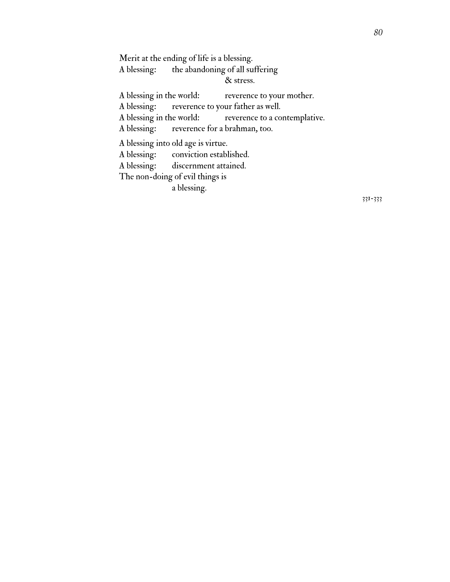Merit at the ending of life is a blessing.

A blessing: the abandoning of all suffering

#### & stress.

A blessing in the world: reverence to your mother.

A blessing: reverence to your father as well.

A blessing in the world: reverence to a contemplative.

A blessing: reverence for a brahman, too.

A blessing into old age is virtue.

A blessing: conviction established.

A blessing: discernment attained.

The non-doing of evil things is

a blessing.

331-333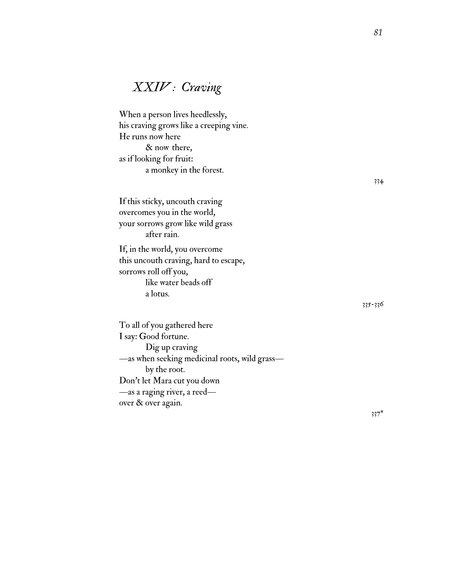# *XXIV : Craving*

When a person lives heedlessly, his craving grows like a creeping vine. He runs now here & now there, as if looking for fruit: a monkey in the forest.

If this sticky, uncouth craving overcomes you in the world, your sorrows grow like wild grass after rain.

If, in the world, you overcome this uncouth craving, hard to escape, sorrows roll off you, like water beads off a lotus.

To all of you gathered here I say: Good fortune. Dig up craving —as when seeking medicinal roots, wild grass by the root. Don't let Mara cut you down —as a raging river, a reed over & over again.

335-336

337\*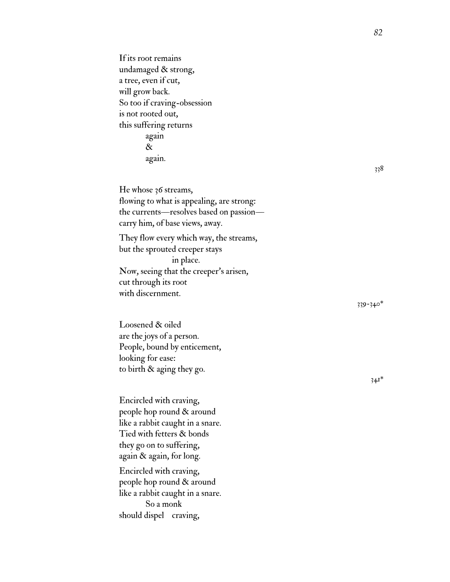If its root remains undamaged & strong, a tree, even if cut, will grow back. So too if craving-obsession is not rooted out, this suffering returns again & again.

He whose 36 streams,

cut through its root with discernment.

flowing to what is appealing, are strong: the currents —resolves based on passion —

They flow every which way, the streams,

in place. Now, seeing that the creeper ' s arisen,

carry him, of base views, away.

but the sprouted creeper stays

338

339-340\*

Loosened & oiled are the joys of a person. People, bound by enticement, looking for ease: to birth & aging they go.

Encircled with craving, people hop round & around like a rabbit caught in a snare. Tied with fetters & bonds they go on to suffering, again & again, for long.

Encircled with craving, people hop round & around like a rabbit caught in a snare. So a monk should dispel craving,

 $34^{1*}$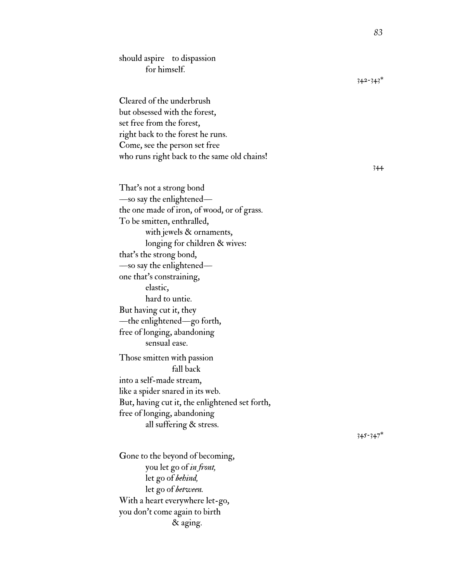should aspire to dispassion for himself.

That ' s not a strong bond

342-343\*

Cleared of the underbrush but obsessed with the forest, set free from the forest, right back to the forest he runs. Come, see the person set free who runs right back to the same old chains!

344

—so say the enlightened the one made of iron, of wood, or of grass. To be smitten, enthralled, with jewels & ornaments, longing for children & wives: that ' s the strong bond, —so say the enlightened one that ' s constraining, elastic, hard to untie. But having cut it, they —the enlightened—go forth, free of longing, abandoning sensual ease. Those smitten with passion fall back into a self-made stream, like a spider snared in its web. But, having cut it, the enlightened set forth, free of longing, abandoning all suffering & stress.

345-347\*

Gone to the beyond of becoming, you let go of *in front,* let go of *behind,* let go of *between.* With a heart everywhere let-go, you don ' t come again to birth & aging.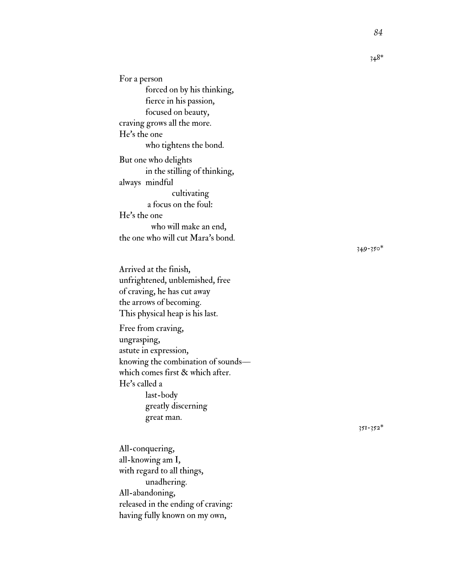*84*

For a person forced on by his thinking, fierce in his passion, focused on beauty, craving grows all the more. He ' s the one who tightens the bond. But one who delights in the stilling of thinking, always mindful cultivating a focus on the foul: He ' s the one who will make an end, the one who will cut Mara ' s bond.

Arrived at the finish, unfrightened, unblemished, free of craving, he has cut away the arrows of becoming. This physical heap is his last.

Free from craving, ungrasping, astute in expression, knowing the combination of sounds which comes first & which after. He ' s called a last-body greatly discerning great man.

All-conquering, all-knowing am I, with regard to all things, unadhering. All-abandoning, released in the ending of craving: having fully known on my own,

349-350\*

351-352\*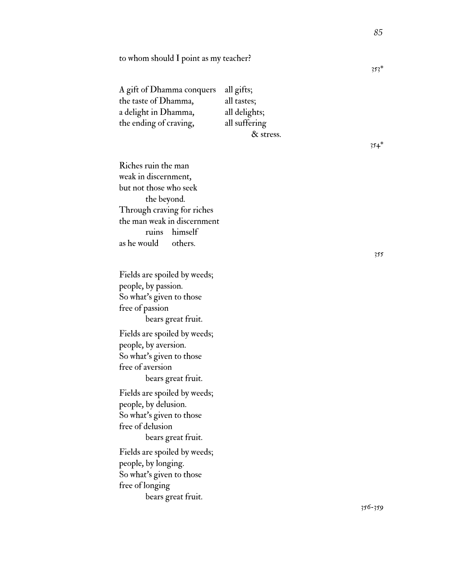353\*

to whom should I point as my teacher?

Riches ruin the man weak in discernment, but not those who seek the beyond. Through craving for riches the man weak in discernment ruins himself

as he would others.

| A gift of Dhamma conquers | all gifts;    |
|---------------------------|---------------|
| the taste of Dhamma,      | all tastes;   |
| a delight in Dhamma,      | all delights; |
| the ending of craving,    | all suffering |
|                           | & stress.     |

354\*

355

Fields are spoiled by weeds; people, by passion. So what's given to those free of passion bears great fruit. Fields are spoiled by weeds; people, by aversion. So what's given to those free of aversion bears great fruit. Fields are spoiled by weeds; people, by delusion. So what's given to those free of delusion bears great fruit. Fields are spoiled by weeds; people, by longing. So what's given to those free of longing bears great fruit.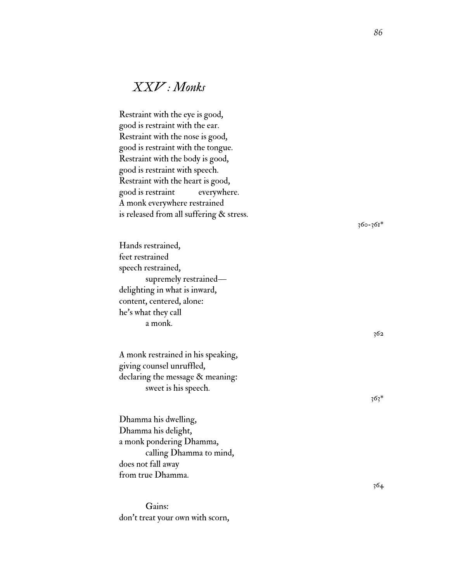### *XXV : Monks*

Restraint with the eye is good, good is restraint with the ear. Restraint with the nose is good, good is restraint with the tongue. Restraint with the body is good, good is restraint with speech. Restraint with the heart is good, good is restraint everywhere. A monk everywhere restrained is released from all suffering & stress.

| Hands restrained,             |  |  |
|-------------------------------|--|--|
| feet restrained               |  |  |
| speech restrained,            |  |  |
| supremely restrained-         |  |  |
| delighting in what is inward, |  |  |
| content, centered, alone:     |  |  |
| he's what they call           |  |  |
| a monk.                       |  |  |
|                               |  |  |

A monk restrained in his speaking, giving counsel unruffled, declaring the message & meaning: sweet is his speech.

Dhamma his dwelling, Dhamma his delight, a monk pondering Dhamma, calling Dhamma to mind, does not fall away from true Dhamma.

Gains: don ' t treat your own with scorn, 360-361\*

362

363\*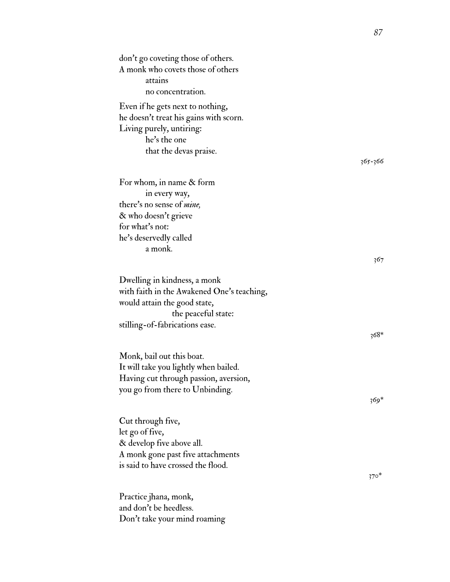| A monk who covets those of others<br>attains<br>no concentration.<br>Even if he gets next to nothing,<br>he doesn't treat his gains with scorn.<br>Living purely, untiring:<br>he's the one<br>that the devas praise.<br>365-366 |
|----------------------------------------------------------------------------------------------------------------------------------------------------------------------------------------------------------------------------------|
|                                                                                                                                                                                                                                  |
|                                                                                                                                                                                                                                  |
|                                                                                                                                                                                                                                  |
|                                                                                                                                                                                                                                  |
|                                                                                                                                                                                                                                  |
|                                                                                                                                                                                                                                  |
|                                                                                                                                                                                                                                  |
|                                                                                                                                                                                                                                  |
|                                                                                                                                                                                                                                  |
| For whom, in name & form                                                                                                                                                                                                         |
| in every way,                                                                                                                                                                                                                    |
| there's no sense of <i>mine</i> ,                                                                                                                                                                                                |
| & who doesn't grieve                                                                                                                                                                                                             |
| for what's not:                                                                                                                                                                                                                  |
| he's deservedly called                                                                                                                                                                                                           |
| a monk.                                                                                                                                                                                                                          |
| 367                                                                                                                                                                                                                              |
| Dwelling in kindness, a monk                                                                                                                                                                                                     |
| with faith in the Awakened One's teaching,                                                                                                                                                                                       |
| would attain the good state,                                                                                                                                                                                                     |
| the peaceful state:                                                                                                                                                                                                              |
| stilling-of-fabrications ease.                                                                                                                                                                                                   |
| 368*                                                                                                                                                                                                                             |
|                                                                                                                                                                                                                                  |
| Monk, bail out this boat.                                                                                                                                                                                                        |
| It will take you lightly when bailed.                                                                                                                                                                                            |
| Having cut through passion, aversion,                                                                                                                                                                                            |
| you go from there to Unbinding.                                                                                                                                                                                                  |
| $369*$                                                                                                                                                                                                                           |
|                                                                                                                                                                                                                                  |
| Cut through five,                                                                                                                                                                                                                |
| let go of five,                                                                                                                                                                                                                  |
| & develop five above all.                                                                                                                                                                                                        |
| A monk gone past five attachments                                                                                                                                                                                                |
| is said to have crossed the flood.                                                                                                                                                                                               |
| $370*$                                                                                                                                                                                                                           |
| Practice jhana, monk,                                                                                                                                                                                                            |
| and don't be heedless.                                                                                                                                                                                                           |
| Don't take your mind roaming                                                                                                                                                                                                     |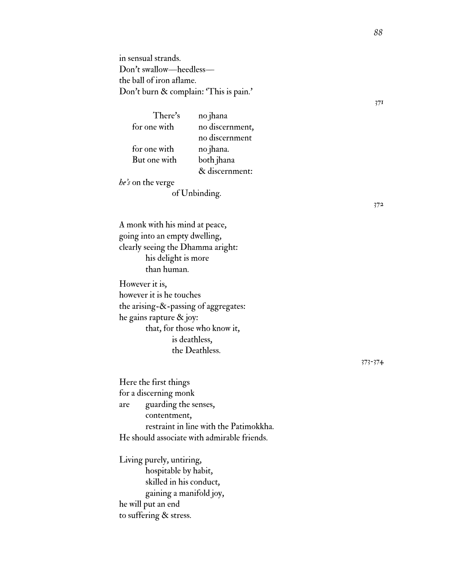in sensual strands. Don't swallow—heedless the ball of iron aflame. Don't burn & complain: 'This is pain.'

 There's no jhana for one with no discernment, no discernment for one with no jhana. But one with both jhana & discernment:

*he's* on the verge

of Unbinding.

A monk with his mind at peace, going into an empty dwelling, clearly seeing the Dhamma aright: his delight is more than human.

However it is, however it is he touches the arising-&-passing of aggregates: he gains rapture & joy: that, for those who know it, is deathless, the Deathless.

Here the first things for a discerning monk are guarding the senses, contentment, restraint in line with the Patimokkha. He should associate with admirable friends.

Living purely, untiring, hospitable by habit, skilled in his conduct, gaining a manifold joy, he will put an end to suffering & stress.

371

372

373-374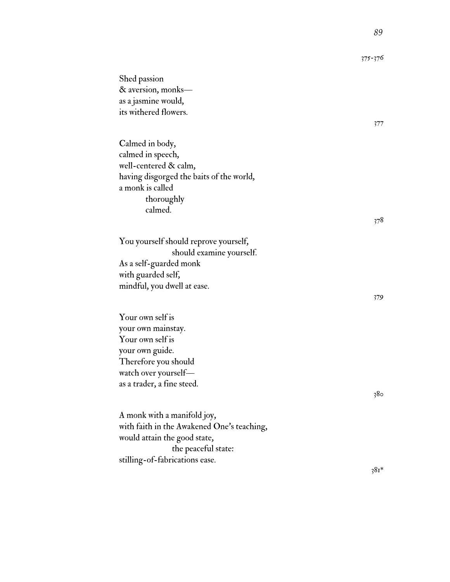Shed passion & aversion, monks as a jasmine would, its withered flowers. 377 Calmed in body, calmed in speech, well-centered & calm, having disgorged the baits of the world, a monk is called thoroughly calmed. 378 You yourself should reprove yourself, should examine yourself. As a self-guarded monk with guarded self, mindful, you dwell at ease. 379 Your own self is your own mainstay. Your own self is your own guide. Therefore you should watch over yourself as a trader, a fine steed. 380 A monk with a manifold joy, with faith in the Awakened One's teaching, would attain the good state, the peaceful state: stilling-of-fabrications ease. 381\*

375-376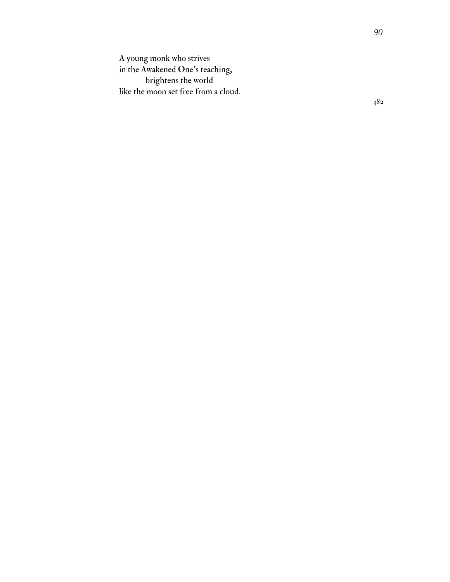A young monk who strives in the Awakened One ' s teaching, brightens the world like the moon set free from a cloud.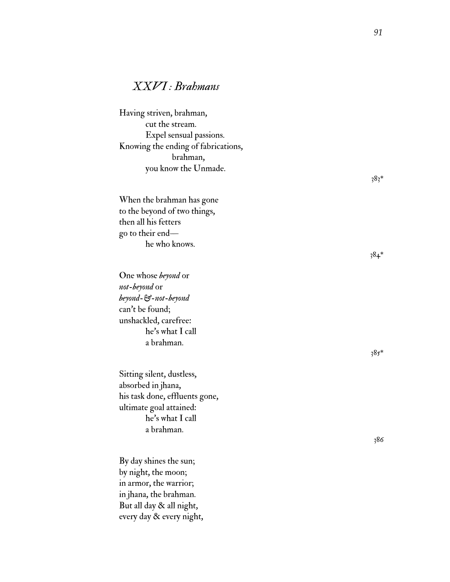#### *XXVI : Brahmans*

Having striven, brahman, cut the stream. Expel sensual passions. Knowing the ending of fabrications, brahman, you know the Unmade.

When the brahman has gone to the beyond of two things, then all his fetters go to their end he who knows.

One whose *beyond* or *not-beyond* or *beyond-&-not-beyond* can ' t be found; unshackled, carefree: he ' s what I call a brahman.

Sitting silent, dustless, absorbed in jhana, his task done, effluents gone, ultimate goal attained: he ' s what I call a brahman.

By day shines the sun; by night, the moon; in armor, the warrior; in jhana, the brahman. But all day & all night, every day & every night, 384\*

385\*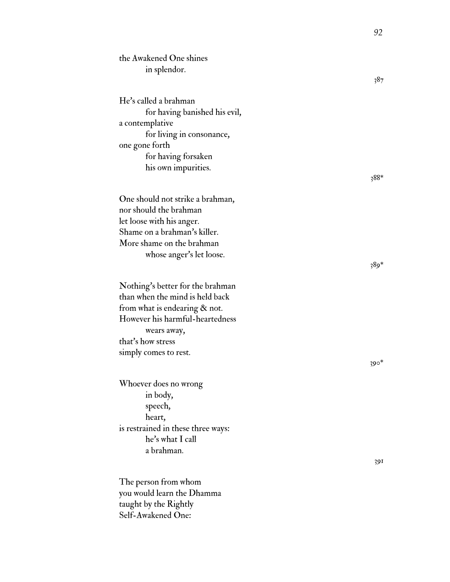| the Awakened One shines            |        |
|------------------------------------|--------|
| in splendor.                       | 387    |
|                                    |        |
| He's called a brahman              |        |
| for having banished his evil,      |        |
| a contemplative                    |        |
| for living in consonance,          |        |
| one gone forth                     |        |
| for having forsaken                |        |
| his own impurities.                | 388*   |
|                                    |        |
| One should not strike a brahman,   |        |
| nor should the brahman             |        |
| let loose with his anger.          |        |
| Shame on a brahman's killer.       |        |
| More shame on the brahman          |        |
| whose anger's let loose.           |        |
|                                    | $389*$ |
| Nothing's better for the brahman   |        |
| than when the mind is held back    |        |
| from what is endearing & not.      |        |
| However his harmful-heartedness    |        |
| wears away,                        |        |
| that's how stress                  |        |
| simply comes to rest.              |        |
|                                    | $390*$ |
|                                    |        |
| Whoever does no wrong              |        |
| in body,<br>speech,                |        |
| heart,                             |        |
| is restrained in these three ways: |        |
| he's what I call                   |        |
| a brahman.                         |        |
|                                    | 391    |
|                                    |        |
| The person from whom               |        |
| you would learn the Dhamma         |        |
| taught by the Rightly              |        |

Self-Awakened One: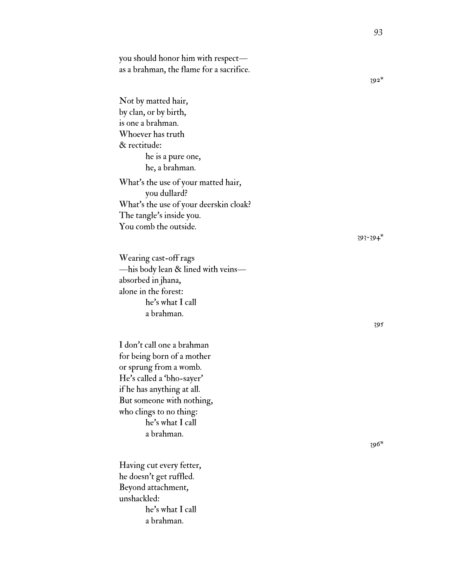you should honor him with respect as a brahman, the flame for a sacrifice.

Not by matted hair, by clan, or by birth, is one a brahman. Whoever has truth & rectitude: he is a pure one, he, a brahman. What ' s the use of your matted hair, you dullard? What ' s the use of your deerskin cloak? The tangle ' s inside you. You comb the outside.

Wearing cast-off rags —his body lean & lined with veins absorbed in jhana, alone in the forest: he ' s what I call a brahman.

I don ' t call one a brahman for being born of a mother or sprung from a womb. He ' s called a 'bho-sayer ' if he has anything at all. But someone with nothing, who clings to no thing: he ' s what I call a brahman.

Having cut every fetter, he doesn ' t get ruffled. Beyond attachment, unshackled: he ' s what I call a brahman.

393-394\*

395

396\*

392\*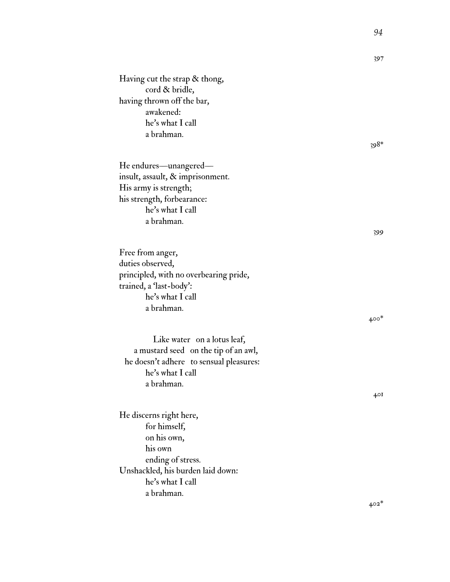Having cut the strap & thong, cord & bridle, having thrown off the bar, awakened: he ' s what I call a brahman.

He endures —unangered insult, assault, & imprisonment. His army is strength; his strength, forbearance: he ' s what I call a brahman.

Free from anger, duties observed, principled, with no overbearing pride, trained, a 'last-body ' : he ' s what I call a brahman.

 Like water on a lotus leaf, a mustard seed on the tip of an awl, he doesn ' t adhere to sensual pleasures: he ' s what I call a brahman.

He discerns right here, for himself, on his own, his own ending of stress. Unshackled, his burden laid down: he ' s what I call a brahman.

398\*

399

400\*

401

402\*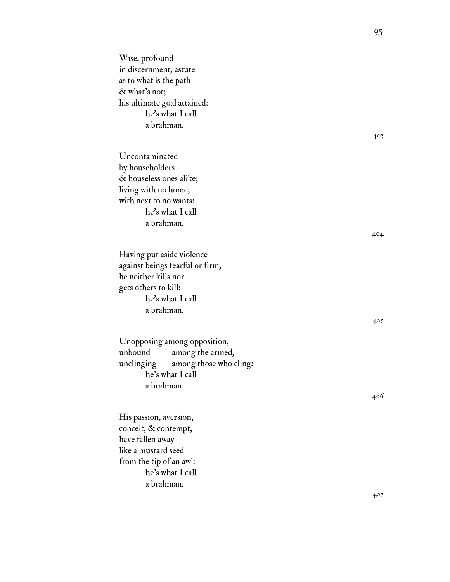Wise, profound in discernment, astute as to what is the path & what's not; his ultimate goal attained: he ' s what I call a brahman. 403 Uncontaminated by householders & houseless ones alike; living with no home, with next to no wants: he ' s what I call a brahman. 404 Having put aside violence against beings fearful or firm, he neither kills nor gets others to kill: he ' s what I call a brahman. 405 Unopposing among opposition, unbound among the armed, unclinging among those who cling: he ' s what I call a brahman. 406 His passion, aversion, conceit, & contempt, have fallen away like a mustard seed from the tip of an awl:

> he ' s what I call a brahman.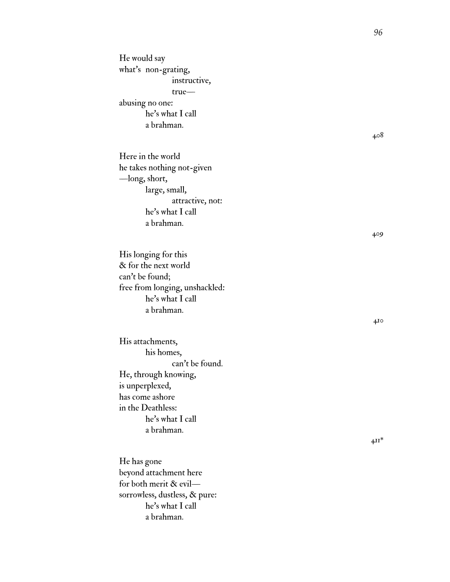He would say what ' s non-grating, instructive, true abusing no one: he ' s what I call a brahman. Here in the world he takes nothing not-given —long, short, large, small, attractive, not: he ' s what I call a brahman. His longing for this & for the next world can ' t be found; free from longing, unshackled: he ' s what I call a brahman. His attachments, his homes, can ' t be found. He, through knowing, is unperplexed, has come ashore in the Deathless: he ' s what I call a brahman. He has gone

beyond attachment here for both merit & evil sorrowless, dustless, & pure: he ' s what I call a brahman.

*96*

408

409

410

411\*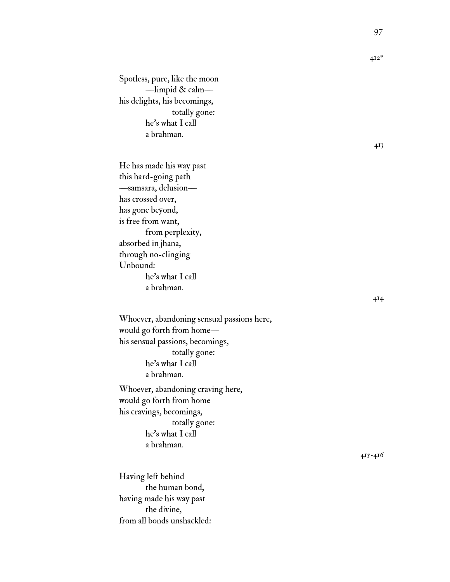Spotless, pure, like the moon —limpid & calm his delights, his becomings, totally gone: he's what I call a brahman.

He has made his way past this hard-going path —samsara, delusion has crossed over, has gone beyond, is free from want, from perplexity, absorbed in jhana, through no-clinging Unbound: he's what I call a brahman.

Whoever, abandoning sensual passions here, would go forth from home his sensual passions, becomings, totally gone: he's what I call a brahman. Whoever, abandoning craving here, would go forth from home—

his cravings, becomings, totally gone: he's what I call a brahman.

Having left behind the human bond, having made his way past the divine, from all bonds unshackled: 415-416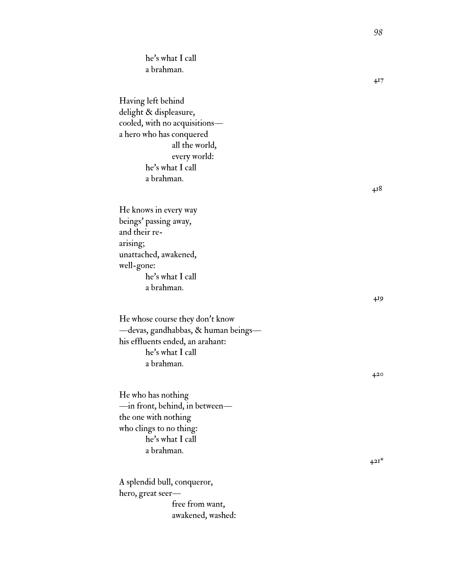| he's what I call                    |          |
|-------------------------------------|----------|
| a brahman.                          |          |
|                                     | 417      |
| Having left behind                  |          |
| delight & displeasure,              |          |
| cooled, with no acquisitions-       |          |
| a hero who has conquered            |          |
| all the world,                      |          |
| every world:                        |          |
| he's what I call                    |          |
| a brahman.                          |          |
|                                     | $4^{18}$ |
|                                     |          |
| He knows in every way               |          |
| beings' passing away,               |          |
| and their re-                       |          |
| arising;                            |          |
| unattached, awakened,               |          |
| well-gone:                          |          |
| he's what I call                    |          |
| a brahman.                          |          |
|                                     | 419      |
| He whose course they don't know     |          |
| -devas, gandhabbas, & human beings- |          |
| his effluents ended, an arahant:    |          |
| he's what I call                    |          |
| a brahman.                          |          |
|                                     | 420      |
|                                     |          |
| He who has nothing                  |          |
| -in front, behind, in between-      |          |
| the one with nothing                |          |
| who clings to no thing:             |          |
| he's what I call                    |          |
| a brahman.                          |          |
|                                     | $4.21*$  |
| A splendid bull, conqueror,         |          |
| hero, great seer—                   |          |
| free from want,                     |          |
|                                     |          |

awakened, washed: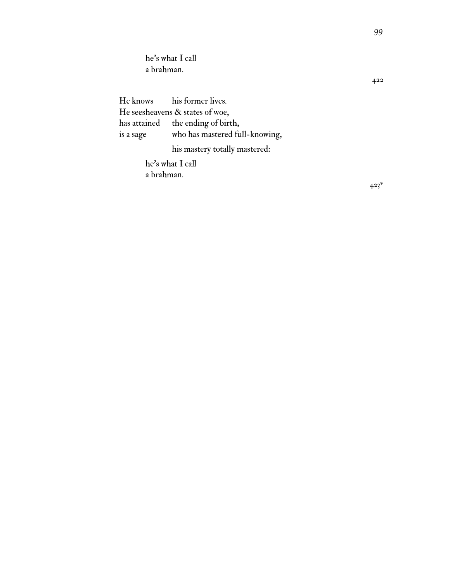he's what I call a brahman.

He knows his former lives. He seesheavens & states of woe, has attained the ending of birth, is a sage who has mastered full-knowing, his mastery totally mastered: he's what I call

a brahman.

422

423\*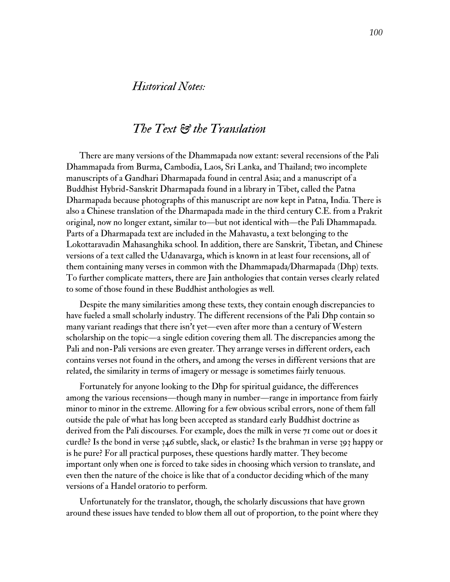#### *Historical Notes:*

## *The Text & the Translation*

There are many versions of the Dhammapada now extant: several recensions of the Pali Dhammapada from Burma, Cambodia, Laos, Sri Lanka, and Thailand; two incomplete manuscripts of a Gandhari Dharmapada found in central Asia; and a manuscript of a Buddhist Hybrid-Sanskrit Dharmapada found in a library in Tibet, called the Patna Dharmapada because photographs of this manuscript are now kept in Patna, India. There is also a Chinese translation of the Dharmapada made in the third century C.E. from a Prakrit original, now no longer extant, similar to—but not identical with—the Pali Dhammapada. Parts of a Dharmapada text are included in the Mahavastu, a text belonging to the Lokottaravadin Mahasanghika school. In addition, there are Sanskrit, Tibetan, and Chinese versions of a text called the Udanavarga, which is known in at least four recensions, all of them containing many verses in common with the Dhammapada/Dharmapada (Dhp) texts. To further complicate matters, there are Jain anthologies that contain verses clearly related to some of those found in these Buddhist anthologies as well.

Despite the many similarities among these texts, they contain enough discrepancies to have fueled a small scholarly industry. The different recensions of the Pali Dhp contain so many variant readings that there isn't yet—even after more than a century of Western scholarship on the topic—a single edition covering them all. The discrepancies among the Pali and non-Pali versions are even greater. They arrange verses in different orders, each contains verses not found in the others, and among the verses in different versions that are related, the similarity in terms of imagery or message is sometimes fairly tenuous.

Fortunately for anyone looking to the Dhp for spiritual guidance, the differences among the various recensions—though many in number—range in importance from fairly minor to minor in the extreme. Allowing for a few obvious scribal errors, none of them fall outside the pale of what has long been accepted as standard early Buddhist doctrine as derived from the Pali discourses. For example, does the milk in verse 71 come out or does it curdle? Is the bond in verse 346 subtle, slack, or elastic? Is the brahman in verse 393 happy or is he pure? For all practical purposes, these questions hardly matter. They become important only when one is forced to take sides in choosing which version to translate, and even then the nature of the choice is like that of a conductor deciding which of the many versions of a Handel oratorio to perform.

Unfortunately for the translator, though, the scholarly discussions that have grown around these issues have tended to blow them all out of proportion, to the point where they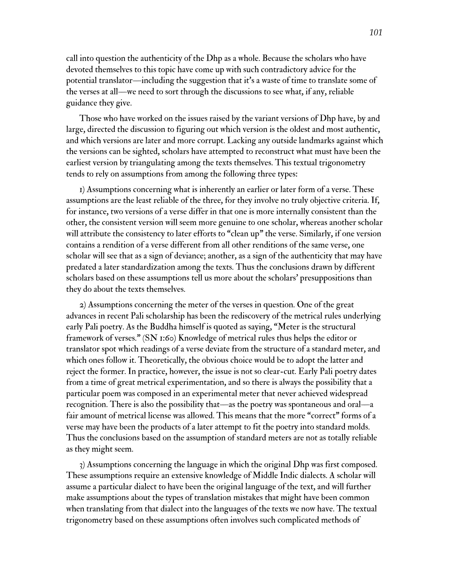call into question the authenticity of the Dhp as a whole. Because the scholars who have devoted themselves to this topic have come up with such contradictory advice for the potential translator—including the suggestion that it's a waste of time to translate some of the verses at all—we need to sort through the discussions to see what, if any, reliable guidance they give.

Those who have worked on the issues raised by the variant versions of Dhp have, by and large, directed the discussion to figuring out which version is the oldest and most authentic, and which versions are later and more corrupt. Lacking any outside landmarks against which the versions can be sighted, scholars have attempted to reconstruct what must have been the earliest version by triangulating among the texts themselves. This textual trigonometry tends to rely on assumptions from among the following three types:

1) Assumptions concerning what is inherently an earlier or later form of a verse. These assumptions are the least reliable of the three, for they involve no truly objective criteria. If, for instance, two versions of a verse differ in that one is more internally consistent than the other, the consistent version will seem more genuine to one scholar, whereas another scholar will attribute the consistency to later efforts to "clean up" the verse. Similarly, if one version contains a rendition of a verse different from all other renditions of the same verse, one scholar will see that as a sign of deviance; another, as a sign of the authenticity that may have predated a later standardization among the texts. Thus the conclusions drawn by different scholars based on these assumptions tell us more about the scholars' presuppositions than they do about the texts themselves.

2) Assumptions concerning the meter of the verses in question. One of the great advances in recent Pali scholarship has been the rediscovery of the metrical rules underlying early Pali poetry. As the Buddha himself is quoted as saying, "Meter is the structural framework of verses." (SN 1:60) Knowledge of metrical rules thus helps the editor or translator spot which readings of a verse deviate from the structure of a standard meter, and which ones follow it. Theoretically, the obvious choice would be to adopt the latter and reject the former. In practice, however, the issue is not so clear-cut. Early Pali poetry dates from a time of great metrical experimentation, and so there is always the possibility that a particular poem was composed in an experimental meter that never achieved widespread recognition. There is also the possibility that—as the poetry was spontaneous and oral—a fair amount of metrical license was allowed. This means that the more "correct" forms of a verse may have been the products of a later attempt to fit the poetry into standard molds. Thus the conclusions based on the assumption of standard meters are not as totally reliable as they might seem.

3) Assumptions concerning the language in which the original Dhp was first composed. These assumptions require an extensive knowledge of Middle Indic dialects. A scholar will assume a particular dialect to have been the original language of the text, and will further make assumptions about the types of translation mistakes that might have been common when translating from that dialect into the languages of the texts we now have. The textual trigonometry based on these assumptions often involves such complicated methods of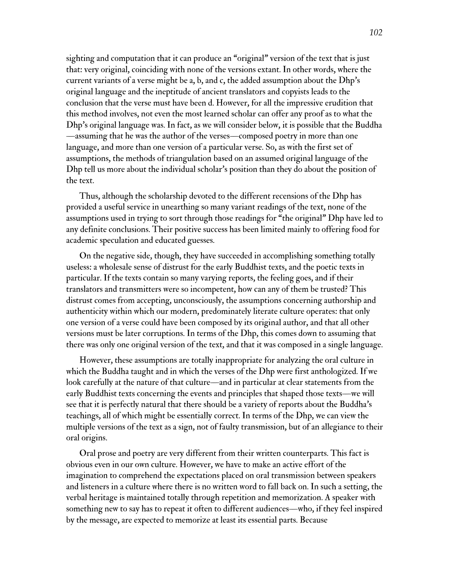sighting and computation that it can produce an "original" version of the text that is just that: very original, coinciding with none of the versions extant. In other words, where the current variants of a verse might be a, b, and c, the added assumption about the Dhp's original language and the ineptitude of ancient translators and copyists leads to the conclusion that the verse must have been d. However, for all the impressive erudition that this method involves, not even the most learned scholar can offer any proof as to what the Dhp's original language was. In fact, as we will consider below, it is possible that the Buddha —assuming that he was the author of the verses—composed poetry in more than one language, and more than one version of a particular verse. So, as with the first set of assumptions, the methods of triangulation based on an assumed original language of the Dhp tell us more about the individual scholar's position than they do about the position of the text.

Thus, although the scholarship devoted to the different recensions of the Dhp has provided a useful service in unearthing so many variant readings of the text, none of the assumptions used in trying to sort through those readings for "the original" Dhp have led to any definite conclusions. Their positive success has been limited mainly to offering food for academic speculation and educated guesses.

On the negative side, though, they have succeeded in accomplishing something totally useless: a wholesale sense of distrust for the early Buddhist texts, and the poetic texts in particular. If the texts contain so many varying reports, the feeling goes, and if their translators and transmitters were so incompetent, how can any of them be trusted? This distrust comes from accepting, unconsciously, the assumptions concerning authorship and authenticity within which our modern, predominately literate culture operates: that only one version of a verse could have been composed by its original author, and that all other versions must be later corruptions. In terms of the Dhp, this comes down to assuming that there was only one original version of the text, and that it was composed in a single language.

However, these assumptions are totally inappropriate for analyzing the oral culture in which the Buddha taught and in which the verses of the Dhp were first anthologized. If we look carefully at the nature of that culture—and in particular at clear statements from the early Buddhist texts concerning the events and principles that shaped those texts—we will see that it is perfectly natural that there should be a variety of reports about the Buddha's teachings, all of which might be essentially correct. In terms of the Dhp, we can view the multiple versions of the text as a sign, not of faulty transmission, but of an allegiance to their oral origins.

Oral prose and poetry are very different from their written counterparts. This fact is obvious even in our own culture. However, we have to make an active effort of the imagination to comprehend the expectations placed on oral transmission between speakers and listeners in a culture where there is no written word to fall back on. In such a setting, the verbal heritage is maintained totally through repetition and memorization. A speaker with something new to say has to repeat it often to different audiences—who, if they feel inspired by the message, are expected to memorize at least its essential parts. Because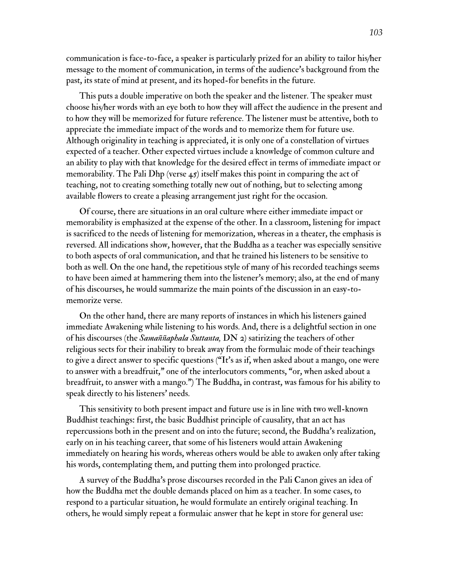communication is face-to-face, a speaker is particularly prized for an ability to tailor his/her message to the moment of communication, in terms of the audience's background from the past, its state of mind at present, and its hoped-for benefits in the future.

This puts a double imperative on both the speaker and the listener. The speaker must choose his/her words with an eye both to how they will affect the audience in the present and to how they will be memorized for future reference. The listener must be attentive, both to appreciate the immediate impact of the words and to memorize them for future use. Although originality in teaching is appreciated, it is only one of a constellation of virtues expected of a teacher. Other expected virtues include a knowledge of common culture and an ability to play with that knowledge for the desired effect in terms of immediate impact or memorability. The Pali Dhp (verse  $45$ ) itself makes this point in comparing the act of teaching, not to creating something totally new out of nothing, but to selecting among available flowers to create a pleasing arrangement just right for the occasion.

Of course, there are situations in an oral culture where either immediate impact or memorability is emphasized at the expense of the other. In a classroom, listening for impact is sacrificed to the needs of listening for memorization, whereas in a theater, the emphasis is reversed. All indications show, however, that the Buddha as a teacher was especially sensitive to both aspects of oral communication, and that he trained his listeners to be sensitive to both as well. On the one hand, the repetitious style of many of his recorded teachings seems to have been aimed at hammering them into the listener's memory; also, at the end of many of his discourses, he would summarize the main points of the discussion in an easy-tomemorize verse.

On the other hand, there are many reports of instances in which his listeners gained immediate Awakening while listening to his words. And, there is a delightful section in one of his discourses (the *Samaññaphala Suttanta,* DN 2) satirizing the teachers of other religious sects for their inability to break away from the formulaic mode of their teachings to give a direct answer to specific questions ("It's as if, when asked about a mango, one were to answer with a breadfruit," one of the interlocutors comments, "or, when asked about a breadfruit, to answer with a mango.") The Buddha, in contrast, was famous for his ability to speak directly to his listeners' needs.

This sensitivity to both present impact and future use is in line with two well-known Buddhist teachings: first, the basic Buddhist principle of causality, that an act has repercussions both in the present and on into the future; second, the Buddha's realization, early on in his teaching career, that some of his listeners would attain Awakening immediately on hearing his words, whereas others would be able to awaken only after taking his words, contemplating them, and putting them into prolonged practice.

A survey of the Buddha's prose discourses recorded in the Pali Canon gives an idea of how the Buddha met the double demands placed on him as a teacher. In some cases, to respond to a particular situation, he would formulate an entirely original teaching. In others, he would simply repeat a formulaic answer that he kept in store for general use: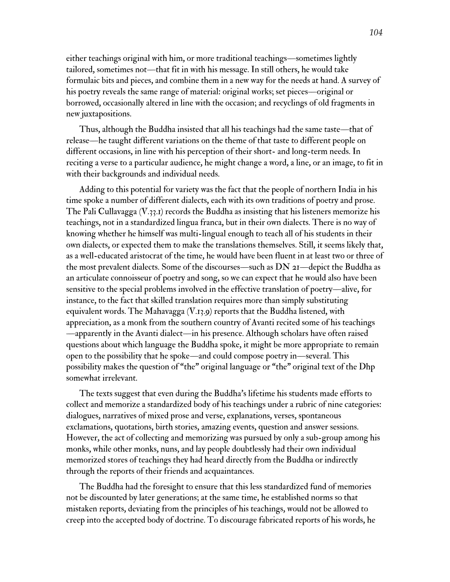either teachings original with him, or more traditional teachings—sometimes lightly tailored, sometimes not—that fit in with his message. In still others, he would take formulaic bits and pieces, and combine them in a new way for the needs at hand. A survey of his poetry reveals the same range of material: original works; set pieces—original or borrowed, occasionally altered in line with the occasion; and recyclings of old fragments in new juxtapositions.

Thus, although the Buddha insisted that all his teachings had the same taste—that of release—he taught different variations on the theme of that taste to different people on different occasions, in line with his perception of their short- and long-term needs. In reciting a verse to a particular audience, he might change a word, a line, or an image, to fit in with their backgrounds and individual needs.

Adding to this potential for variety was the fact that the people of northern India in his time spoke a number of different dialects, each with its own traditions of poetry and prose. The Pali Cullavagga (V.33.1) records the Buddha as insisting that his listeners memorize his teachings, not in a standardized lingua franca, but in their own dialects. There is no way of knowing whether he himself was multi-lingual enough to teach all of his students in their own dialects, or expected them to make the translations themselves. Still, it seems likely that, as a well-educated aristocrat of the time, he would have been fluent in at least two or three of the most prevalent dialects. Some of the discourses—such as  $DN$  21—depict the Buddha as an articulate connoisseur of poetry and song, so we can expect that he would also have been sensitive to the special problems involved in the effective translation of poetry—alive, for instance, to the fact that skilled translation requires more than simply substituting equivalent words. The Mahavagga (V.13.9) reports that the Buddha listened, with appreciation, as a monk from the southern country of Avanti recited some of his teachings —apparently in the Avanti dialect—in his presence. Although scholars have often raised questions about which language the Buddha spoke, it might be more appropriate to remain open to the possibility that he spoke—and could compose poetry in—several. This possibility makes the question of "the" original language or "the" original text of the Dhp somewhat irrelevant.

The texts suggest that even during the Buddha's lifetime his students made efforts to collect and memorize a standardized body of his teachings under a rubric of nine categories: dialogues, narratives of mixed prose and verse, explanations, verses, spontaneous exclamations, quotations, birth stories, amazing events, question and answer sessions. However, the act of collecting and memorizing was pursued by only a sub-group among his monks, while other monks, nuns, and lay people doubtlessly had their own individual memorized stores of teachings they had heard directly from the Buddha or indirectly through the reports of their friends and acquaintances.

The Buddha had the foresight to ensure that this less standardized fund of memories not be discounted by later generations; at the same time, he established norms so that mistaken reports, deviating from the principles of his teachings, would not be allowed to creep into the accepted body of doctrine. To discourage fabricated reports of his words, he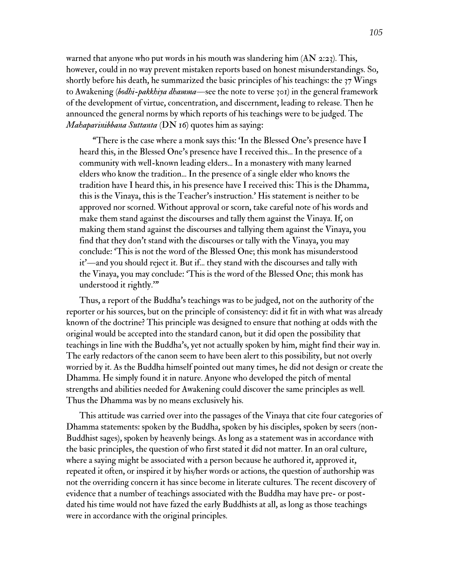warned that anyone who put words in his mouth was slandering him  $(AN 2:23)$ . This, however, could in no way prevent mistaken reports based on honest misunderstandings. So, shortly before his death, he summarized the basic principles of his teachings: the  $37$  Wings to Awakening *(bodhi-pakkhiya dhamma*—see the note to verse 301) in the general framework of the development of virtue, concentration, and discernment, leading to release. Then he announced the general norms by which reports of his teachings were to be judged. The *Mahaparinibbana Suttanta* (DN 16) quotes him as saying:

"There is the case where a monk says this: 'In the Blessed One's presence have I heard this, in the Blessed One's presence have I received this... In the presence of a community with well-known leading elders... In a monastery with many learned elders who know the tradition... In the presence of a single elder who knows the tradition have I heard this, in his presence have I received this: This is the Dhamma, this is the Vinaya, this is the Teacher's instruction.' His statement is neither to be approved nor scorned. Without approval or scorn, take careful note of his words and make them stand against the discourses and tally them against the Vinaya. If, on making them stand against the discourses and tallying them against the Vinaya, you find that they don't stand with the discourses or tally with the Vinaya, you may conclude: 'This is not the word of the Blessed One; this monk has misunderstood it'—and you should reject it. But if... they stand with the discourses and tally with the Vinaya, you may conclude: 'This is the word of the Blessed One; this monk has understood it rightly.'"

Thus, a report of the Buddha's teachings was to be judged, not on the authority of the reporter or his sources, but on the principle of consistency: did it fit in with what was already known of the doctrine? This principle was designed to ensure that nothing at odds with the original would be accepted into the standard canon, but it did open the possibility that teachings in line with the Buddha's, yet not actually spoken by him, might find their way in. The early redactors of the canon seem to have been alert to this possibility, but not overly worried by it. As the Buddha himself pointed out many times, he did not design or create the Dhamma. He simply found it in nature. Anyone who developed the pitch of mental strengths and abilities needed for Awakening could discover the same principles as well. Thus the Dhamma was by no means exclusively his.

This attitude was carried over into the passages of the Vinaya that cite four categories of Dhamma statements: spoken by the Buddha, spoken by his disciples, spoken by seers (non-Buddhist sages), spoken by heavenly beings. As long as a statement was in accordance with the basic principles, the question of who first stated it did not matter. In an oral culture, where a saying might be associated with a person because he authored it, approved it, repeated it often, or inspired it by his/her words or actions, the question of authorship was not the overriding concern it has since become in literate cultures. The recent discovery of evidence that a number of teachings associated with the Buddha may have pre- or postdated his time would not have fazed the early Buddhists at all, as long as those teachings were in accordance with the original principles.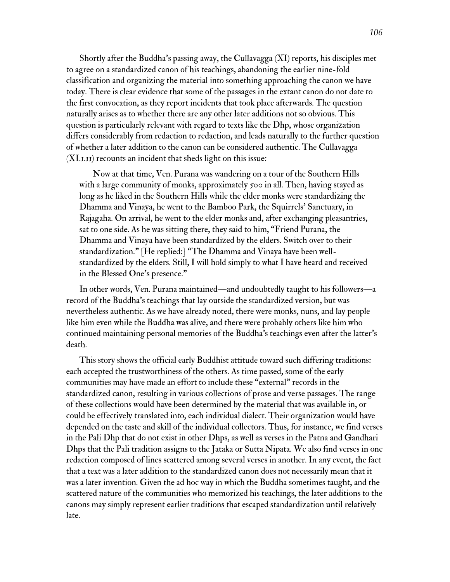Shortly after the Buddha's passing away, the Cullavagga (XI) reports, his disciples met to agree on a standardized canon of his teachings, abandoning the earlier nine-fold classification and organizing the material into something approaching the canon we have today. There is clear evidence that some of the passages in the extant canon do not date to the first convocation, as they report incidents that took place afterwards. The question naturally arises as to whether there are any other later additions not so obvious. This question is particularly relevant with regard to texts like the Dhp, whose organization differs considerably from redaction to redaction, and leads naturally to the further question of whether a later addition to the canon can be considered authentic. The Cullavagga (XI.1.11) recounts an incident that sheds light on this issue:

Now at that time, Ven. Purana was wandering on a tour of the Southern Hills with a large community of monks, approximately 500 in all. Then, having stayed as long as he liked in the Southern Hills while the elder monks were standardizing the Dhamma and Vinaya, he went to the Bamboo Park, the Squirrels' Sanctuary, in Rajagaha. On arrival, he went to the elder monks and, after exchanging pleasantries, sat to one side. As he was sitting there, they said to him, "Friend Purana, the Dhamma and Vinaya have been standardized by the elders. Switch over to their standardization." [He replied:] "The Dhamma and Vinaya have been wellstandardized by the elders. Still, I will hold simply to what I have heard and received in the Blessed One's presence."

In other words, Ven. Purana maintained—and undoubtedly taught to his followers—a record of the Buddha's teachings that lay outside the standardized version, but was nevertheless authentic. As we have already noted, there were monks, nuns, and lay people like him even while the Buddha was alive, and there were probably others like him who continued maintaining personal memories of the Buddha's teachings even after the latter's death.

This story shows the official early Buddhist attitude toward such differing traditions: each accepted the trustworthiness of the others. As time passed, some of the early communities may have made an effort to include these "external" records in the standardized canon, resulting in various collections of prose and verse passages. The range of these collections would have been determined by the material that was available in, or could be effectively translated into, each individual dialect. Their organization would have depended on the taste and skill of the individual collectors. Thus, for instance, we find verses in the Pali Dhp that do not exist in other Dhps, as well as verses in the Patna and Gandhari Dhps that the Pali tradition assigns to the Jataka or Sutta Nipata. We also find verses in one redaction composed of lines scattered among several verses in another. In any event, the fact that a text was a later addition to the standardized canon does not necessarily mean that it was a later invention. Given the ad hoc way in which the Buddha sometimes taught, and the scattered nature of the communities who memorized his teachings, the later additions to the canons may simply represent earlier traditions that escaped standardization until relatively late.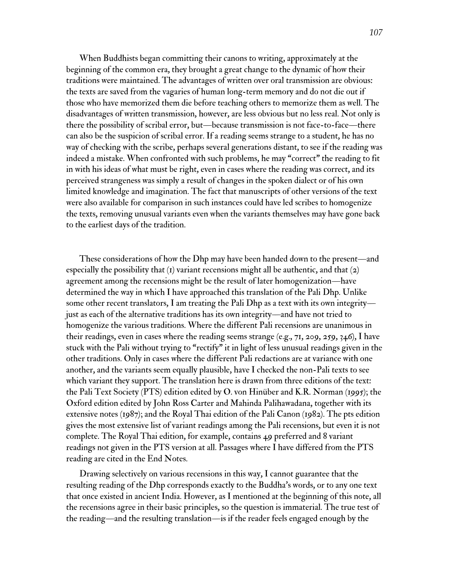When Buddhists began committing their canons to writing, approximately at the beginning of the common era, they brought a great change to the dynamic of how their traditions were maintained. The advantages of written over oral transmission are obvious: the texts are saved from the vagaries of human long-term memory and do not die out if those who have memorized them die before teaching others to memorize them as well. The disadvantages of written transmission, however, are less obvious but no less real. Not only is there the possibility of scribal error, but—because transmission is not face-to-face—there can also be the suspicion of scribal error. If a reading seems strange to a student, he has no way of checking with the scribe, perhaps several generations distant, to see if the reading was indeed a mistake. When confronted with such problems, he may "correct" the reading to fit in with his ideas of what must be right, even in cases where the reading was correct, and its perceived strangeness was simply a result of changes in the spoken dialect or of his own limited knowledge and imagination. The fact that manuscripts of other versions of the text were also available for comparison in such instances could have led scribes to homogenize the texts, removing unusual variants even when the variants themselves may have gone back to the earliest days of the tradition.

These considerations of how the Dhp may have been handed down to the present—and especially the possibility that  $(i)$  variant recensions might all be authentic, and that  $(2)$ agreement among the recensions might be the result of later homogenization—have determined the way in which I have approached this translation of the Pali Dhp. Unlike some other recent translators, I am treating the Pali Dhp as a text with its own integrity just as each of the alternative traditions has its own integrity—and have not tried to homogenize the various traditions. Where the different Pali recensions are unanimous in their readings, even in cases where the reading seems strange (e.g., 71, 209, 259, 346), I have stuck with the Pali without trying to "rectify" it in light of less unusual readings given in the other traditions. Only in cases where the different Pali redactions are at variance with one another, and the variants seem equally plausible, have I checked the non-Pali texts to see which variant they support. The translation here is drawn from three editions of the text: the Pali Text Society (PTS) edition edited by O. von Hinüber and K.R. Norman (1995); the Oxford edition edited by John Ross Carter and Mahinda Palihawadana, together with its extensive notes (1987); and the Royal Thai edition of the Pali Canon (1982). The pts edition gives the most extensive list of variant readings among the Pali recensions, but even it is not complete. The Royal Thai edition, for example, contains 49 preferred and 8 variant readings not given in the PTS version at all. Passages where I have differed from the PTS reading are cited in the End Notes.

Drawing selectively on various recensions in this way, I cannot guarantee that the resulting reading of the Dhp corresponds exactly to the Buddha's words, or to any one text that once existed in ancient India. However, as I mentioned at the beginning of this note, all the recensions agree in their basic principles, so the question is immaterial. The true test of the reading—and the resulting translation—is if the reader feels engaged enough by the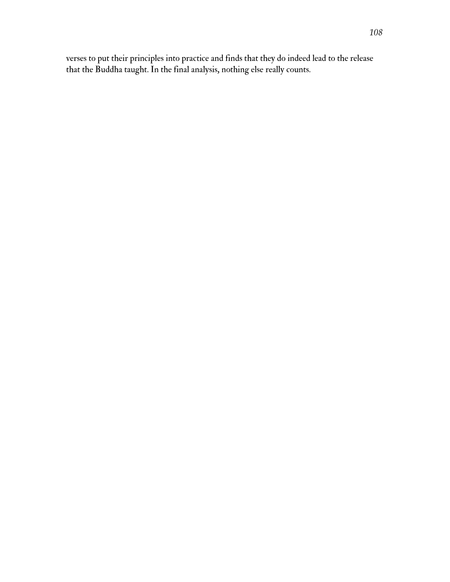verses to put their principles into practice and finds that they do indeed lead to the release that the Buddha taught. In the final analysis, nothing else really counts.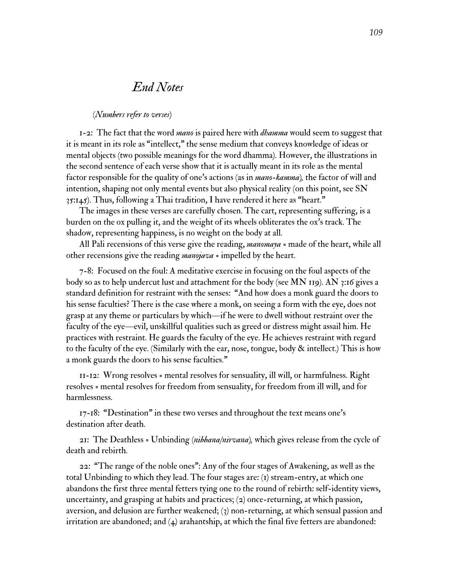### *End Notes*

#### *(Numbers refer to verses)*

1-2: The fact that the word *mano* is paired here with *dhamma* would seem to suggest that it is meant in its role as "intellect," the sense medium that conveys knowledge of ideas or mental objects (two possible meanings for the word dhamma). However, the illustrations in the second sentence of each verse show that it is actually meant in its role as the mental factor responsible for the quality of one's actions (as in *mano-kamma),* the factor of will and intention, shaping not only mental events but also physical reality (on this point, see SN 35:145). Thus, following a Thai tradition, I have rendered it here as "heart."

The images in these verses are carefully chosen. The cart, representing suffering, is a burden on the ox pulling it, and the weight of its wheels obliterates the ox's track. The shadow, representing happiness, is no weight on the body at all.

All Pali recensions of this verse give the reading, *manomaya* = made of the heart, while all other recensions give the reading *manojava* = impelled by the heart.

7-8: Focused on the foul: A meditative exercise in focusing on the foul aspects of the body so as to help undercut lust and attachment for the body (see MN 119). AN 3:16 gives a standard definition for restraint with the senses: "And how does a monk guard the doors to his sense faculties? There is the case where a monk, on seeing a form with the eye, does not grasp at any theme or particulars by which—if he were to dwell without restraint over the faculty of the eye—evil, unskillful qualities such as greed or distress might assail him. He practices with restraint. He guards the faculty of the eye. He achieves restraint with regard to the faculty of the eye. (Similarly with the ear, nose, tongue, body & intellect.) This is how a monk guards the doors to his sense faculties."

11-12: Wrong resolves = mental resolves for sensuality, ill will, or harmfulness. Right resolves = mental resolves for freedom from sensuality, for freedom from ill will, and for harmlessness.

17-18: "Destination" in these two verses and throughout the text means one's destination after death.

21: The Deathless = Unbinding *(nibbana/nirvana),* which gives release from the cycle of death and rebirth.

22: "The range of the noble ones": Any of the four stages of Awakening, as well as the total Unbinding to which they lead. The four stages are: (1) stream-entry, at which one abandons the first three mental fetters tying one to the round of rebirth: self-identity views, uncertainty, and grasping at habits and practices; (2) once-returning, at which passion, aversion, and delusion are further weakened; (3) non-returning, at which sensual passion and irritation are abandoned; and (4) arahantship, at which the final five fetters are abandoned: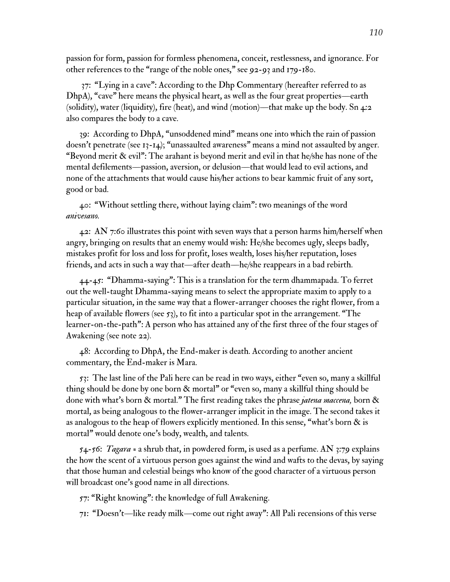passion for form, passion for formless phenomena, conceit, restlessness, and ignorance. For other references to the "range of the noble ones," see 92-93 and 179-180.

37: "Lying in a cave": According to the Dhp Commentary (hereafter referred to as DhpA), "cave" here means the physical heart, as well as the four great properties—earth (solidity), water (liquidity), fire (heat), and wind (motion)—that make up the body. Sn 4:2 also compares the body to a cave.

39: According to DhpA, "unsoddened mind" means one into which the rain of passion doesn't penetrate (see 13-14); "unassaulted awareness" means a mind not assaulted by anger. "Beyond merit & evil": The arahant is beyond merit and evil in that he/she has none of the mental defilements—passion, aversion, or delusion—that would lead to evil actions, and none of the attachments that would cause his/her actions to bear kammic fruit of any sort, good or bad.

40: "Without settling there, without laying claim": two meanings of the word *anivesano.*

42: AN 7:60 illustrates this point with seven ways that a person harms him/herself when angry, bringing on results that an enemy would wish: He/she becomes ugly, sleeps badly, mistakes profit for loss and loss for profit, loses wealth, loses his/her reputation, loses friends, and acts in such a way that—after death—he/she reappears in a bad rebirth.

44-45: "Dhamma-saying": This is a translation for the term dhammapada. To ferret out the well-taught Dhamma-saying means to select the appropriate maxim to apply to a particular situation, in the same way that a flower-arranger chooses the right flower, from a heap of available flowers (see 53), to fit into a particular spot in the arrangement. "The learner-on-the-path": A person who has attained any of the first three of the four stages of Awakening (see note 22).

48: According to DhpA, the End-maker is death. According to another ancient commentary, the End-maker is Mara.

53: The last line of the Pali here can be read in two ways, either "even so, many a skillful thing should be done by one born & mortal" or "even so, many a skillful thing should be done with what's born & mortal." The first reading takes the phrase *jatena maccena,* born & mortal, as being analogous to the flower-arranger implicit in the image. The second takes it as analogous to the heap of flowers explicitly mentioned. In this sense, "what's born & is mortal" would denote one's body, wealth, and talents.

54-56: *Tagara* = a shrub that, in powdered form, is used as a perfume. AN 3:79 explains the how the scent of a virtuous person goes against the wind and wafts to the devas, by saying that those human and celestial beings who know of the good character of a virtuous person will broadcast one's good name in all directions.

57: "Right knowing": the knowledge of full Awakening.

71: "Doesn't—like ready milk—come out right away": All Pali recensions of this verse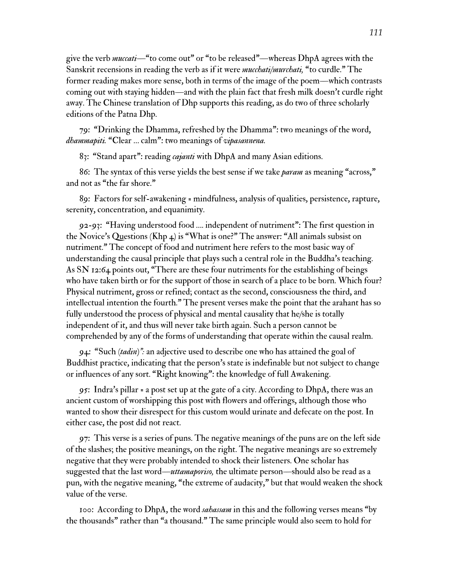give the verb *muccati*—"to come out" or "to be released"—whereas DhpA agrees with the Sanskrit recensions in reading the verb as if it were *mucchati/murchati,* "to curdle." The former reading makes more sense, both in terms of the image of the poem—which contrasts coming out with staying hidden—and with the plain fact that fresh milk doesn't curdle right away. The Chinese translation of Dhp supports this reading, as do two of three scholarly editions of the Patna Dhp.

79: "Drinking the Dhamma, refreshed by the Dhamma": two meanings of the word, *dhammapiti.* "Clear … calm": two meanings of *vipasannena.*

83: "Stand apart": reading *cajanti* with DhpA and many Asian editions.

86: The syntax of this verse yields the best sense if we take *param* as meaning "across," and not as "the far shore."

89: Factors for self-awakening = mindfulness, analysis of qualities, persistence, rapture, serenity, concentration, and equanimity.

92-93: "Having understood food …. independent of nutriment": The first question in the Novice's Questions (Khp  $_4$ ) is "What is one?" The answer: "All animals subsist on nutriment." The concept of food and nutriment here refers to the most basic way of understanding the causal principle that plays such a central role in the Buddha's teaching. As SN 12:64 points out, "There are these four nutriments for the establishing of beings who have taken birth or for the support of those in search of a place to be born. Which four? Physical nutriment, gross or refined; contact as the second, consciousness the third, and intellectual intention the fourth." The present verses make the point that the arahant has so fully understood the process of physical and mental causality that he/she is totally independent of it, and thus will never take birth again. Such a person cannot be comprehended by any of the forms of understanding that operate within the causal realm.

94: "Such *(tadin)":* an adjective used to describe one who has attained the goal of Buddhist practice, indicating that the person's state is indefinable but not subject to change or influences of any sort. "Right knowing": the knowledge of full Awakening.

95: Indra's pillar = a post set up at the gate of a city. According to DhpA, there was an ancient custom of worshipping this post with flowers and offerings, although those who wanted to show their disrespect for this custom would urinate and defecate on the post. In either case, the post did not react.

97: This verse is a series of puns. The negative meanings of the puns are on the left side of the slashes; the positive meanings, on the right. The negative meanings are so extremely negative that they were probably intended to shock their listeners. One scholar has suggested that the last word—*uttamaporiso,* the ultimate person—should also be read as a pun, with the negative meaning, "the extreme of audacity," but that would weaken the shock value of the verse.

100: According to DhpA, the word *sahassam* in this and the following verses means "by the thousands" rather than "a thousand." The same principle would also seem to hold for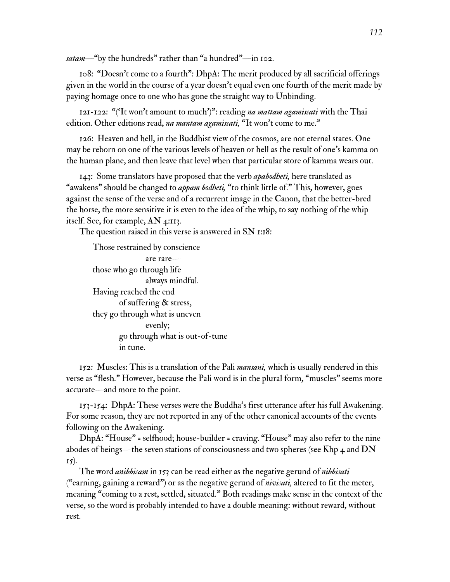*satam*—"by the hundreds" rather than "a hundred"—in 102.

108: "Doesn't come to a fourth": DhpA: The merit produced by all sacrificial offerings given in the world in the course of a year doesn't equal even one fourth of the merit made by paying homage once to one who has gone the straight way to Unbinding.

121-122: "('It won't amount to much')": reading *na mattam agamissati* with the Thai edition. Other editions read, *na mantam agamissati,* "It won't come to me."

126: Heaven and hell, in the Buddhist view of the cosmos, are not eternal states. One may be reborn on one of the various levels of heaven or hell as the result of one's kamma on the human plane, and then leave that level when that particular store of kamma wears out.

143: Some translators have proposed that the verb *apabodheti,* here translated as "awakens" should be changed to *appam bodheti,* "to think little of." This, however, goes against the sense of the verse and of a recurrent image in the Canon, that the better-bred the horse, the more sensitive it is even to the idea of the whip, to say nothing of the whip itself. See, for example, AN 4:113.

The question raised in this verse is answered in SN 1:18:

Those restrained by conscience are rare those who go through life always mindful. Having reached the end of suffering & stress, they go through what is uneven evenly; go through what is out-of-tune in tune.

152: Muscles: This is a translation of the Pali *mansani,* which is usually rendered in this verse as "flesh." However, because the Pali word is in the plural form, "muscles" seems more accurate—and more to the point.

153-154: DhpA: These verses were the Buddha's first utterance after his full Awakening. For some reason, they are not reported in any of the other canonical accounts of the events following on the Awakening.

DhpA: "House" = selfhood; house-builder = craving. "House" may also refer to the nine abodes of beings—the seven stations of consciousness and two spheres (see Khp 4 and DN 15).

The word *anibbisam* in 153 can be read either as the negative gerund of *nibbisati* ("earning, gaining a reward") or as the negative gerund of *nivisati,* altered to fit the meter, meaning "coming to a rest, settled, situated." Both readings make sense in the context of the verse, so the word is probably intended to have a double meaning: without reward, without rest.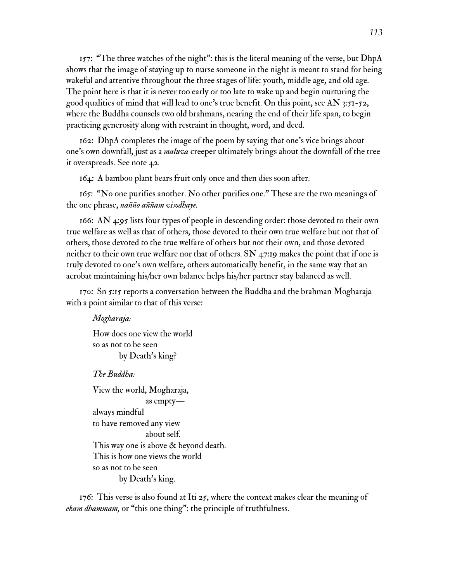157: "The three watches of the night": this is the literal meaning of the verse, but DhpA shows that the image of staying up to nurse someone in the night is meant to stand for being wakeful and attentive throughout the three stages of life: youth, middle age, and old age. The point here is that it is never too early or too late to wake up and begin nurturing the good qualities of mind that will lead to one's true benefit. On this point, see AN 3:51-52, where the Buddha counsels two old brahmans, nearing the end of their life span, to begin practicing generosity along with restraint in thought, word, and deed.

162: DhpA completes the image of the poem by saying that one's vice brings about one's own downfall, just as a *maluva* creeper ultimately brings about the downfall of the tree it overspreads. See note 42.

164: A bamboo plant bears fruit only once and then dies soon after.

165: "No one purifies another. No other purifies one." These are the two meanings of the one phrase, *nañño aññam visodhaye.*

166: AN  $4.95$  lists four types of people in descending order: those devoted to their own true welfare as well as that of others, those devoted to their own true welfare but not that of others, those devoted to the true welfare of others but not their own, and those devoted neither to their own true welfare nor that of others. SN 47:19 makes the point that if one is truly devoted to one's own welfare, others automatically benefit, in the same way that an acrobat maintaining his/her own balance helps his/her partner stay balanced as well.

170: Sn 5:15 reports a conversation between the Buddha and the brahman Mogharaja with a point similar to that of this verse:

*Mogharaja:*

How does one view the world so as not to be seen by Death's king?

*The Buddha:*

View the world, Mogharaja, as empty always mindful to have removed any view about self. This way one is above & beyond death. This is how one views the world so as not to be seen by Death's king.

176: This verse is also found at Iti  $25$ , where the context makes clear the meaning of *ekam dhammam,* or "this one thing": the principle of truthfulness.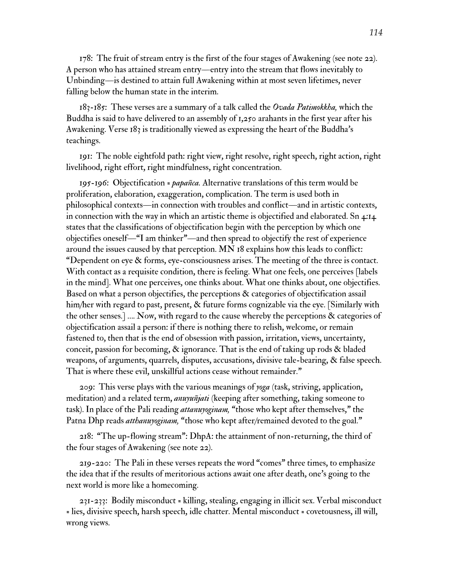178: The fruit of stream entry is the first of the four stages of Awakening (see note 22). A person who has attained stream entry—entry into the stream that flows inevitably to Unbinding—is destined to attain full Awakening within at most seven lifetimes, never falling below the human state in the interim.

183-185: These verses are a summary of a talk called the *Ovada Patimokkha,* which the Buddha is said to have delivered to an assembly of 1,250 arahants in the first year after his Awakening. Verse 183 is traditionally viewed as expressing the heart of the Buddha's teachings.

191: The noble eightfold path: right view, right resolve, right speech, right action, right livelihood, right effort, right mindfulness, right concentration.

195-196: Objectification = *papañca.* Alternative translations of this term would be proliferation, elaboration, exaggeration, complication. The term is used both in philosophical contexts—in connection with troubles and conflict—and in artistic contexts, in connection with the way in which an artistic theme is objectified and elaborated. Sn 4:14 states that the classifications of objectification begin with the perception by which one objectifies oneself—"I am thinker"—and then spread to objectify the rest of experience around the issues caused by that perception.  $MN$  18 explains how this leads to conflict: "Dependent on eye & forms, eye-consciousness arises. The meeting of the three is contact. With contact as a requisite condition, there is feeling. What one feels, one perceives [labels in the mind]. What one perceives, one thinks about. What one thinks about, one objectifies. Based on what a person objectifies, the perceptions & categories of objectification assail him/her with regard to past, present, & future forms cognizable via the eye. [Similarly with the other senses.] …. Now, with regard to the cause whereby the perceptions & categories of objectification assail a person: if there is nothing there to relish, welcome, or remain fastened to, then that is the end of obsession with passion, irritation, views, uncertainty, conceit, passion for becoming, & ignorance. That is the end of taking up rods & bladed weapons, of arguments, quarrels, disputes, accusations, divisive tale-bearing, & false speech. That is where these evil, unskillful actions cease without remainder."

209: This verse plays with the various meanings of *yoga* (task, striving, application, meditation) and a related term, *anuyuñjati* (keeping after something, taking someone to task). In place of the Pali reading *attanuyoginam,* "those who kept after themselves," the Patna Dhp reads *atthanuyoginam,* "those who kept after/remained devoted to the goal."

218: "The up-flowing stream": DhpA: the attainment of non-returning, the third of the four stages of Awakening (see note 22).

219-220: The Pali in these verses repeats the word "comes" three times, to emphasize the idea that if the results of meritorious actions await one after death, one's going to the next world is more like a homecoming.

231-233: Bodily misconduct = killing, stealing, engaging in illicit sex. Verbal misconduct = lies, divisive speech, harsh speech, idle chatter. Mental misconduct = covetousness, ill will, wrong views.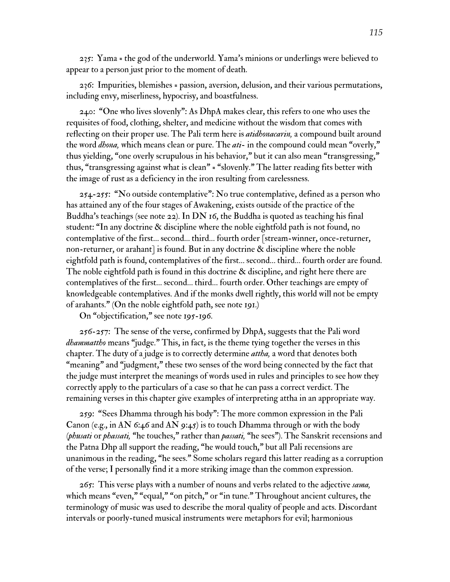235: Yama = the god of the underworld. Yama's minions or underlings were believed to appear to a person just prior to the moment of death.

236: Impurities, blemishes = passion, aversion, delusion, and their various permutations, including envy, miserliness, hypocrisy, and boastfulness.

240: "One who lives slovenly": As DhpA makes clear, this refers to one who uses the requisites of food, clothing, shelter, and medicine without the wisdom that comes with reflecting on their proper use. The Pali term here is *atidhonacarin,* a compound built around the word *dhona,* which means clean or pure. The *ati-* in the compound could mean "overly," thus yielding, "one overly scrupulous in his behavior," but it can also mean "transgressing," thus, "transgressing against what is clean" = "slovenly." The latter reading fits better with the image of rust as a deficiency in the iron resulting from carelessness.

254-255: "No outside contemplative": No true contemplative, defined as a person who has attained any of the four stages of Awakening, exists outside of the practice of the Buddha's teachings (see note 22). In DN 16, the Buddha is quoted as teaching his final student: "In any doctrine & discipline where the noble eightfold path is not found, no contemplative of the first… second… third… fourth order [stream-winner, once-returner, non-returner, or arahant] is found. But in any doctrine & discipline where the noble eightfold path is found, contemplatives of the first… second… third… fourth order are found. The noble eightfold path is found in this doctrine & discipline, and right here there are contemplatives of the first… second… third… fourth order. Other teachings are empty of knowledgeable contemplatives. And if the monks dwell rightly, this world will not be empty of arahants." (On the noble eightfold path, see note 191.)

On "objectification," see note 195-196.

256-257: The sense of the verse, confirmed by DhpA, suggests that the Pali word *dhammattho* means "judge." This, in fact, is the theme tying together the verses in this chapter. The duty of a judge is to correctly determine *attha,* a word that denotes both "meaning" and "judgment," these two senses of the word being connected by the fact that the judge must interpret the meanings of words used in rules and principles to see how they correctly apply to the particulars of a case so that he can pass a correct verdict. The remaining verses in this chapter give examples of interpreting attha in an appropriate way.

259: "Sees Dhamma through his body": The more common expression in the Pali Canon (e.g., in AN 6:46 and AN 9:45) is to touch Dhamma through or with the body *(phusati* or *phassati,* "he touches," rather than *passati,* "he sees"). The Sanskrit recensions and the Patna Dhp all support the reading, "he would touch," but all Pali recensions are unanimous in the reading, "he sees." Some scholars regard this latter reading as a corruption of the verse; I personally find it a more striking image than the common expression.

265: This verse plays with a number of nouns and verbs related to the adjective *sama,* which means "even," "equal," "on pitch," or "in tune." Throughout ancient cultures, the terminology of music was used to describe the moral quality of people and acts. Discordant intervals or poorly-tuned musical instruments were metaphors for evil; harmonious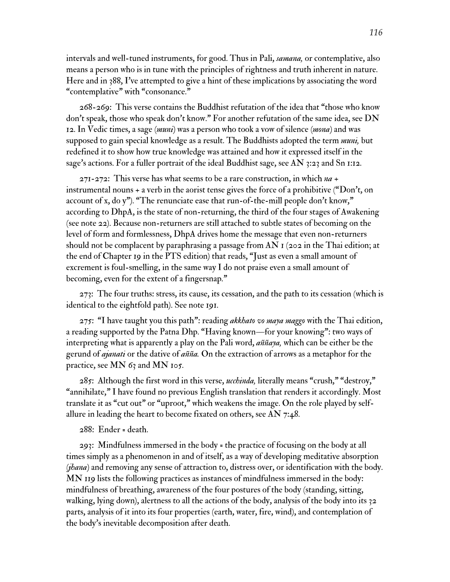intervals and well-tuned instruments, for good. Thus in Pali, *samana,* or contemplative, also means a person who is in tune with the principles of rightness and truth inherent in nature. Here and in 388, I've attempted to give a hint of these implications by associating the word "contemplative" with "consonance."

268-269: This verse contains the Buddhist refutation of the idea that "those who know don't speak, those who speak don't know." For another refutation of the same idea, see DN 12. In Vedic times, a sage *(muni)* was a person who took a vow of silence *(mona)* and was supposed to gain special knowledge as a result. The Buddhists adopted the term *muni,* but redefined it to show how true knowledge was attained and how it expressed itself in the sage's actions. For a fuller portrait of the ideal Buddhist sage, see AN 3:23 and Sn 1:12.

271-272: This verse has what seems to be a rare construction, in which *na* + instrumental nouns + a verb in the aorist tense gives the force of a prohibitive ("Don't, on account of x, do y"). "The renunciate ease that run-of-the-mill people don't know," according to DhpA, is the state of non-returning, the third of the four stages of Awakening (see note 22). Because non-returners are still attached to subtle states of becoming on the level of form and formlessness, DhpA drives home the message that even non-returners should not be complacent by paraphrasing a passage from AN  $\sigma$  (202 in the Thai edition; at the end of Chapter 19 in the PTS edition) that reads, "Just as even a small amount of excrement is foul-smelling, in the same way I do not praise even a small amount of becoming, even for the extent of a fingersnap."

273: The four truths: stress, its cause, its cessation, and the path to its cessation (which is identical to the eightfold path). See note 191.

275: "I have taught you this path": reading *akkhato vo maya maggo* with the Thai edition, a reading supported by the Patna Dhp. "Having known—for your knowing": two ways of interpreting what is apparently a play on the Pali word, *aññaya,* which can be either be the gerund of *ajanati* or the dative of *añña.* On the extraction of arrows as a metaphor for the practice, see MN 63 and MN 105.

285: Although the first word in this verse, *ucchinda,* literally means "crush," "destroy," "annihilate," I have found no previous English translation that renders it accordingly. Most translate it as "cut out" or "uproot," which weakens the image. On the role played by selfallure in leading the heart to become fixated on others, see AN 7:48.

288: Ender = death.

293: Mindfulness immersed in the body = the practice of focusing on the body at all times simply as a phenomenon in and of itself, as a way of developing meditative absorption *(jhana)* and removing any sense of attraction to, distress over, or identification with the body. MN 119 lists the following practices as instances of mindfulness immersed in the body: mindfulness of breathing, awareness of the four postures of the body (standing, sitting, walking, lying down), alertness to all the actions of the body, analysis of the body into its 32 parts, analysis of it into its four properties (earth, water, fire, wind), and contemplation of the body's inevitable decomposition after death.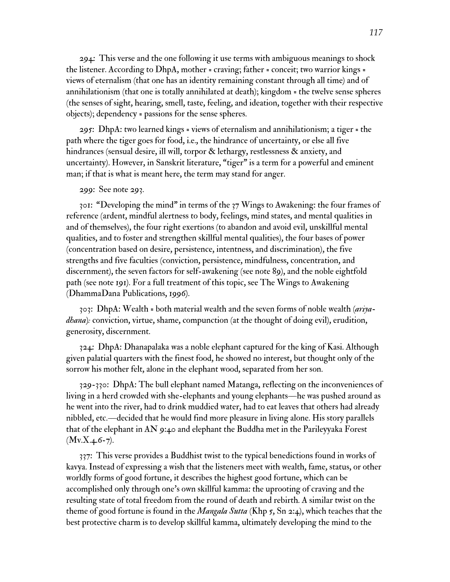294: This verse and the one following it use terms with ambiguous meanings to shock the listener. According to DhpA, mother = craving; father = conceit; two warrior kings = views of eternalism (that one has an identity remaining constant through all time) and of annihilationism (that one is totally annihilated at death); kingdom = the twelve sense spheres (the senses of sight, hearing, smell, taste, feeling, and ideation, together with their respective objects); dependency = passions for the sense spheres.

295: DhpA: two learned kings = views of eternalism and annihilationism; a tiger = the path where the tiger goes for food, i.e., the hindrance of uncertainty, or else all five hindrances (sensual desire, ill will, torpor & lethargy, restlessness & anxiety, and uncertainty). However, in Sanskrit literature, "tiger" is a term for a powerful and eminent man; if that is what is meant here, the term may stand for anger.

#### 299: See note 293.

301: "Developing the mind" in terms of the 37 Wings to Awakening: the four frames of reference (ardent, mindful alertness to body, feelings, mind states, and mental qualities in and of themselves), the four right exertions (to abandon and avoid evil, unskillful mental qualities, and to foster and strengthen skillful mental qualities), the four bases of power (concentration based on desire, persistence, intentness, and discrimination), the five strengths and five faculties (conviction, persistence, mindfulness, concentration, and discernment), the seven factors for self-awakening (see note 89), and the noble eightfold path (see note 191). For a full treatment of this topic, see The Wings to Awakening (DhammaDana Publications, 1996).

303: DhpA: Wealth = both material wealth and the seven forms of noble wealth *(ariyadhana):* conviction, virtue, shame, compunction (at the thought of doing evil), erudition, generosity, discernment.

324: DhpA: Dhanapalaka was a noble elephant captured for the king of Kasi. Although given palatial quarters with the finest food, he showed no interest, but thought only of the sorrow his mother felt, alone in the elephant wood, separated from her son.

329-330: DhpA: The bull elephant named Matanga, reflecting on the inconveniences of living in a herd crowded with she-elephants and young elephants—he was pushed around as he went into the river, had to drink muddied water, had to eat leaves that others had already nibbled, etc.—decided that he would find more pleasure in living alone. His story parallels that of the elephant in AN 9:40 and elephant the Buddha met in the Parileyyaka Forest  $(Mv.X.4.6-7).$ 

337: This verse provides a Buddhist twist to the typical benedictions found in works of kavya. Instead of expressing a wish that the listeners meet with wealth, fame, status, or other worldly forms of good fortune, it describes the highest good fortune, which can be accomplished only through one's own skillful kamma: the uprooting of craving and the resulting state of total freedom from the round of death and rebirth. A similar twist on the theme of good fortune is found in the *Mangala Sutta* (Khp 5, Sn 2:4), which teaches that the best protective charm is to develop skillful kamma, ultimately developing the mind to the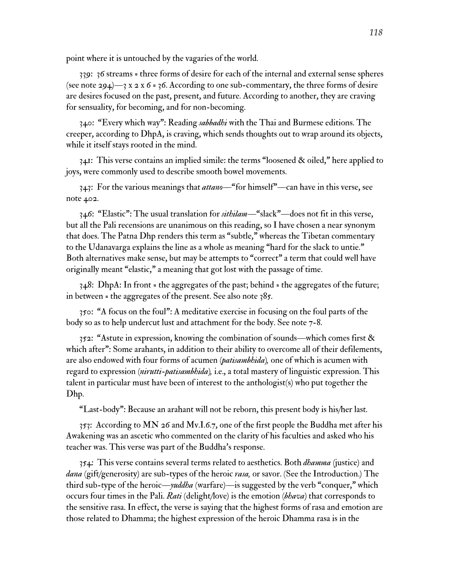point where it is untouched by the vagaries of the world.

339: 36 streams = three forms of desire for each of the internal and external sense spheres (see note 294)—3 x 2 x 6 = 36. According to one sub-commentary, the three forms of desire are desires focused on the past, present, and future. According to another, they are craving for sensuality, for becoming, and for non-becoming.

340: "Every which way": Reading *sabbadhi* with the Thai and Burmese editions. The creeper, according to DhpA, is craving, which sends thoughts out to wrap around its objects, while it itself stays rooted in the mind.

341: This verse contains an implied simile: the terms "loosened & oiled," here applied to joys, were commonly used to describe smooth bowel movements.

343: For the various meanings that *attano*—"for himself"—can have in this verse, see note 402.

346: "Elastic": The usual translation for *sithilam*—"slack"—does not fit in this verse, but all the Pali recensions are unanimous on this reading, so I have chosen a near synonym that does. The Patna Dhp renders this term as "subtle," whereas the Tibetan commentary to the Udanavarga explains the line as a whole as meaning "hard for the slack to untie." Both alternatives make sense, but may be attempts to "correct" a term that could well have originally meant "elastic," a meaning that got lost with the passage of time.

348: DhpA: In front = the aggregates of the past; behind = the aggregates of the future; in between = the aggregates of the present. See also note  $385$ .

350: "A focus on the foul": A meditative exercise in focusing on the foul parts of the body so as to help undercut lust and attachment for the body. See note 7-8.

352: "Astute in expression, knowing the combination of sounds—which comes first & which after": Some arahants, in addition to their ability to overcome all of their defilements, are also endowed with four forms of acumen *(patisambhida),* one of which is acumen with regard to expression *(nirutti-patisambhida),* i.e., a total mastery of linguistic expression. This talent in particular must have been of interest to the anthologist(s) who put together the Dhp.

"Last-body": Because an arahant will not be reborn, this present body is his/her last.

 $353$ : According to MN 26 and Mv.I.6.7, one of the first people the Buddha met after his Awakening was an ascetic who commented on the clarity of his faculties and asked who his teacher was. This verse was part of the Buddha's response.

354: This verse contains several terms related to aesthetics. Both *dhamma* (justice) and *dana* (gift/generosity) are sub-types of the heroic *rasa,* or savor. (See the Introduction.) The third sub-type of the heroic—*yuddha* (warfare)—is suggested by the verb "conquer," which occurs four times in the Pali. *Rati* (delight/love) is the emotion *(bhava)* that corresponds to the sensitive rasa. In effect, the verse is saying that the highest forms of rasa and emotion are those related to Dhamma; the highest expression of the heroic Dhamma rasa is in the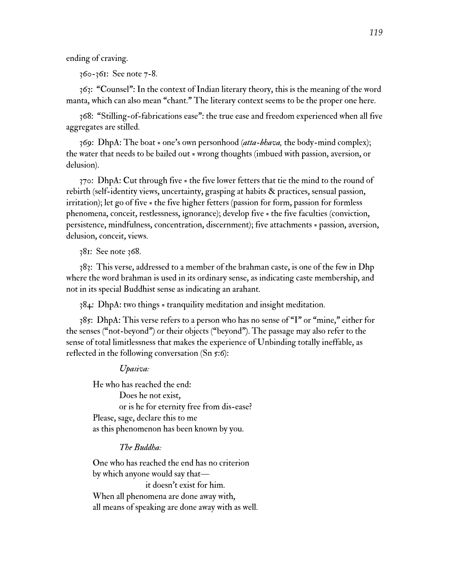ending of craving.

360-361: See note 7-8.

363: "Counsel": In the context of Indian literary theory, this is the meaning of the word manta, which can also mean "chant." The literary context seems to be the proper one here.

368: "Stilling-of-fabrications ease": the true ease and freedom experienced when all five aggregates are stilled.

369: DhpA: The boat = one's own personhood *(atta-bhava,* the body-mind complex); the water that needs to be bailed out = wrong thoughts (imbued with passion, aversion, or delusion).

370: DhpA: Cut through five = the five lower fetters that tie the mind to the round of rebirth (self-identity views, uncertainty, grasping at habits & practices, sensual passion, irritation); let go of five = the five higher fetters (passion for form, passion for formless phenomena, conceit, restlessness, ignorance); develop five = the five faculties (conviction, persistence, mindfulness, concentration, discernment); five attachments = passion, aversion, delusion, conceit, views.

381: See note 368.

383: This verse, addressed to a member of the brahman caste, is one of the few in Dhp where the word brahman is used in its ordinary sense, as indicating caste membership, and not in its special Buddhist sense as indicating an arahant.

384: DhpA: two things = tranquility meditation and insight meditation.

385: DhpA: This verse refers to a person who has no sense of "I" or "mine," either for the senses ("not-beyond") or their objects ("beyond"). The passage may also refer to the sense of total limitlessness that makes the experience of Unbinding totally ineffable, as reflected in the following conversation (Sn 5:6):

*Upasiva:*

He who has reached the end: Does he not exist, or is he for eternity free from dis-ease? Please, sage, declare this to me as this phenomenon has been known by you.

*The Buddha:*

One who has reached the end has no criterion by which anyone would say that it doesn't exist for him. When all phenomena are done away with, all means of speaking are done away with as well.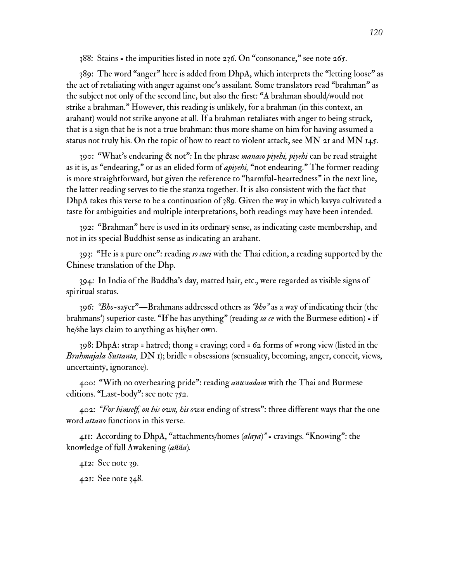388: Stains = the impurities listed in note 236. On "consonance," see note 265.

389: The word "anger" here is added from DhpA, which interprets the "letting loose" as the act of retaliating with anger against one's assailant. Some translators read "brahman" as the subject not only of the second line, but also the first: "A brahman should/would not strike a brahman." However, this reading is unlikely, for a brahman (in this context, an arahant) would not strike anyone at all. If a brahman retaliates with anger to being struck, that is a sign that he is not a true brahman: thus more shame on him for having assumed a status not truly his. On the topic of how to react to violent attack, see MN 21 and MN 145.

390: "What's endearing & not": In the phrase *manaso piyehi, piyehi* can be read straight as it is, as "endearing," or as an elided form of *apiyehi,* "not endearing." The former reading is more straightforward, but given the reference to "harmful-heartedness" in the next line, the latter reading serves to tie the stanza together. It is also consistent with the fact that DhpA takes this verse to be a continuation of 389. Given the way in which kavya cultivated a taste for ambiguities and multiple interpretations, both readings may have been intended.

392: "Brahman" here is used in its ordinary sense, as indicating caste membership, and not in its special Buddhist sense as indicating an arahant.

393: "He is a pure one": reading *so suci* with the Thai edition, a reading supported by the Chinese translation of the Dhp.

394: In India of the Buddha's day, matted hair, etc., were regarded as visible signs of spiritual status.

396: *"Bho*-sayer"—Brahmans addressed others as *"bho"* as a way of indicating their (the brahmans') superior caste. "If he has anything" (reading *sa ce* with the Burmese edition) = if he/she lays claim to anything as his/her own.

398: DhpA: strap = hatred; thong = craving; cord = 62 forms of wrong view (listed in the *Brahmajala Suttanta,* DN 1); bridle = obsessions (sensuality, becoming, anger, conceit, views, uncertainty, ignorance).

400: "With no overbearing pride": reading *anussadam* with the Thai and Burmese editions. "Last-body": see note 352.

402: *"For himself, on his own, his own* ending of stress": three different ways that the one word *attano* functions in this verse.

411: According to DhpA, "attachments/homes *(alaya)"* = cravings. "Knowing": the knowledge of full Awakening *(añña).*

412: See note 39.

421: See note 348.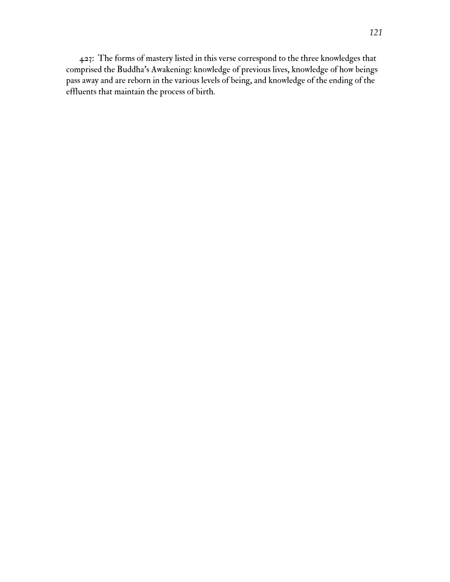423: The forms of mastery listed in this verse correspond to the three knowledges that comprised the Buddha's Awakening: knowledge of previous lives, knowledge of how beings pass away and are reborn in the various levels of being, and knowledge of the ending of the effluents that maintain the process of birth.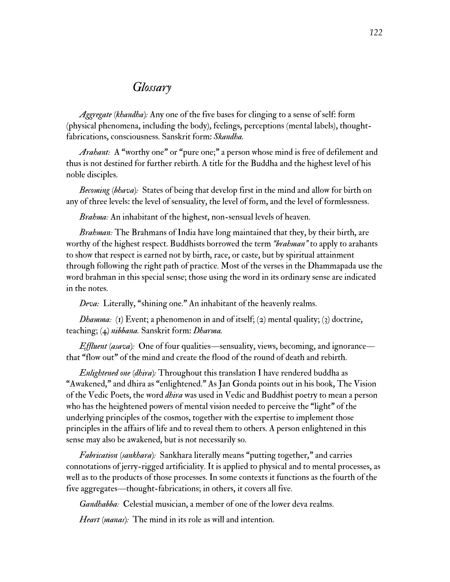#### *Glossary*

*Aggregate (khandha):* Any one of the five bases for clinging to a sense of self: form (physical phenomena, including the body), feelings, perceptions (mental labels), thoughtfabrications, consciousness. Sanskrit form: *Skandha.*

*Arahant:* A "worthy one" or "pure one;" a person whose mind is free of defilement and thus is not destined for further rebirth. A title for the Buddha and the highest level of his noble disciples.

*Becoming (bhava):* States of being that develop first in the mind and allow for birth on any of three levels: the level of sensuality, the level of form, and the level of formlessness.

*Brahma:* An inhabitant of the highest, non-sensual levels of heaven.

*Brahman:* The Brahmans of India have long maintained that they, by their birth, are worthy of the highest respect. Buddhists borrowed the term *"brahman"* to apply to arahants to show that respect is earned not by birth, race, or caste, but by spiritual attainment through following the right path of practice. Most of the verses in the Dhammapada use the word brahman in this special sense; those using the word in its ordinary sense are indicated in the notes.

*Deva:* Literally, "shining one." An inhabitant of the heavenly realms.

*Dhamma:* (1) Event; a phenomenon in and of itself; (2) mental quality; (3) doctrine, teaching; (4) *nibbana.* Sanskrit form: *Dharma.*

*Effluent (asava):* One of four qualities—sensuality, views, becoming, and ignorance that "flow out" of the mind and create the flood of the round of death and rebirth.

*Enlightened one (dhira):* Throughout this translation I have rendered buddha as "Awakened," and dhira as "enlightened." As Jan Gonda points out in his book, The Vision of the Vedic Poets, the word *dhira* was used in Vedic and Buddhist poetry to mean a person who has the heightened powers of mental vision needed to perceive the "light" of the underlying principles of the cosmos, together with the expertise to implement those principles in the affairs of life and to reveal them to others. A person enlightened in this sense may also be awakened, but is not necessarily so.

*Fabrication (sankhara):* Sankhara literally means "putting together," and carries connotations of jerry-rigged artificiality. It is applied to physical and to mental processes, as well as to the products of those processes. In some contexts it functions as the fourth of the five aggregates—thought-fabrications; in others, it covers all five.

*Gandhabba:* Celestial musician, a member of one of the lower deva realms.

*Heart (manas):* The mind in its role as will and intention.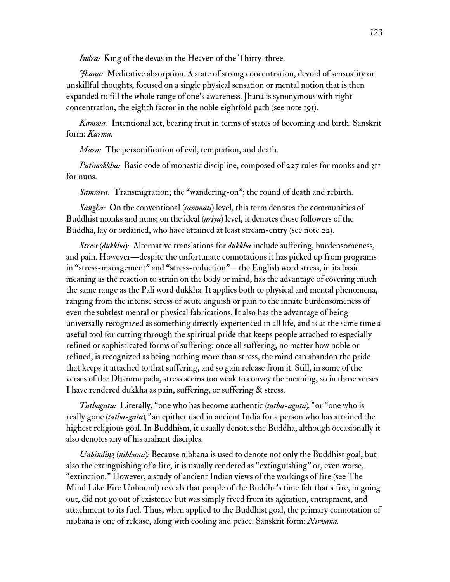*Indra:* King of the devas in the Heaven of the Thirty-three.

*Jhana:* Meditative absorption. A state of strong concentration, devoid of sensuality or unskillful thoughts, focused on a single physical sensation or mental notion that is then expanded to fill the whole range of one's awareness. Jhana is synonymous with right concentration, the eighth factor in the noble eightfold path (see note 191).

*Kamma:* Intentional act, bearing fruit in terms of states of becoming and birth. Sanskrit form: *Karma.*

*Mara:* The personification of evil, temptation, and death.

*Patimokkha:* Basic code of monastic discipline, composed of 227 rules for monks and 311 for nuns.

*Samsara:* Transmigration; the "wandering-on"; the round of death and rebirth.

*Sangha:* On the conventional *(sammati)* level, this term denotes the communities of Buddhist monks and nuns; on the ideal *(ariya)* level, it denotes those followers of the Buddha, lay or ordained, who have attained at least stream-entry (see note 22).

*Stress (dukkha):* Alternative translations for *dukkha* include suffering, burdensomeness, and pain. However—despite the unfortunate connotations it has picked up from programs in "stress-management" and "stress-reduction"—the English word stress, in its basic meaning as the reaction to strain on the body or mind, has the advantage of covering much the same range as the Pali word dukkha. It applies both to physical and mental phenomena, ranging from the intense stress of acute anguish or pain to the innate burdensomeness of even the subtlest mental or physical fabrications. It also has the advantage of being universally recognized as something directly experienced in all life, and is at the same time a useful tool for cutting through the spiritual pride that keeps people attached to especially refined or sophisticated forms of suffering: once all suffering, no matter how noble or refined, is recognized as being nothing more than stress, the mind can abandon the pride that keeps it attached to that suffering, and so gain release from it. Still, in some of the verses of the Dhammapada, stress seems too weak to convey the meaning, so in those verses I have rendered dukkha as pain, suffering, or suffering & stress.

*Tathagata:* Literally, "one who has become authentic *(tatha-agata),"* or "one who is really gone *(tatha-gata),"* an epithet used in ancient India for a person who has attained the highest religious goal. In Buddhism, it usually denotes the Buddha, although occasionally it also denotes any of his arahant disciples.

*Unbinding (nibbana):* Because nibbana is used to denote not only the Buddhist goal, but also the extinguishing of a fire, it is usually rendered as "extinguishing" or, even worse, "extinction." However, a study of ancient Indian views of the workings of fire (see The Mind Like Fire Unbound) reveals that people of the Buddha's time felt that a fire, in going out, did not go out of existence but was simply freed from its agitation, entrapment, and attachment to its fuel. Thus, when applied to the Buddhist goal, the primary connotation of nibbana is one of release, along with cooling and peace. Sanskrit form: *Nirvana.*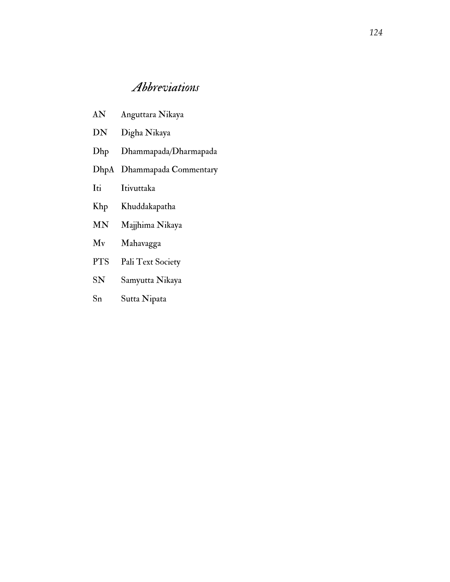# *Abbreviations*

- AN Anguttara Nikaya
- DN Digha Nikaya
- Dhp Dhammapada/Dharmapada
- DhpA Dhammapada Commentary
- Iti Itivuttaka
- Khp Khuddakapatha
- MN Majjhima Nikaya
- Mv Mahavagga
- PTS Pali Text Society
- SN Samyutta Nikaya
- Sn Sutta Nipata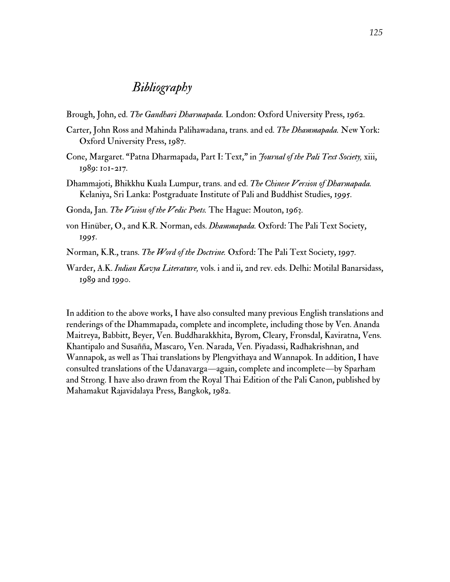### *Bibliography*

Brough, John, ed. *The Gandhari Dharmapada.* London: Oxford University Press, 1962.

- Carter, John Ross and Mahinda Palihawadana, trans. and ed. *The Dhammapada.* New York: Oxford University Press, 1987.
- Cone, Margaret. "Patna Dharmapada, Part I: Text," in *Journal of the Pali Text Society,* xiii, 1989: 101-217.
- Dhammajoti, Bhikkhu Kuala Lumpur, trans. and ed. *The Chinese Version of Dharmapada.* Kelaniya, Sri Lanka: Postgraduate Institute of Pali and Buddhist Studies, 1995.

Gonda, Jan. *The Vision of the Vedic Poets.* The Hague: Mouton, 1963.

- von Hinüber, O., and K.R. Norman, eds. *Dhammapada.* Oxford: The Pali Text Society, 1995.
- Norman, K.R., trans. *The Word of the Doctrine.* Oxford: The Pali Text Society, 1997.
- Warder, A.K. *Indian Kavya Literature,* vols. i and ii, 2nd rev. eds. Delhi: Motilal Banarsidass, 1989 and 1990.

In addition to the above works, I have also consulted many previous English translations and renderings of the Dhammapada, complete and incomplete, including those by Ven. Ananda Maitreya, Babbitt, Beyer, Ven. Buddharakkhita, Byrom, Cleary, Fronsdal, Kaviratna, Vens. Khantipalo and Susañña, Mascaro, Ven. Narada, Ven. Piyadassi, Radhakrishnan, and Wannapok, as well as Thai translations by Plengvithaya and Wannapok. In addition, I have consulted translations of the Udanavarga—again, complete and incomplete—by Sparham and Strong. I have also drawn from the Royal Thai Edition of the Pali Canon, published by Mahamakut Rajavidalaya Press, Bangkok, 1982.